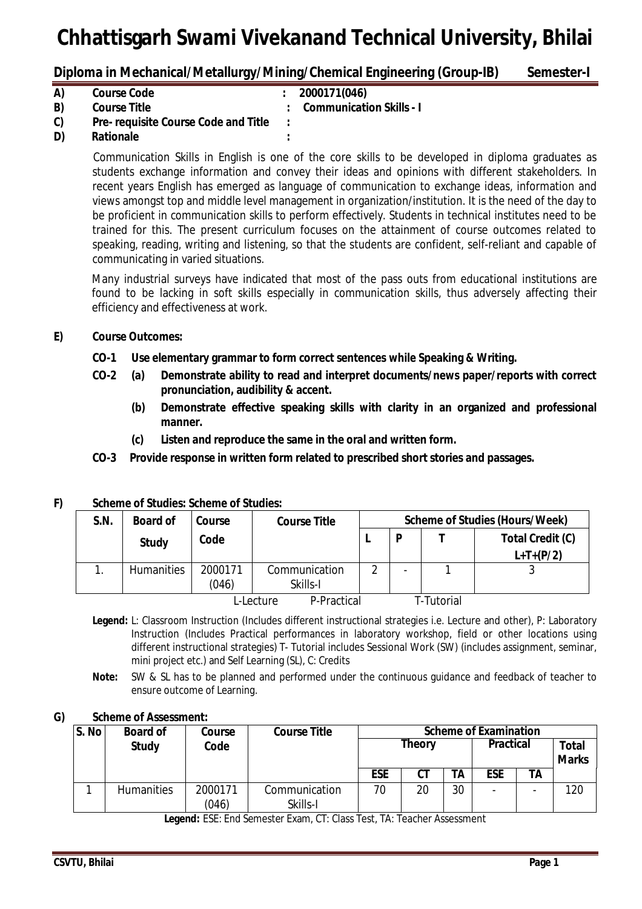**Diploma in Mechanical/Metallurgy/Mining/Chemical Engineering (Group-IB) Semester-I** 

| A) | <b>Course Code</b>                          | : 2000171(046)             |
|----|---------------------------------------------|----------------------------|
| B) | <b>Course Title</b>                         | : Communication Skills - I |
| C) | <b>Pre- requisite Course Code and Title</b> |                            |
| D) | Rationale                                   |                            |

Communication Skills in English is one of the core skills to be developed in diploma graduates as students exchange information and convey their ideas and opinions with different stakeholders. In recent years English has emerged as language of communication to exchange ideas, information and views amongst top and middle level management in organization/institution. It is the need of the day to be proficient in communication skills to perform effectively. Students in technical institutes need to be trained for this. The present curriculum focuses on the attainment of course outcomes related to speaking, reading, writing and listening, so that the students are confident, self-reliant and capable of communicating in varied situations.

Many industrial surveys have indicated that most of the pass outs from educational institutions are found to be lacking in soft skills especially in communication skills, thus adversely affecting their efficiency and effectiveness at work.

### **E) Course Outcomes:**

- **CO-1 Use elementary grammar to form correct sentences while Speaking & Writing.**
- **CO-2 (a) Demonstrate ability to read and interpret documents/news paper/reports with correct pronunciation, audibility & accent.**
	- **(b) Demonstrate effective speaking skills with clarity in an organized and professional manner.**
	- **(c) Listen and reproduce the same in the oral and written form.**
- **CO-3 Provide response in written form related to prescribed short stories and passages.**

| <u>vuitulu VI vluulus. Vuitullu VI vluulus.</u> |                   |         |                     |                                       |                          |  |                  |  |
|-------------------------------------------------|-------------------|---------|---------------------|---------------------------------------|--------------------------|--|------------------|--|
| S.N.                                            | <b>Board of</b>   | Course  | <b>Course Title</b> | <b>Scheme of Studies (Hours/Week)</b> |                          |  |                  |  |
|                                                 | <b>Study</b>      | Code    |                     |                                       | D                        |  | Total Credit (C) |  |
|                                                 |                   |         |                     |                                       |                          |  | $L+T+(P/2)$      |  |
|                                                 | <b>Humanities</b> | 2000171 | Communication       | ◠                                     | $\overline{\phantom{a}}$ |  |                  |  |
|                                                 |                   | (046)   | Skills-I            |                                       |                          |  |                  |  |
| P-Practical<br>L-Lecture                        |                   |         |                     |                                       | T-Tutorial               |  |                  |  |

#### **F) Scheme of Studies: Scheme of Studies:**

- **Legend:** L: Classroom Instruction (Includes different instructional strategies i.e. Lecture and other), P: Laboratory Instruction (Includes Practical performances in laboratory workshop, field or other locations using different instructional strategies) T- Tutorial includes Sessional Work (SW) (includes assignment, seminar, mini project etc.) and Self Learning (SL), C: Credits
- **Note:** SW & SL has to be planned and performed under the continuous guidance and feedback of teacher to ensure outcome of Learning.

#### **G) Scheme of Assessment:**

| S. No | <b>Board of</b>   | Course           | <b>Course Title</b>       | <b>Scheme of Examination</b> |    |                  |            |                              |     |
|-------|-------------------|------------------|---------------------------|------------------------------|----|------------------|------------|------------------------------|-----|
|       | <b>Study</b>      | Code             |                           | <b>Theory</b>                |    | <b>Practical</b> |            | <b>Total</b><br><b>Marks</b> |     |
|       |                   |                  |                           | <b>ESE</b>                   | СT | ТA               | <b>ESE</b> | ΤA                           |     |
|       | <b>Humanities</b> | 2000171<br>(046) | Communication<br>Skills-I | 70                           | 20 | 30               |            |                              | 120 |

**Legend:** ESE: End Semester Exam, CT: Class Test, TA: Teacher Assessment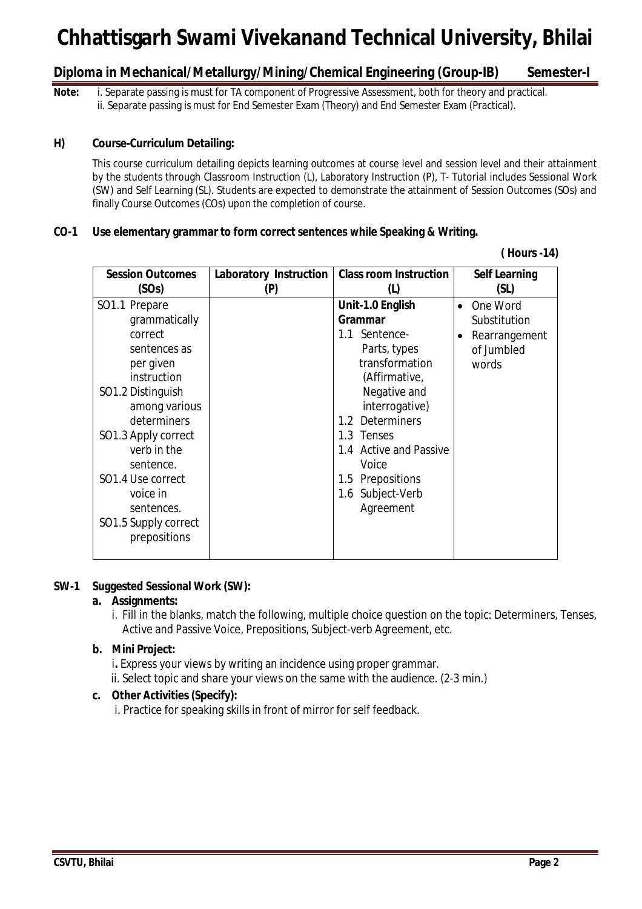**Diploma in Mechanical/Metallurgy/Mining/Chemical Engineering (Group-IB) Semester-I**

**Note:** i. Separate passing is must for TA component of Progressive Assessment, both for theory and practical. ii. Separate passing is must for End Semester Exam (Theory) and End Semester Exam (Practical).

#### **H) Course-Curriculum Detailing:**

This course curriculum detailing depicts learning outcomes at course level and session level and their attainment by the students through Classroom Instruction (L), Laboratory Instruction (P), T- Tutorial includes Sessional Work (SW) and Self Learning (SL). Students are expected to demonstrate the attainment of Session Outcomes (SOs) and finally Course Outcomes (COs) upon the completion of course.

#### **CO-1 Use elementary grammar to form correct sentences while Speaking & Writing.**

| <b>Session Outcomes</b> | <b>Laboratory Instruction</b> | <b>Class room Instruction</b> | <b>Self Learning</b> |
|-------------------------|-------------------------------|-------------------------------|----------------------|
| (SOs)                   | (P)                           | (1)                           | (SL)                 |
| SO1.1 Prepare           |                               | Unit-1.0 English              | One Word             |
| grammatically           |                               | Grammar                       | Substitution         |
| correct                 |                               | 1.1 Sentence-                 | Rearrangement        |
| sentences as            |                               | Parts, types                  | of Jumbled           |
| per given               |                               | transformation                | words                |
| instruction             |                               | (Affirmative,                 |                      |
| SO1.2 Distinguish       |                               | Negative and                  |                      |
| among various           |                               | interrogative)                |                      |
| determiners             |                               | 1.2 Determiners               |                      |
| SO1.3 Apply correct     |                               | 1.3 Tenses                    |                      |
| verb in the             |                               | 1.4 Active and Passive        |                      |
| sentence.               |                               | Voice                         |                      |
| SO1.4 Use correct       |                               | 1.5 Prepositions              |                      |
| voice in                |                               | 1.6 Subject-Verb              |                      |
| sentences.              |                               | Agreement                     |                      |
| SO1.5 Supply correct    |                               |                               |                      |
| prepositions            |                               |                               |                      |
|                         |                               |                               |                      |

# **( Hours -14)**

#### **SW-1 Suggested Sessional Work (SW):**

#### **a. Assignments:**

i. Fill in the blanks, match the following, multiple choice question on the topic: Determiners, Tenses, Active and Passive Voice, Prepositions, Subject-verb Agreement, etc.

#### **b. Mini Project:**

**i.** Express your views by writing an incidence using proper grammar.

ii. Select topic and share your views on the same with the audience. (2-3 min.)

#### **c. Other Activities (Specify):**

i. Practice for speaking skills in front of mirror for self feedback.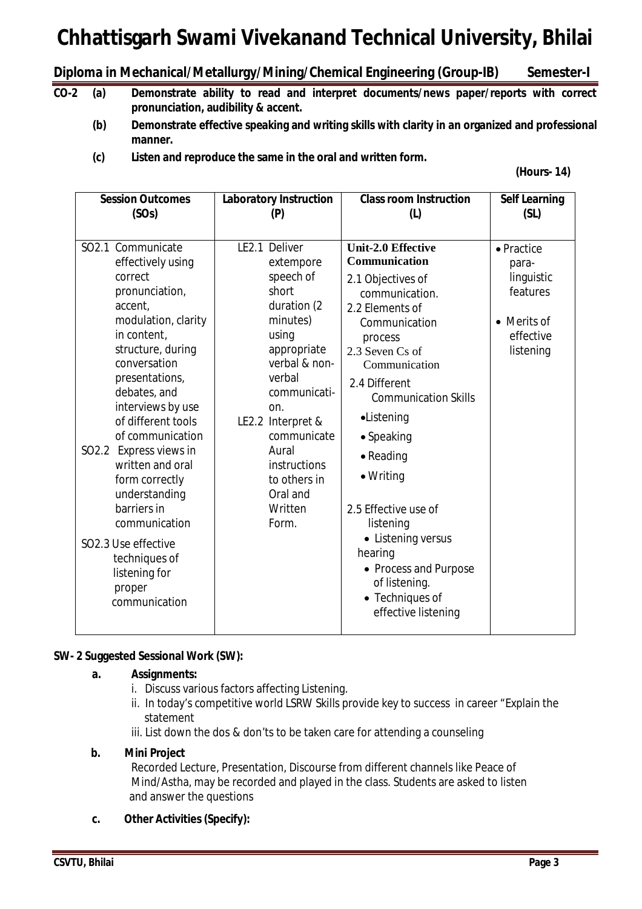## **Diploma in Mechanical/Metallurgy/Mining/Chemical Engineering (Group-IB) Semester-I**

- **CO-2 (a) Demonstrate ability to read and interpret documents/news paper/reports with correct pronunciation, audibility & accent.**
	- **(b) Demonstrate effective speaking and writing skills with clarity in an organized and professional manner.**
	- **(c) Listen and reproduce the same in the oral and written form.**

#### **(Hours- 14)**

| <b>Session Outcomes</b>                                                                                                                                                                                                                                                                                                                                                                                                                                         | <b>Laboratory Instruction</b>                                                                                                                                                                                                                                      | <b>Class room Instruction</b>                                                                                                                                                                                                                                                                                                                                                                                                               | <b>Self Learning</b>                                                                   |
|-----------------------------------------------------------------------------------------------------------------------------------------------------------------------------------------------------------------------------------------------------------------------------------------------------------------------------------------------------------------------------------------------------------------------------------------------------------------|--------------------------------------------------------------------------------------------------------------------------------------------------------------------------------------------------------------------------------------------------------------------|---------------------------------------------------------------------------------------------------------------------------------------------------------------------------------------------------------------------------------------------------------------------------------------------------------------------------------------------------------------------------------------------------------------------------------------------|----------------------------------------------------------------------------------------|
| (SOs)                                                                                                                                                                                                                                                                                                                                                                                                                                                           | (P)                                                                                                                                                                                                                                                                | (L)                                                                                                                                                                                                                                                                                                                                                                                                                                         | (SL)                                                                                   |
| SO2.1 Communicate<br>effectively using<br>correct<br>pronunciation,<br>accent,<br>modulation, clarity<br>in content,<br>structure, during<br>conversation<br>presentations,<br>debates, and<br>interviews by use<br>of different tools<br>of communication<br>SO2.2 Express views in<br>written and oral<br>form correctly<br>understanding<br>barriers in<br>communication<br>SO2.3 Use effective<br>techniques of<br>listening for<br>proper<br>communication | LE2.1 Deliver<br>extempore<br>speech of<br>short<br>duration (2<br>minutes)<br>using<br>appropriate<br>verbal & non-<br>verbal<br>communicati-<br>on.<br>LE2.2 Interpret &<br>communicate<br>Aural<br>instructions<br>to others in<br>Oral and<br>Written<br>Form. | <b>Unit-2.0 Effective</b><br><b>Communication</b><br>2.1 Objectives of<br>communication.<br>2.2 Elements of<br>Communication<br>process<br>2.3 Seven Cs of<br>Communication<br>2.4 Different<br><b>Communication Skills</b><br>•Listening<br>• Speaking<br>• Reading<br>• Writing<br>2.5 Effective use of<br>listening<br>• Listening versus<br>hearing<br>• Process and Purpose<br>of listening.<br>• Techniques of<br>effective listening | • Practice<br>para-<br>linguistic<br>features<br>• Merits of<br>effective<br>listening |

#### **SW- 2 Suggested Sessional Work (SW):**

#### **a. Assignments:**

- i. Discuss various factors affecting Listening.
- ii. In today's competitive world LSRW Skills provide key to success in career "Explain the statement
- iii. List down the dos & don'ts to be taken care for attending a counseling

#### **b. Mini Project**

Recorded Lecture, Presentation, Discourse from different channels like Peace of Mind/Astha, may be recorded and played in the class. Students are asked to listen and answer the questions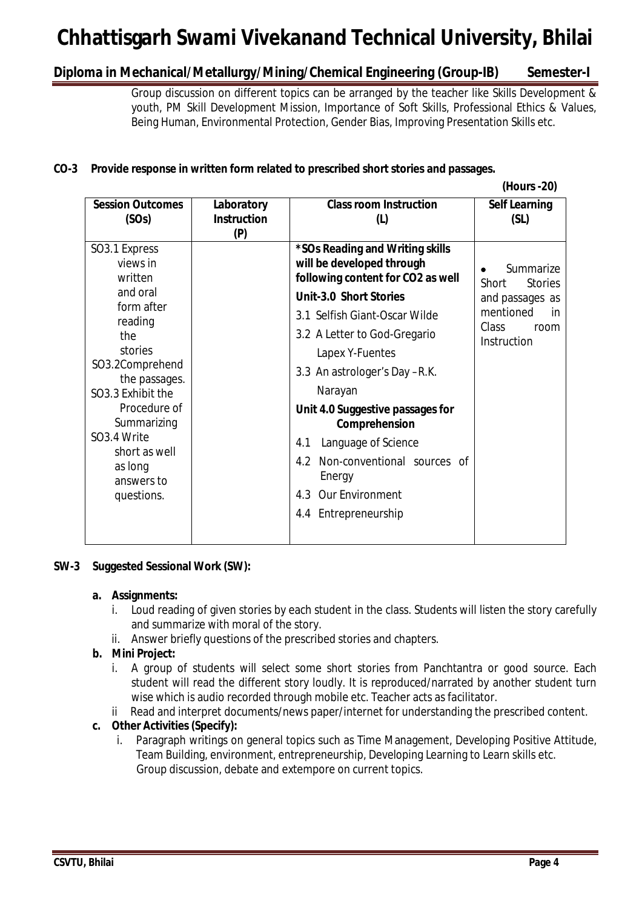## **Diploma in Mechanical/Metallurgy/Mining/Chemical Engineering (Group-IB) Semester-I**

Group discussion on different topics can be arranged by the teacher like Skills Development & youth, PM Skill Development Mission, Importance of Soft Skills, Professional Ethics & Values, Being Human, Environmental Protection, Gender Bias, Improving Presentation Skills etc.

## **CO-3 Provide response in written form related to prescribed short stories and passages.**

|                                                                                                                                                                                                                                                                        |                                         |                                                                                                                                                                                                                                                                                                                                                                                                                                                      | (Hours -20)                                                                                                |
|------------------------------------------------------------------------------------------------------------------------------------------------------------------------------------------------------------------------------------------------------------------------|-----------------------------------------|------------------------------------------------------------------------------------------------------------------------------------------------------------------------------------------------------------------------------------------------------------------------------------------------------------------------------------------------------------------------------------------------------------------------------------------------------|------------------------------------------------------------------------------------------------------------|
| <b>Session Outcomes</b><br>(SOs)                                                                                                                                                                                                                                       | Laboratory<br><b>Instruction</b><br>(P) | <b>Class room Instruction</b><br>(1)                                                                                                                                                                                                                                                                                                                                                                                                                 | <b>Self Learning</b><br>(SL)                                                                               |
| SO3.1 Express<br>views in<br>written<br>and oral<br>form after<br>reading<br>the<br>stories<br>SO3.2Comprehend<br>the passages.<br>SO3.3 Exhibit the<br>Procedure of<br>Summarizing<br>SO <sub>3.4</sub> Write<br>short as well<br>as long<br>answers to<br>questions. |                                         | *SOs Reading and Writing skills<br>will be developed through<br>following content for CO2 as well<br><b>Unit-3.0 Short Stories</b><br>3.1 Selfish Giant-Oscar Wilde<br>3.2 A Letter to God-Gregario<br>Lapex Y-Fuentes<br>3.3 An astrologer's Day -R.K.<br>Narayan<br>Unit 4.0 Suggestive passages for<br>Comprehension<br>Language of Science<br>4.1<br>Non-conventional sources of<br>4.2<br>Energy<br>4.3 Our Environment<br>4.4 Entrepreneurship | Summarize<br>Short<br><b>Stories</b><br>and passages as<br>mentioned<br>in<br>Class<br>room<br>Instruction |
|                                                                                                                                                                                                                                                                        |                                         |                                                                                                                                                                                                                                                                                                                                                                                                                                                      |                                                                                                            |

#### **SW-3 Suggested Sessional Work (SW):**

#### **a. Assignments:**

- i. Loud reading of given stories by each student in the class. Students will listen the story carefully and summarize with moral of the story.
- ii. Answer briefly questions of the prescribed stories and chapters.

## **b. Mini Project:**

- i. A group of students will select some short stories from Panchtantra or good source. Each student will read the different story loudly. It is reproduced/narrated by another student turn wise which is audio recorded through mobile etc. Teacher acts as facilitator.
- Read and interpret documents/news paper/internet for understanding the prescribed content.

## **c. Other Activities (Specify):**

i. Paragraph writings on general topics such as Time Management, Developing Positive Attitude, Team Building, environment, entrepreneurship, Developing Learning to Learn skills etc. Group discussion, debate and extempore on current topics.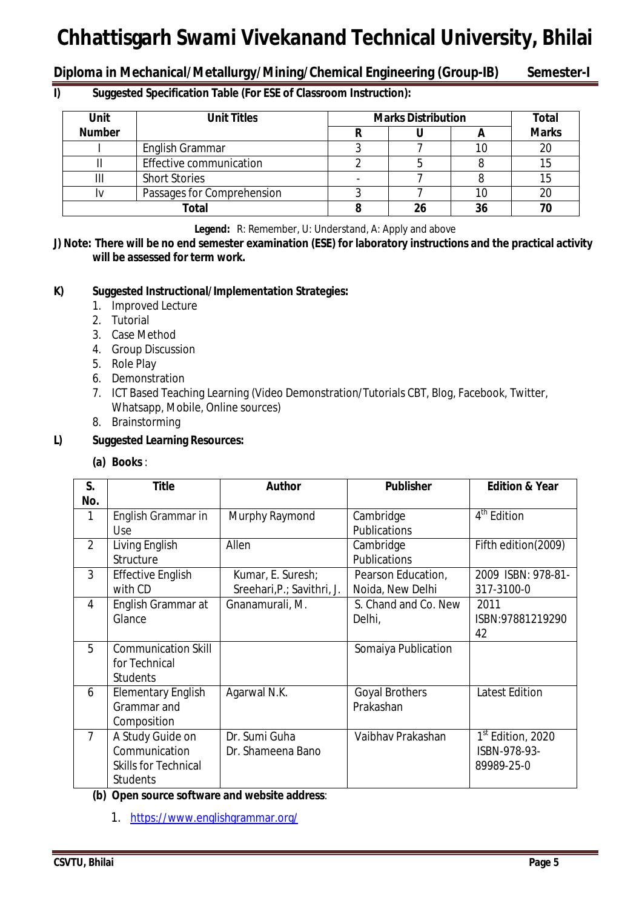## **Diploma in Mechanical/Metallurgy/Mining/Chemical Engineering (Group-IB) Semester-I**

### **I) Suggested Specification Table (For ESE of Classroom Instruction):**

| <b>Unit</b>   | <b>Unit Titles</b>         | <b>Marks Distribution</b> | <b>Total</b> |              |
|---------------|----------------------------|---------------------------|--------------|--------------|
| <b>Number</b> |                            |                           |              | <b>Marks</b> |
|               | English Grammar            |                           |              | 20           |
|               | Effective communication    |                           |              |              |
|               | <b>Short Stories</b>       |                           |              |              |
|               | Passages for Comprehension |                           |              |              |
|               | Total                      |                           | 36           | 70           |

**Legend:** R: Remember, U: Understand, A: Apply and above

**J) Note: There will be no end semester examination (ESE) for laboratory instructions and the practical activity will be assessed for term work.**

### **K) Suggested Instructional/Implementation Strategies:**

- 1. Improved Lecture
- 2. Tutorial
- 3. Case Method
- 4. Group Discussion
- 5. Role Play
- 6. Demonstration
- 7. ICT Based Teaching Learning (Video Demonstration/Tutorials CBT, Blog, Facebook, Twitter, Whatsapp, Mobile, Online sources)
- 8. Brainstorming

### **L) Suggested Learning Resources:**

#### **(a) Books** :

| S.<br>No.      | <b>Title</b>                                                                        | <b>Author</b>                                   | <b>Publisher</b>                       | <b>Edition &amp; Year</b>                                   |
|----------------|-------------------------------------------------------------------------------------|-------------------------------------------------|----------------------------------------|-------------------------------------------------------------|
| 1              | English Grammar in<br>Use                                                           | Murphy Raymond                                  | Cambridge<br>Publications              | 4 <sup>th</sup> Edition                                     |
| 2              | Living English<br>Structure                                                         | Allen                                           | Cambridge<br>Publications              | Fifth edition(2009)                                         |
| 3              | <b>Effective English</b><br>with CD                                                 | Kumar, E. Suresh;<br>Sreehari, P.; Savithri, J. | Pearson Education,<br>Noida, New Delhi | 2009 ISBN: 978-81-<br>317-3100-0                            |
| 4              | English Grammar at<br>Glance                                                        | Gnanamurali, M.                                 | S. Chand and Co. New<br>Delhi,         | 2011<br>ISBN:97881219290<br>42                              |
| 5              | <b>Communication Skill</b><br>for Technical<br><b>Students</b>                      |                                                 | Somaiya Publication                    |                                                             |
| 6              | <b>Elementary English</b><br>Grammar and<br>Composition                             | Agarwal N.K.                                    | <b>Goyal Brothers</b><br>Prakashan     | <b>Latest Edition</b>                                       |
| $\overline{7}$ | A Study Guide on<br>Communication<br><b>Skills for Technical</b><br><b>Students</b> | Dr. Sumi Guha<br>Dr. Shameena Bano              | Vaibhav Prakashan                      | 1 <sup>st</sup> Edition, 2020<br>ISBN-978-93-<br>89989-25-0 |

#### **(b) Open source software and website address**:

1. https://www.englishgrammar.org/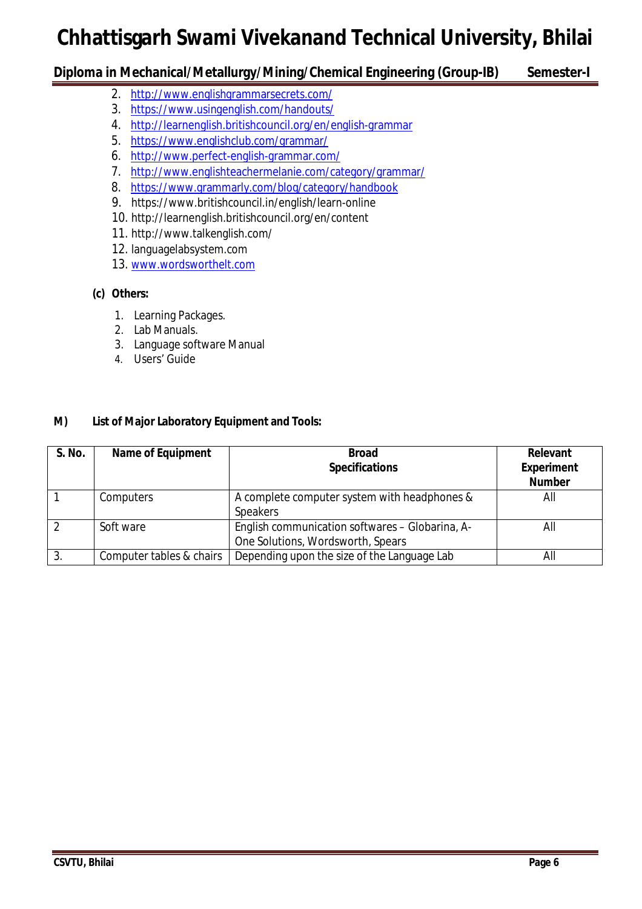## **Diploma in Mechanical/Metallurgy/Mining/Chemical Engineering (Group-IB) Semester-I**

- 2. http://www.englishgrammarsecrets.com/
- 3. https://www.usingenglish.com/handouts/
- 4. http://learnenglish.britishcouncil.org/en/english-grammar
- 5. https://www.englishclub.com/grammar/
- 6. http://www.perfect-english-grammar.com/
- 7. http://www.englishteachermelanie.com/category/grammar/
- 8. https://www.grammarly.com/blog/category/handbook
- 9. https://www.britishcouncil.in/english/learn-online
- 10. http://learnenglish.britishcouncil.org/en/content
- 11. http://www.talkenglish.com/
- 12. languagelabsystem.com
- 13. www.wordsworthelt.com

## **(c) Others:**

- 1. Learning Packages.
- 2. Lab Manuals.
- 3. Language software Manual
- 4. Users' Guide

## **M) List of Major Laboratory Equipment and Tools:**

| S. No.        | <b>Name of Equipment</b> | <b>Broad</b><br><b>Specifications</b>                                                | <b>Relevant</b><br><b>Experiment</b><br><b>Number</b> |
|---------------|--------------------------|--------------------------------------------------------------------------------------|-------------------------------------------------------|
|               | Computers                | A complete computer system with headphones &<br><b>Speakers</b>                      | All                                                   |
| $\mathcal{P}$ | Soft ware                | English communication softwares - Globarina, A-<br>One Solutions, Wordsworth, Spears | All                                                   |
| 3.            | Computer tables & chairs | Depending upon the size of the Language Lab                                          | All                                                   |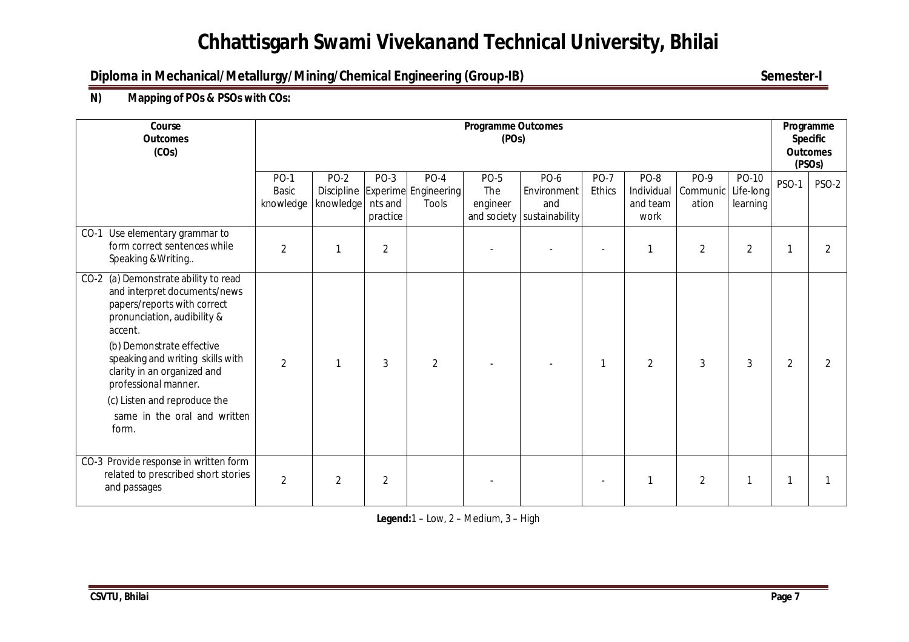## **Diploma in Mechanical/Metallurgy/Mining/Chemical Engineering (Group-IB)** Semester-I

## **N) Mapping of POs & PSOs with COs:**

| Course<br><b>Outcomes</b><br>(COs)                                                                                                                                                                                                                                                                                                             | <b>Programme Outcomes</b><br>(POs) |                     |                             |                                                                |                                |                                                          |                       |                                        | Programme<br><b>Specific</b><br><b>Outcomes</b><br>(PSO <sub>S</sub> ) |                                |                |       |
|------------------------------------------------------------------------------------------------------------------------------------------------------------------------------------------------------------------------------------------------------------------------------------------------------------------------------------------------|------------------------------------|---------------------|-----------------------------|----------------------------------------------------------------|--------------------------------|----------------------------------------------------------|-----------------------|----------------------------------------|------------------------------------------------------------------------|--------------------------------|----------------|-------|
|                                                                                                                                                                                                                                                                                                                                                | <b>PO-1</b><br>Basic<br>knowledge  | $PO-2$<br>knowledge | PO-3<br>nts and<br>practice | <b>PO-4</b><br>Discipline Experime Engineering<br><b>Tools</b> | <b>PO-5</b><br>The<br>engineer | PO-6<br>Environment<br>and<br>and society sustainability | <b>PO-7</b><br>Ethics | PO-8<br>Individual<br>and team<br>work | PO-9<br>Communic<br>ation                                              | PO-10<br>Life-long<br>learning | <b>PSO-1</b>   | PSO-2 |
| $CO-1$<br>Use elementary grammar to<br>form correct sentences while<br>Speaking & Writing                                                                                                                                                                                                                                                      | 2                                  | 1                   | $\overline{2}$              |                                                                |                                |                                                          |                       |                                        | $\overline{2}$                                                         | 2                              |                |       |
| CO-2 (a) Demonstrate ability to read<br>and interpret documents/news<br>papers/reports with correct<br>pronunciation, audibility &<br>accent.<br>(b) Demonstrate effective<br>speaking and writing skills with<br>clarity in an organized and<br>professional manner.<br>(c) Listen and reproduce the<br>same in the oral and written<br>form. | $\overline{2}$                     | $\mathbf{1}$        | 3                           | $\overline{2}$                                                 |                                |                                                          | 1                     | $\overline{2}$                         | 3                                                                      | 3                              | $\overline{2}$ |       |
| CO-3 Provide response in written form<br>related to prescribed short stories<br>and passages                                                                                                                                                                                                                                                   | $\overline{2}$                     | $\overline{2}$      | 2                           |                                                                |                                |                                                          |                       |                                        | 2                                                                      |                                |                |       |

**Legend:**1 – Low, 2 – Medium, 3 – High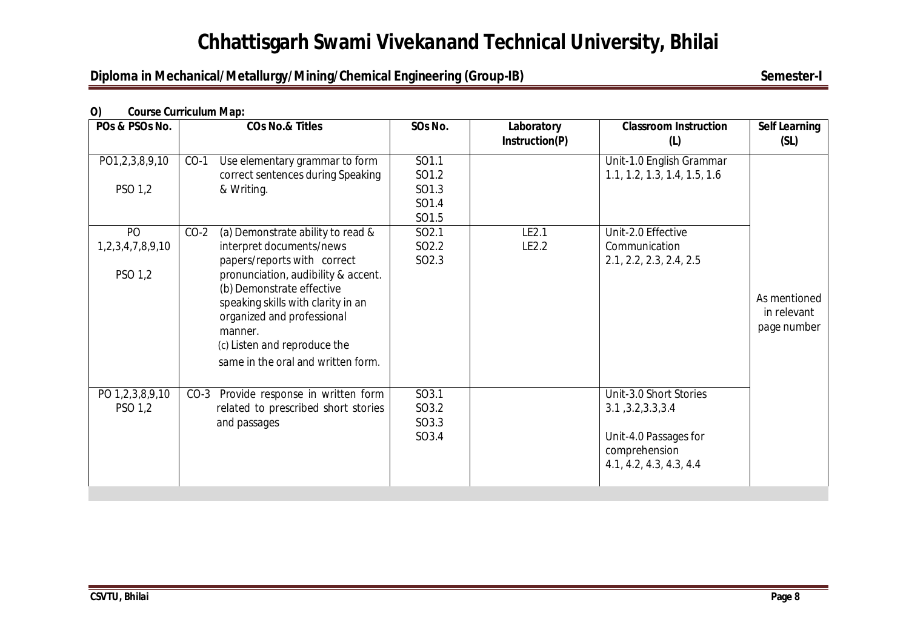## **Diploma in Mechanical/Metallurgy/Mining/Chemical Engineering (Group-IB)** Semester-I

### **O) Course Curriculum Map:**

| POs & PSOs No.   | <b>COs No.&amp; Titles</b>                                      | SOs No.           | Laboratory<br>Instruction(P) | <b>Classroom Instruction</b><br>(L) | <b>Self Learning</b><br>(SL) |
|------------------|-----------------------------------------------------------------|-------------------|------------------------------|-------------------------------------|------------------------------|
| PO1,2,3,8,9,10   | Use elementary grammar to form<br>$CO-1$                        | SO1.1             |                              | Unit-1.0 English Grammar            |                              |
|                  | correct sentences during Speaking                               | SO1.2             |                              | 1.1, 1.2, 1.3, 1.4, 1.5, 1.6        |                              |
| PSO 1,2          | & Writing.                                                      | SO1.3<br>SO1.4    |                              |                                     |                              |
|                  |                                                                 | SO1.5             |                              |                                     |                              |
| PO               | $CO-2$<br>(a) Demonstrate ability to read &                     | SO <sub>2.1</sub> | LE2.1                        | Unit-2.0 Effective                  |                              |
| 1,2,3,4,7,8,9,10 | interpret documents/news                                        | SO <sub>2.2</sub> | LE2.2                        | Communication                       |                              |
|                  | papers/reports with correct                                     | SO <sub>2.3</sub> |                              | 2.1, 2.2, 2.3, 2.4, 2.5             |                              |
| PSO 1,2          | pronunciation, audibility & accent.                             |                   |                              |                                     |                              |
|                  | (b) Demonstrate effective<br>speaking skills with clarity in an |                   |                              |                                     | As mentioned                 |
|                  | organized and professional                                      |                   |                              |                                     | in relevant                  |
|                  | manner.                                                         |                   |                              |                                     | page number                  |
|                  | (c) Listen and reproduce the                                    |                   |                              |                                     |                              |
|                  | same in the oral and written form.                              |                   |                              |                                     |                              |
|                  |                                                                 |                   |                              |                                     |                              |
| PO 1,2,3,8,9,10  | CO-3 Provide response in written form                           | SO3.1             |                              | Unit-3.0 Short Stories              |                              |
| PSO 1,2          | related to prescribed short stories                             | SO3.2             |                              | 3.1, 3.2, 3.3, 3.4                  |                              |
|                  | and passages                                                    | SO3.3<br>SO3.4    |                              | Unit-4.0 Passages for               |                              |
|                  |                                                                 |                   |                              | comprehension                       |                              |
|                  |                                                                 |                   |                              | 4.1, 4.2, 4.3, 4.3, 4.4             |                              |
|                  |                                                                 |                   |                              |                                     |                              |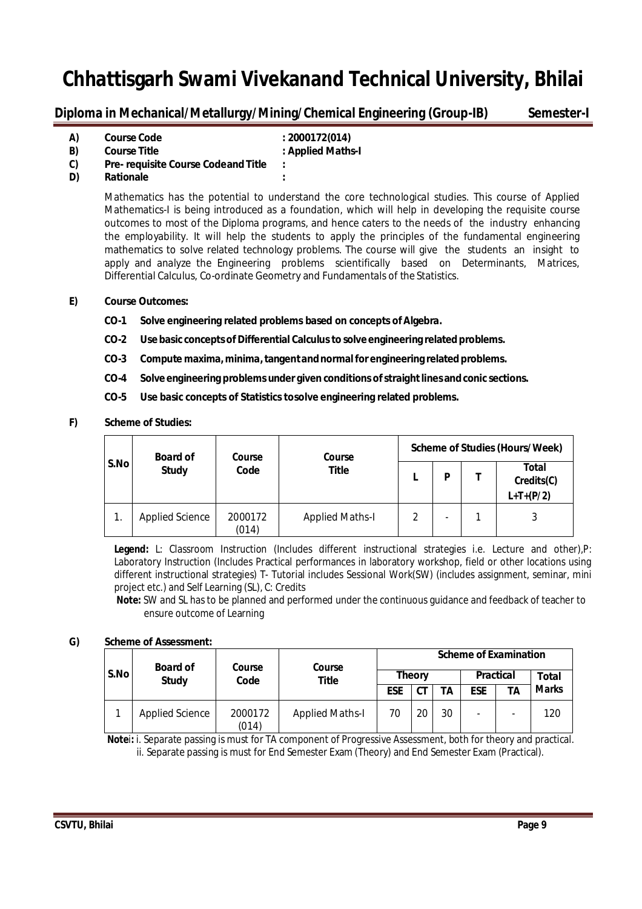**Diploma in Mechanical/Metallurgy/Mining/Chemical Engineering (Group-IB) Semester-I**

| A) | <b>Course Code</b>                         | : 2000172(014)    |
|----|--------------------------------------------|-------------------|
| B) | <b>Course Title</b>                        | : Applied Maths-I |
| C) | <b>Pre- requisite Course Codeand Title</b> | ٠                 |
| D) |                                            |                   |

**D) Rationale :**

Mathematics has the potential to understand the core technological studies. This course of Applied Mathematics-I is being introduced as a foundation, which will help in developing the requisite course outcomes to most of the Diploma programs, and hence caters to the needs of the industry enhancing the employability. It will help the students to apply the principles of the fundamental engineering mathematics to solve related technology problems. The course will give the students an insight to apply and analyze the Engineering problems scientifically based on Determinants, Matrices, Differential Calculus, Co-ordinate Geometry and Fundamentals of the Statistics.

#### **E) Course Outcomes:**

- **CO-1 Solve engineering related problems based on concepts ofAlgebra.**
- **CO-2 Use basic conceptsof Differential Calculusto solve engineering relatedproblems.**
- **CO-3 Compute maxima,minima,tangentandnormalfor engineering relatedproblems.**
- **CO-4 Solve engineering problems under given conditions ofstraightlinesandconic sections.**
- **CO-5 Use basic concepts of Statistics tosolve engineering related problems.**

#### **F) Scheme of Studies:**

|      | <b>Board of</b><br>Course |                  | Course                 | <b>Scheme of Studies (Hours/Week)</b> |                          |  |                                           |  |
|------|---------------------------|------------------|------------------------|---------------------------------------|--------------------------|--|-------------------------------------------|--|
| S.No | <b>Study</b>              | Code             | <b>Title</b>           |                                       | P                        |  | <b>Total</b><br>Credits(C)<br>$L+T+(P/2)$ |  |
| 1.   | <b>Applied Science</b>    | 2000172<br>(014) | <b>Applied Maths-I</b> | 2                                     | $\overline{\phantom{0}}$ |  | 3                                         |  |

**Legend:** L: Classroom Instruction (Includes different instructional strategies i.e. Lecture and other),P: Laboratory Instruction (Includes Practical performances in laboratory workshop, field or other locations using different instructional strategies) T- Tutorial includes Sessional Work(SW) (includes assignment, seminar, mini project etc.) and Self Learning (SL), C: Credits

 **Note:** SW and SL has to be planned and performed under the continuous guidance and feedback of teacher to ensure outcome of Learning

#### **G) Scheme of Assessment:**

|  |      | <b>Board of</b>        | Course           | Course                 |    |               |            |                  | <b>Scheme of Examination</b> |              |
|--|------|------------------------|------------------|------------------------|----|---------------|------------|------------------|------------------------------|--------------|
|  | S.No | <b>Study</b>           | Code             | Title                  |    | <b>Theory</b> |            | <b>Practical</b> |                              | <b>Total</b> |
|  |      |                        |                  | <b>ESE</b>             | СT | ТA            | <b>ESE</b> | TΑ               | <b>Marks</b>                 |              |
|  |      | <b>Applied Science</b> | 2000172<br>(014) | <b>Applied Maths-I</b> | 70 | 20            | 30         |                  | -                            | 120          |

 **Note**i**:** i. Separate passing is must for TA component of Progressive Assessment, both for theory and practical. ii. Separate passing is must for End Semester Exam (Theory) and End Semester Exam (Practical).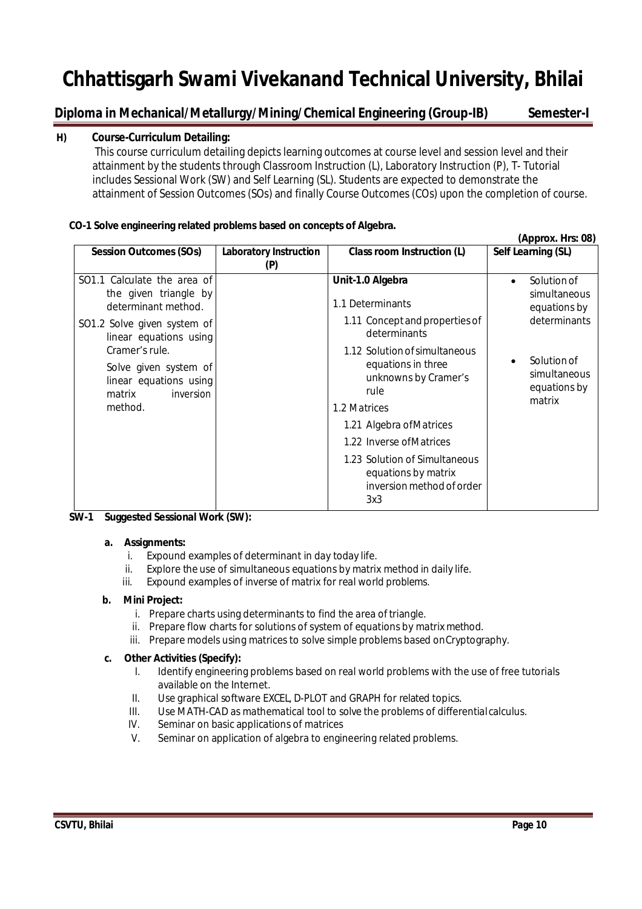## **Diploma in Mechanical/Metallurgy/Mining/Chemical Engineering (Group-IB) Semester-I**

#### **H) Course-Curriculum Detailing:**

This course curriculum detailing depicts learning outcomes at course level and session level and their attainment by the students through Classroom Instruction (L), Laboratory Instruction (P), T- Tutorial includes Sessional Work (SW) and Self Learning (SL). Students are expected to demonstrate the attainment of Session Outcomes (SOs) and finally Course Outcomes (COs) upon the completion of course.

#### **CO-1 Solve engineering related problems based on concepts of Algebra.**

|                                                                                                     |                                      |                                                                                                     | (Approx. Hrs: 08)                                        |
|-----------------------------------------------------------------------------------------------------|--------------------------------------|-----------------------------------------------------------------------------------------------------|----------------------------------------------------------|
| <b>Session Outcomes (SOs)</b>                                                                       | <b>Laboratory Instruction</b><br>(P) | Class room Instruction (L)                                                                          | Self Learning (SL)                                       |
| SO1.1 Calculate the area of<br>the given triangle by<br>determinant method.                         |                                      | Unit-1.0 Algebra<br>1.1 Determinants                                                                | Solution of<br>$\bullet$<br>simultaneous<br>equations by |
| SO1.2 Solve given system of<br>linear equations using                                               |                                      | 1.11 Concept and properties of<br>determinants                                                      | determinants                                             |
| Cramer's rule.<br>Solve given system of<br>linear equations using<br>inversion<br>matrix<br>method. |                                      | 1.12 Solution of simultaneous<br>equations in three<br>unknowns by Cramer's<br>rule<br>1.2 Matrices | Solution of<br>simultaneous<br>equations by<br>matrix    |
|                                                                                                     |                                      | 1.21 Algebra of Matrices<br>1.22 Inverse of Matrices                                                |                                                          |
|                                                                                                     |                                      | 1.23 Solution of Simultaneous<br>equations by matrix<br>inversion method of order<br>3x3            |                                                          |

#### **SW-1 Suggested Sessional Work (SW):**

#### **a. Assignments:**

- i. Expound examples of determinant in day today life.
- ii. Explore the use of simultaneous equations by matrix method in daily life.
- iii. Expound examples of inverse of matrix for real world problems.

#### **b. Mini Project:**

- i. Prepare charts using determinants to find the area of triangle.
- ii. Prepare flow charts for solutions of system of equations by matrix method.
- iii. Prepare models using matrices to solve simple problems based onCryptography.

- I. Identify engineering problems based on real world problems with the use of free tutorials available on the Internet.
- II. Use graphical software EXCEL, D-PLOT and GRAPH for related topics.
- III. Use MATH-CAD as mathematical tool to solve the problems of differentialcalculus.
- IV. Seminar on basic applications of matrices
- V. Seminar on application of algebra to engineering related problems.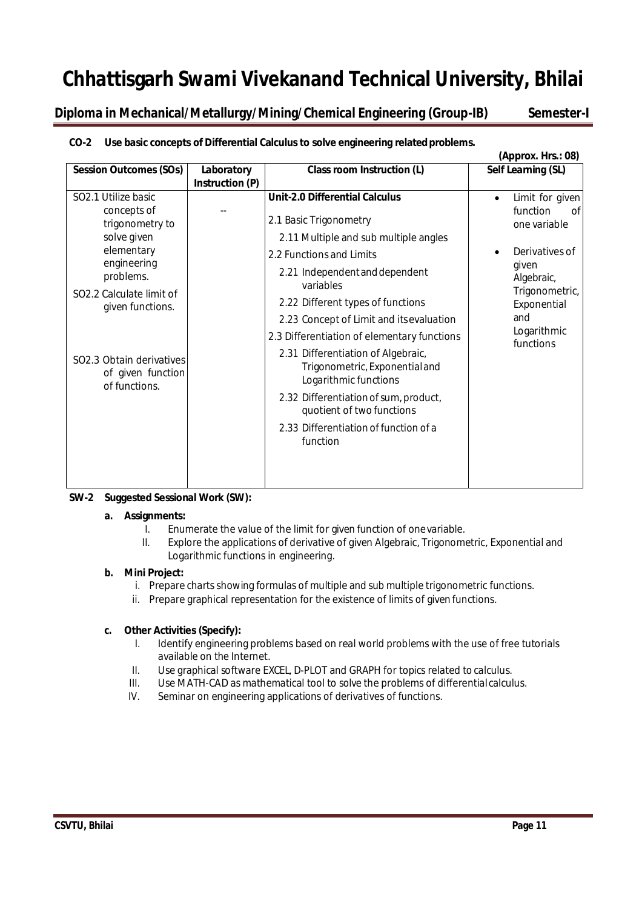**Diploma in Mechanical/Metallurgy/Mining/Chemical Engineering (Group-IB) Semester-I**

#### **(Approx. Hrs.: 08) Session Outcomes (SOs) Laboratory Instruction (P) Class room Instruction (L) Self Learning (SL)** SO2.1 Utilize basic concepts of trigonometry to solve given elementary engineering problems. SO2.2 Calculate limit of given functions. -- **Unit-2.0 Differential Calculus** 2.1 Basic Trigonometry 2.11 Multiple and sub multiple angles 2.2 Functions and Limits 2.21 Independentanddependent variables 2.22 Different types of functions 2.23 Concept of Limit and itsevaluation 2.3 Differentiation of elementary functions 2.31 Differentiation of Algebraic, Trigonometric, Exponentialand Logarithmic functions 2.32 Differentiation of sum, product, quotient of two functions 2.33 Differentiation of function of a function • Limit for given function of one variable Derivatives of given Algebraic, Trigonometric, Exponential and Logarithmic functions SO2.3 Obtain derivatives of given function of functions.

## **CO-2 Use basic concepts of Differential Calculus to solve engineering relatedproblems.**

#### **SW-2 Suggested Sessional Work (SW):**

#### **a. Assignments:**

- I. Enumerate the value of the limit for given function of onevariable.
- II. Explore the applications of derivative of given Algebraic, Trigonometric, Exponential and Logarithmic functions in engineering.

#### **b. Mini Project:**

- i. Prepare charts showing formulas of multiple and sub multiple trigonometric functions.
- ii. Prepare graphical representation for the existence of limits of given functions.

- I. Identify engineering problems based on real world problems with the use of free tutorials available on the Internet.
- II. Use graphical software EXCEL, D-PLOT and GRAPH for topics related to calculus.
- III. Use MATH-CAD as mathematical tool to solve the problems of differentialcalculus.
- IV. Seminar on engineering applications of derivatives of functions.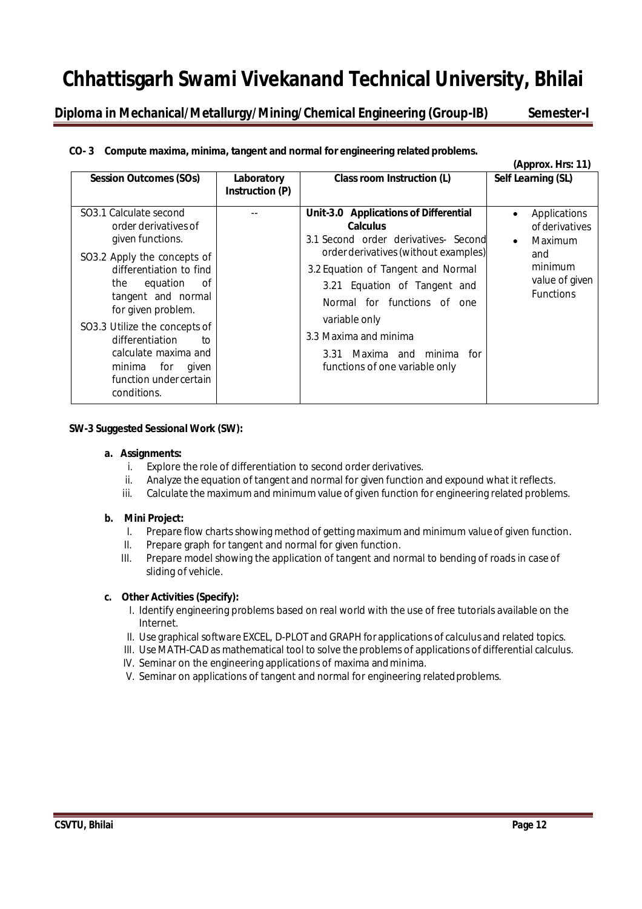**Diploma in Mechanical/Metallurgy/Mining/Chemical Engineering (Group-IB) Semester-I**

### **CO- 3 Compute maxima, minima, tangent and normal for engineering related problems.**

|                                                                                                                                                                                                                                                                                                                                                                     |                               |                                                                                                                                                                                                                                                                                                                                                         | (Approx. Hrs: 11)                                                                                              |
|---------------------------------------------------------------------------------------------------------------------------------------------------------------------------------------------------------------------------------------------------------------------------------------------------------------------------------------------------------------------|-------------------------------|---------------------------------------------------------------------------------------------------------------------------------------------------------------------------------------------------------------------------------------------------------------------------------------------------------------------------------------------------------|----------------------------------------------------------------------------------------------------------------|
| <b>Session Outcomes (SOs)</b>                                                                                                                                                                                                                                                                                                                                       | Laboratory<br>Instruction (P) | Class room Instruction (L)                                                                                                                                                                                                                                                                                                                              | Self Learning (SL)                                                                                             |
| SO <sub>3</sub> .1 Calculate second<br>order derivatives of<br>given functions.<br>SO3.2 Apply the concepts of<br>differentiation to find<br>the<br>equation<br>0f<br>tangent and normal<br>for given problem.<br>SO3.3 Utilize the concepts of<br>differentiation<br>to<br>calculate maxima and<br>for<br>minima<br>given<br>function under certain<br>conditions. |                               | Unit-3.0 Applications of Differential<br><b>Calculus</b><br>3.1 Second order derivatives- Second<br>order derivatives (without examples)<br>3.2 Equation of Tangent and Normal<br>3.21 Equation of Tangent and<br>Normal for functions of one<br>variable only<br>3.3 Maxima and minima<br>3.31 Maxima and minima for<br>functions of one variable only | Applications<br>$\bullet$<br>of derivatives<br>Maximum<br>and<br>minimum<br>value of given<br><b>Functions</b> |

#### **SW-3 Suggested Sessional Work (SW):**

#### **a. Assignments:**

- i. Explore the role of differentiation to second order derivatives.
- ii. Analyze the equation of tangent and normal for given function and expound what it reflects.
- iii. Calculate the maximum and minimum value of given function for engineering related problems.

#### **b. Mini Project:**

- I. Prepare flow charts showing method of getting maximum and minimum value of given function.
- II. Prepare graph for tangent and normal for given function.
- III. Prepare model showing the application of tangent and normal to bending of roads in case of sliding of vehicle.

- I. Identify engineering problems based on real world with the use of free tutorials available on the Internet.
- II. Use graphical software EXCEL, D-PLOT and GRAPH forapplications of calculus and related topics.
- III. Use MATH-CAD as mathematical tool to solve the problems of applications of differential calculus.
- IV. Seminar on the engineering applications of maxima andminima.
- V. Seminar on applications of tangent and normal for engineering relatedproblems.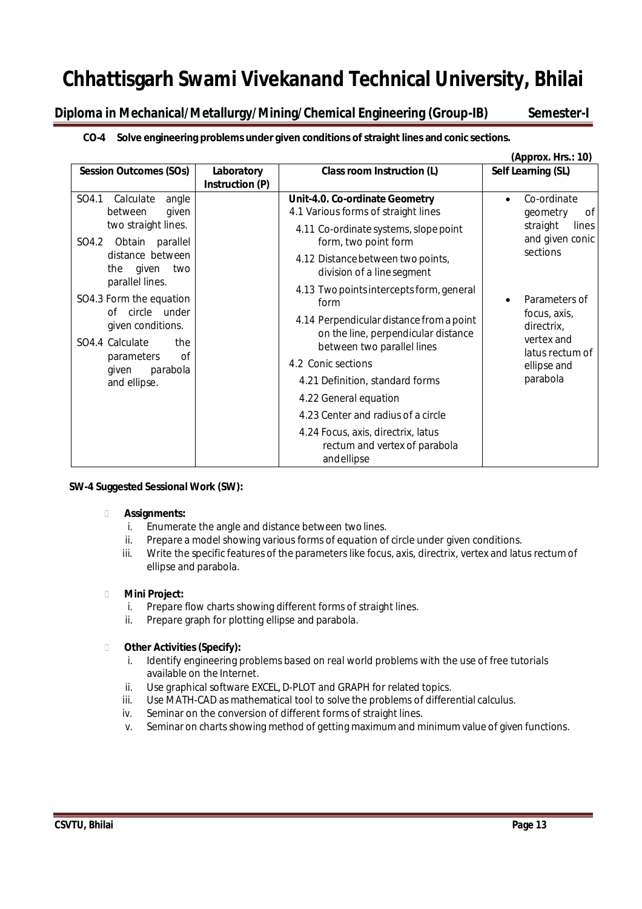**Diploma in Mechanical/Metallurgy/Mining/Chemical Engineering (Group-IB) Semester-I**

### **CO-4 Solve engineering problems under given conditions ofstraight lines and conic sections.**

|                                                                                                                                                                       |                                                             |                                                                                                                                                                                                                                                                                                                                                                                | (Approx. Hrs.: 10)                                                                                      |
|-----------------------------------------------------------------------------------------------------------------------------------------------------------------------|-------------------------------------------------------------|--------------------------------------------------------------------------------------------------------------------------------------------------------------------------------------------------------------------------------------------------------------------------------------------------------------------------------------------------------------------------------|---------------------------------------------------------------------------------------------------------|
| <b>Session Outcomes (SOs)</b>                                                                                                                                         | Class room Instruction (L)<br>Laboratory<br>Instruction (P) |                                                                                                                                                                                                                                                                                                                                                                                | Self Learning (SL)                                                                                      |
| SO4.1<br>Calculate<br>angle<br>between<br>given<br>two straight lines.<br>SO4.2 Obtain parallel<br>distance between<br>the given<br>two                               |                                                             | Unit-4.0. Co-ordinate Geometry<br>4.1 Various forms of straight lines<br>4.11 Co-ordinate systems, slope point<br>form, two point form<br>4.12 Distance between two points,<br>division of a line segment                                                                                                                                                                      | Co-ordinate<br>$\bullet$<br>geometry<br>0f<br>straight<br>lines<br>and given conic<br>sections          |
| parallel lines.<br>SO4.3 Form the equation<br>of circle under<br>given conditions.<br>SO4.4 Calculate<br>the<br>of<br>parameters<br>given<br>parabola<br>and ellipse. |                                                             | 4.13 Two points intercepts form, general<br>form<br>4.14 Perpendicular distance from a point<br>on the line, perpendicular distance<br>between two parallel lines<br>4.2 Conic sections<br>4.21 Definition, standard forms<br>4.22 General equation<br>4.23 Center and radius of a circle<br>4.24 Focus, axis, directrix, latus<br>rectum and vertex of parabola<br>andellipse | Parameters of<br>focus, axis,<br>directrix,<br>vertex and<br>latus rectum of<br>ellipse and<br>parabola |

#### **SW-4 Suggested Sessional Work (SW):**

#### **Assignments:**

- i. Enumerate the angle and distance between two lines.
- ii. Prepare a model showing various forms of equation of circle under given conditions.
- iii. Write the specific features of the parameters like focus, axis, directrix, vertex and latus rectum of ellipse and parabola.

#### **Mini Project:**

- i. Prepare flow charts showing different forms of straight lines.
- ii. Prepare graph for plotting ellipse and parabola.

- i. Identify engineering problems based on real world problems with the use of free tutorials available on the Internet.
- ii. Use graphical software EXCEL, D-PLOT and GRAPH for related topics.
- iii. Use MATH-CAD as mathematical tool to solve the problems of differential calculus.
- iv. Seminar on the conversion of different forms of straight lines.
- v. Seminar on charts showing method of getting maximum and minimum value of given functions.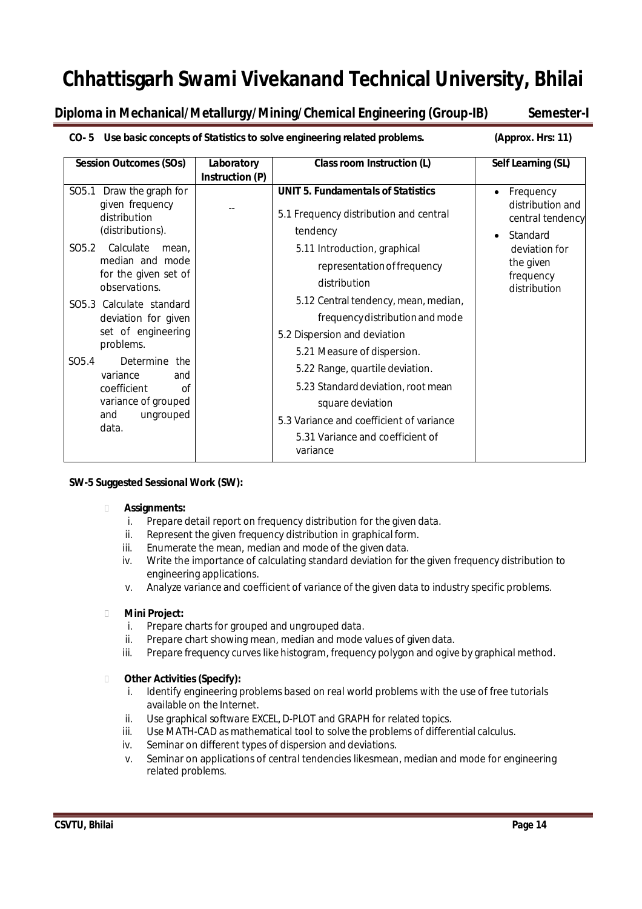## **Diploma in Mechanical/Metallurgy/Mining/Chemical Engineering (Group-IB) Semester-I**

#### **CO- 5 Use basic concepts of Statistics to solve engineering related problems. (Approx. Hrs: 11)**

| <b>Session Outcomes (SOs)</b>                                                                                                                                                                                                                                                                                               | Laboratory<br>Instruction (P) | Class room Instruction (L)                                                                                                                                                                                                                                                                                                                                                                                     | Self Learning (SL)                                            |
|-----------------------------------------------------------------------------------------------------------------------------------------------------------------------------------------------------------------------------------------------------------------------------------------------------------------------------|-------------------------------|----------------------------------------------------------------------------------------------------------------------------------------------------------------------------------------------------------------------------------------------------------------------------------------------------------------------------------------------------------------------------------------------------------------|---------------------------------------------------------------|
| SO <sub>5.1</sub><br>Draw the graph for<br>given frequency<br>distribution<br>(distributions).                                                                                                                                                                                                                              |                               | <b>UNIT 5. Fundamentals of Statistics</b><br>5.1 Frequency distribution and central<br>tendency                                                                                                                                                                                                                                                                                                                | Frequency<br>distribution and<br>central tendency<br>Standard |
| Calculate<br>SO <sub>5.2</sub><br>mean.<br>median and mode<br>for the given set of<br>observations.<br>SO5.3 Calculate standard<br>deviation for given<br>set of engineering<br>problems.<br>SO <sub>5.4</sub><br>Determine the<br>variance<br>and<br>coefficient<br>Ωf<br>variance of grouped<br>ungrouped<br>and<br>data. |                               | 5.11 Introduction, graphical<br>representation of frequency<br>distribution<br>5.12 Central tendency, mean, median,<br>frequency distribution and mode<br>5.2 Dispersion and deviation<br>5.21 Measure of dispersion.<br>5.22 Range, quartile deviation.<br>5.23 Standard deviation, root mean<br>square deviation<br>5.3 Variance and coefficient of variance<br>5.31 Variance and coefficient of<br>variance | deviation for<br>the given<br>frequency<br>distribution       |

#### **SW-5 Suggested Sessional Work (SW):**

#### **Assignments:**

- i. Prepare detail report on frequency distribution for the given data.
- ii. Represent the given frequency distribution in graphical form.
- iii. Enumerate the mean, median and mode of the given data.
- iv. Write the importance of calculating standard deviation for the given frequency distribution to engineering applications.
- v. Analyze variance and coefficient of variance of the given data to industry specific problems.

#### **Mini Project:**

- i. Prepare charts for grouped and ungrouped data.
- ii. Prepare chart showing mean, median and mode values of given data.
- iii. Prepare frequency curves like histogram, frequency polygon and ogive by graphical method.

- i. Identify engineering problems based on real world problems with the use of free tutorials available on the Internet.
- ii. Use graphical software EXCEL, D-PLOT and GRAPH for related topics.
- iii. Use MATH-CAD as mathematical tool to solve the problems of differential calculus.
- iv. Seminar on different types of dispersion and deviations.
- v. Seminar on applications of central tendencies likesmean, median and mode for engineering related problems.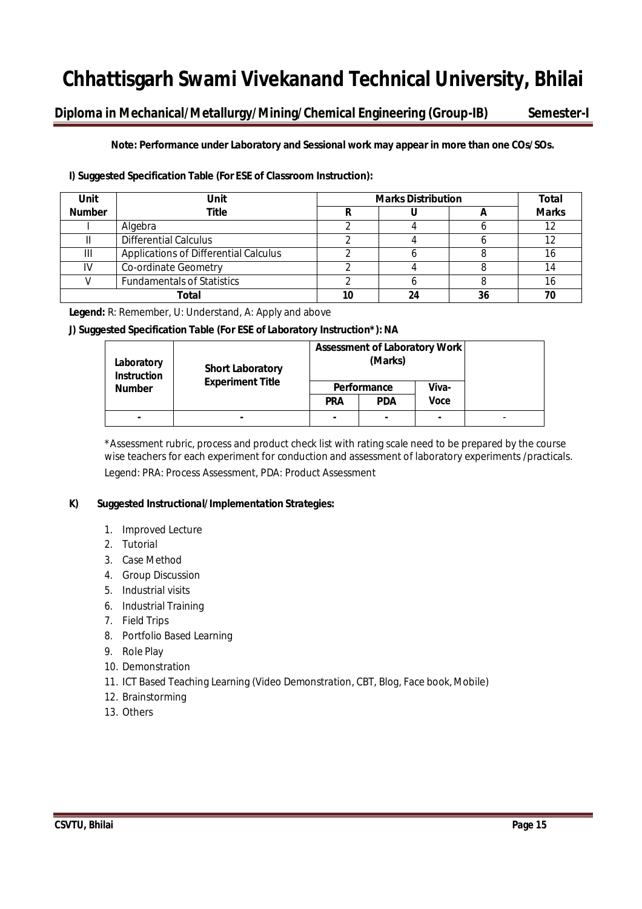## **Diploma in Mechanical/Metallurgy/Mining/Chemical Engineering (Group-IB) Semester-I**

**Note: Performance under Laboratory and Sessional work may appear in more than one COs/SOs.**

#### **I) Suggested Specification Table (For ESE of Classroom Instruction):**

| <b>Unit</b>   | Unit                                  | <b>Marks Distribution</b> |    |              |  |
|---------------|---------------------------------------|---------------------------|----|--------------|--|
| <b>Number</b> | Title                                 |                           |    | <b>Marks</b> |  |
|               | Algebra                               |                           |    | 12           |  |
|               | <b>Differential Calculus</b>          |                           |    |              |  |
| Ш             | Applications of Differential Calculus |                           |    | 16           |  |
| IV            | Co-ordinate Geometry                  |                           |    | 14           |  |
|               | <b>Fundamentals of Statistics</b>     |                           |    | 16           |  |
|               | Total                                 | 24                        | 36 |              |  |

**Legend:** R: Remember, U: Understand, A: Apply and above

#### **J) Suggested Specification Table (For ESE of Laboratory Instruction\*):NA**

| Laboratory<br><b>Instruction</b> | <b>Short Laboratory</b> |                | <b>Assessment of Laboratory Work</b><br>(Marks) |       |  |
|----------------------------------|-------------------------|----------------|-------------------------------------------------|-------|--|
| <b>Number</b>                    | <b>Experiment Title</b> | Performance    |                                                 | Viva- |  |
|                                  |                         | <b>PRA</b>     | <b>PDA</b>                                      | Voce  |  |
| $\blacksquare$                   | ۰.                      | $\blacksquare$ | ۰.                                              | ٠     |  |

\*Assessment rubric, process and product check list with rating scale need to be prepared by the course wise teachers for each experiment for conduction and assessment of laboratory experiments /practicals. Legend: PRA: Process Assessment, PDA: Product Assessment

#### **K) Suggested Instructional/Implementation Strategies:**

- 1. Improved Lecture
- 2. Tutorial
- 3. Case Method
- 4. Group Discussion
- 5. Industrial visits
- 6. Industrial Training
- 7. Field Trips
- 8. Portfolio Based Learning
- 9. Role Play
- 10. Demonstration
- 11. ICT Based Teaching Learning (Video Demonstration, CBT, Blog, Face book, Mobile)
- 12. Brainstorming
- 13. Others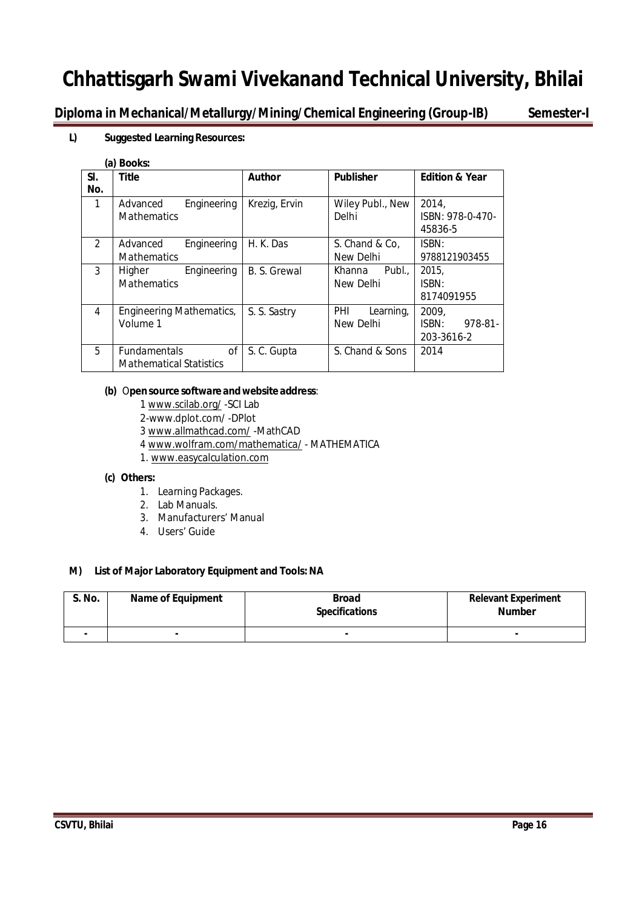**Diploma in Mechanical/Metallurgy/Mining/Chemical Engineering (Group-IB) Semester-I**

#### **L) Suggested Learning Resources:**

#### **(a) Books:**

|                | w, poors.                                     |               |                                  |                           |
|----------------|-----------------------------------------------|---------------|----------------------------------|---------------------------|
| SI.<br>No.     | <b>Title</b>                                  | <b>Author</b> | <b>Publisher</b>                 | <b>Edition &amp; Year</b> |
|                |                                               |               |                                  |                           |
| 1              | Engineering<br>Advanced<br><b>Mathematics</b> | Krezig, Ervin | Wiley Publ., New<br><b>Delhi</b> | 2014.<br>ISBN: 978-0-470- |
|                |                                               |               |                                  |                           |
|                |                                               |               |                                  | 45836-5                   |
| $\mathfrak{D}$ | Engineering<br>Advanced                       | H. K. Das     | S. Chand & Co,                   | ISBN:                     |
|                | <b>Mathematics</b>                            |               | New Delhi                        | 9788121903455             |
| 3              | Engineering<br>Higher                         | B. S. Grewal  | Publ.,<br>Khanna                 | 2015,                     |
|                | <b>Mathematics</b>                            |               | New Delhi                        | ISBN:                     |
|                |                                               |               |                                  | 8174091955                |
| 4              | Engineering Mathematics,                      | S. S. Sastry  | PHI<br>Learning,                 | 2009.                     |
|                | Volume 1                                      |               | New Delhi                        | ISBN:<br>978-81-          |
|                |                                               |               |                                  | 203-3616-2                |
| 5              | Fundamentals<br>οf                            | S.C. Gupta    | S. Chand & Sons                  | 2014                      |
|                | <b>Mathematical Statistics</b>                |               |                                  |                           |

#### **(b)** O**pensource software andwebsite address**:

- 1 www.scilab.org/ -SCI Lab
- 2-www.dplot.com/ -DPlot
- 3 www.allmathcad.com/ -MathCAD
- 4 www.wolfram.com/mathematica/ MATHEMATICA
- 1. www.easycalculation.com

#### **(c) Others:**

- 1. Learning Packages.
- 2. Lab Manuals.
- 3. Manufacturers' Manual
- 4. Users' Guide

#### **M) List of Major Laboratory Equipment and Tools:NA**

| <b>S. No.</b> | <b>Name of Equipment</b> | <b>Broad</b><br><b>Specifications</b> | <b>Relevant Experiment</b><br><b>Number</b> |
|---------------|--------------------------|---------------------------------------|---------------------------------------------|
|               |                          | $\blacksquare$                        |                                             |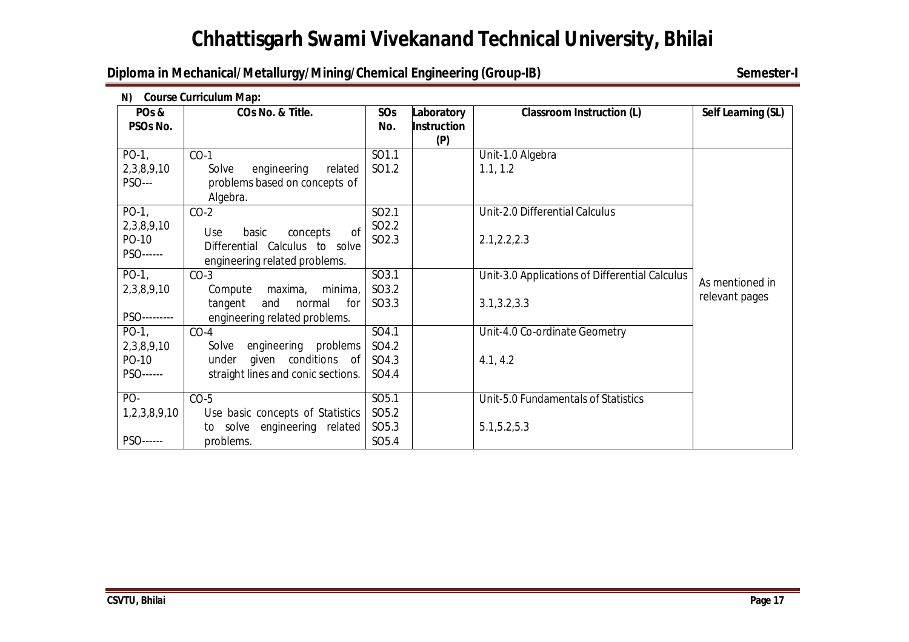## **Diploma in Mechanical/Metallurgy/Mining/Chemical Engineering (Group-IB)** Semester-I

| N)                               | <b>Course Curriculum Map:</b>                                                                                |                                        |                                         |                                                |                    |  |  |
|----------------------------------|--------------------------------------------------------------------------------------------------------------|----------------------------------------|-----------------------------------------|------------------------------------------------|--------------------|--|--|
| PO <sub>s</sub> &<br>PSOs No.    | COs No. & Title.                                                                                             | SOs<br>No.                             | Laboratory<br><b>Instruction</b><br>(P) | <b>Classroom Instruction (L)</b>               | Self Learning (SL) |  |  |
| $PO-1$ ,                         | $CO-1$                                                                                                       | SO1.1                                  |                                         | Unit-1.0 Algebra                               |                    |  |  |
| 2,3,8,9,10<br><b>PSO---</b>      | engineering<br>related<br>Solve<br>problems based on concepts of<br>Algebra.                                 | SO1.2                                  |                                         | 1.1, 1.2                                       |                    |  |  |
| $PO-1$ ,                         | $CO-2$                                                                                                       | SO <sub>2.1</sub>                      |                                         | Unit-2.0 Differential Calculus                 |                    |  |  |
| 2,3,8,9,10<br>PO-10<br>PSO------ | <sub>of</sub><br>basic<br>concepts<br>Use<br>Differential Calculus to solve<br>engineering related problems. | SO <sub>2.2</sub><br>SO <sub>2.3</sub> |                                         | 2.1, 2.2, 2.3                                  |                    |  |  |
| $PO-1$ ,                         | $CO-3$                                                                                                       | SO3.1                                  |                                         | Unit-3.0 Applications of Differential Calculus | As mentioned in    |  |  |
| 2,3,8,9,10                       | minima,<br>Compute<br>maxima,                                                                                | SO3.2                                  |                                         |                                                | relevant pages     |  |  |
| PSO---------                     | and<br>tangent<br>normal<br>for<br>engineering related problems.                                             | SO3.3                                  |                                         | 3.1, 3.2, 3.3                                  |                    |  |  |
| $PO-1$ ,                         | $CO-4$                                                                                                       | SO4.1                                  |                                         | Unit-4.0 Co-ordinate Geometry                  |                    |  |  |
| 2,3,8,9,10                       | problems<br>engineering<br>Solve                                                                             | SO4.2                                  |                                         |                                                |                    |  |  |
| PO-10                            | given conditions of<br>under                                                                                 | SO4.3                                  |                                         | 4.1, 4.2                                       |                    |  |  |
| PSO------                        | straight lines and conic sections.                                                                           | SO4.4                                  |                                         |                                                |                    |  |  |
| PO-                              | $CO-5$                                                                                                       | SO5.1                                  |                                         | Unit-5.0 Fundamentals of Statistics            |                    |  |  |
| 1,2,3,8,9,10                     | Use basic concepts of Statistics                                                                             | SO <sub>5.2</sub>                      |                                         |                                                |                    |  |  |
|                                  | to solve engineering related                                                                                 | SO <sub>5.3</sub>                      |                                         | 5.1, 5.2, 5.3                                  |                    |  |  |
| PSO------                        | problems.                                                                                                    | SO <sub>5.4</sub>                      |                                         |                                                |                    |  |  |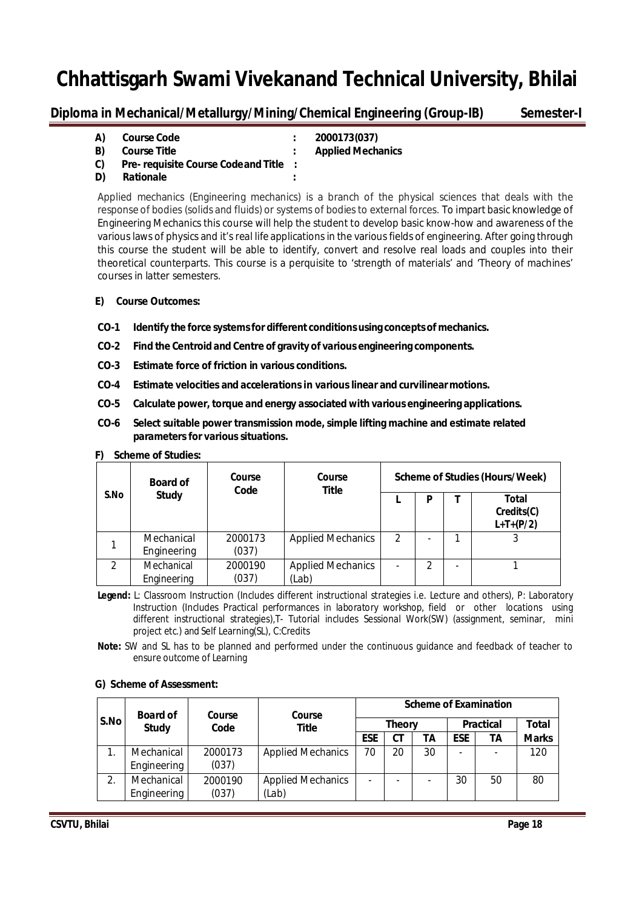**Diploma in Mechanical/Metallurgy/Mining/Chemical Engineering (Group-IB) Semester-I**

| A)  | <b>Course Code</b>                    | 2000173(037)             |
|-----|---------------------------------------|--------------------------|
| B). | <b>Course Title</b>                   | <b>Applied Mechanics</b> |
| C). | Pre-requisite Course Code and Title : |                          |
| D)  | Rationale                             |                          |

Applied mechanics (Engineering mechanics) is a branch of the physical sciences that deals with the response of bodies (solids and fluids) or systems of bodies to external forces. To impart basic knowledge of Engineering Mechanics this course will help the student to develop basic know-how and awareness of the various laws of physics and it's real life applications in the various fields of engineering. After going through this course the student will be able to identify, convert and resolve real loads and couples into their theoretical counterparts. This course is a perquisite to 'strength of materials' and 'Theory of machines' courses in latter semesters.

#### **E) Course Outcomes:**

- **CO-1 Identify the force systemsfor different conditionsusing conceptsof mechanics.**
- **CO-2 Find the Centroid and Centre of gravity of various engineering components.**
- **CO-3 Estimate force of friction in various conditions.**
- **CO-4 Estimate velocities and accelerations in various linear and curvilinearmotions.**
- **CO-5 Calculate power, torque and energy associated with various engineering applications.**
- **CO-6 Select suitable power transmission mode, simple lifting machine and estimate related parameters for various situations.**

|      | <b>Board of</b>           | <b>Course</b><br>Code | Course<br><b>Title</b>            |                          |   | <b>Scheme of Studies (Hours/Week)</b> |
|------|---------------------------|-----------------------|-----------------------------------|--------------------------|---|---------------------------------------|
| S.No | <b>Study</b>              |                       |                                   |                          | P | Total<br>Credits(C)<br>$L+T+(P/2)$    |
|      | Mechanical<br>Engineering | 2000173<br>(037)      | <b>Applied Mechanics</b>          | $\mathfrak{p}$           |   |                                       |
| 2    | Mechanical<br>Engineering | 2000190<br>(037)      | <b>Applied Mechanics</b><br>(Lab) | $\overline{\phantom{0}}$ | 2 |                                       |

#### **F) Scheme of Studies:**

- **Legend:** L: Classroom Instruction (Includes different instructional strategies i.e. Lecture and others), P: Laboratory Instruction (Includes Practical performances in laboratory workshop, field or other locations using different instructional strategies),T- Tutorial includes Sessional Work(SW) (assignment, seminar, mini project etc.) and Self Learning(SL), C:Credits
- **Note:** SW and SL has to be planned and performed under the continuous guidance and feedback of teacher to ensure outcome of Learning

|      | <b>Board of</b> | Course  | Course                   |                          |               |    |            | <b>Scheme of Examination</b> |              |
|------|-----------------|---------|--------------------------|--------------------------|---------------|----|------------|------------------------------|--------------|
| S.No | <b>Study</b>    | Code    | Title                    |                          | <b>Theory</b> |    |            | <b>Practical</b>             | Total        |
|      |                 |         |                          | <b>ESE</b>               | СT            | TΑ | <b>ESE</b> | ΤA                           | <b>Marks</b> |
|      | Mechanical      | 2000173 | <b>Applied Mechanics</b> | 70                       | 20            | 30 |            |                              | 120          |
|      | Engineering     | (037)   |                          |                          |               |    |            |                              |              |
| 2.   | Mechanical      | 2000190 | <b>Applied Mechanics</b> | $\overline{\phantom{0}}$ |               |    | 30         | 50                           | 80           |
|      | Engineering     | (037)   | (Lab)                    |                          |               |    |            |                              |              |

#### **G) Scheme of Assessment:**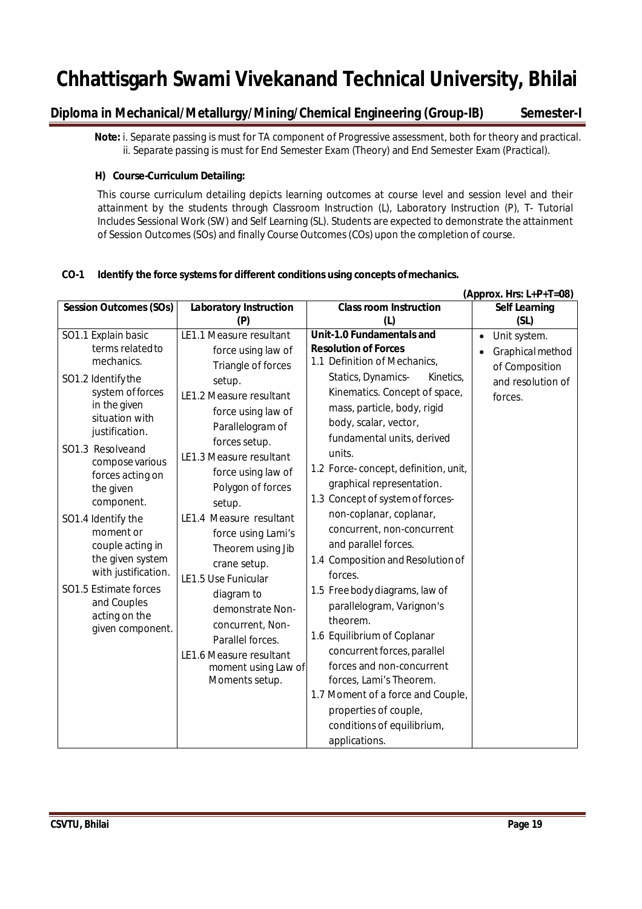## **Diploma in Mechanical/Metallurgy/Mining/Chemical Engineering (Group-IB) Semester-I**

 **Note:** i. Separate passing is must for TA component of Progressive assessment, both for theory and practical. ii. Separate passing is must for End Semester Exam (Theory) and End Semester Exam (Practical).

#### **H) Course-Curriculum Detailing:**

This course curriculum detailing depicts learning outcomes at course level and session level and their attainment by the students through Classroom Instruction (L), Laboratory Instruction (P), T- Tutorial Includes Sessional Work (SW) and Self Learning (SL). Students are expected to demonstrate the attainment of Session Outcomes (SOs) and finally Course Outcomes(COs) upon the completion of course.

#### **CO-1 Identify the force systems for different conditions using concepts ofmechanics.**

|                                   |                               |                                      | (Approx. Hrs: L+P+T=08)   |
|-----------------------------------|-------------------------------|--------------------------------------|---------------------------|
| <b>Session Outcomes (SOs)</b>     | <b>Laboratory Instruction</b> | <b>Class room Instruction</b>        | <b>Self Learning</b>      |
|                                   | (P)                           | (L)                                  | (SL)                      |
| SO1.1 Explain basic               | LE1.1 Measure resultant       | Unit-1.0 Fundamentals and            | Unit system.<br>$\bullet$ |
| terms related to                  | force using law of            | <b>Resolution of Forces</b>          | Graphical method          |
| mechanics.                        | Triangle of forces            | 1.1 Definition of Mechanics,         | of Composition            |
| SO1.2 Identify the                | setup.                        | Statics, Dynamics-<br>Kinetics,      | and resolution of         |
| system of forces                  | LE1.2 Measure resultant       | Kinematics. Concept of space,        | forces.                   |
| in the given                      | force using law of            | mass, particle, body, rigid          |                           |
| situation with                    | Parallelogram of              | body, scalar, vector,                |                           |
| justification.                    | forces setup.                 | fundamental units, derived           |                           |
| SO1.3 Resolveand                  | LE1.3 Measure resultant       | units.                               |                           |
| compose various                   |                               | 1.2 Force-concept, definition, unit, |                           |
| forces acting on                  | force using law of            | graphical representation.            |                           |
| the given                         | Polygon of forces             | 1.3 Concept of system of forces-     |                           |
| component.                        | setup.                        | non-coplanar, coplanar,              |                           |
| SO1.4 Identify the                | LE1.4 Measure resultant       |                                      |                           |
| moment or                         | force using Lami's            | concurrent, non-concurrent           |                           |
| couple acting in                  | Theorem using Jib             | and parallel forces.                 |                           |
| the given system                  | crane setup.                  | 1.4 Composition and Resolution of    |                           |
| with justification.               | LE1.5 Use Funicular           | forces.                              |                           |
| SO1.5 Estimate forces             | diagram to                    | 1.5 Free body diagrams, law of       |                           |
| and Couples                       | demonstrate Non-              | parallelogram, Varignon's            |                           |
| acting on the<br>given component. | concurrent, Non-              | theorem.                             |                           |
|                                   | Parallel forces.              | 1.6 Equilibrium of Coplanar          |                           |
|                                   | LE1.6 Measure resultant       | concurrent forces, parallel          |                           |
|                                   | moment using Law of           | forces and non-concurrent            |                           |
|                                   | Moments setup.                | forces, Lami's Theorem.              |                           |
|                                   |                               | 1.7 Moment of a force and Couple,    |                           |
|                                   |                               | properties of couple,                |                           |
|                                   |                               | conditions of equilibrium,           |                           |
|                                   |                               | applications.                        |                           |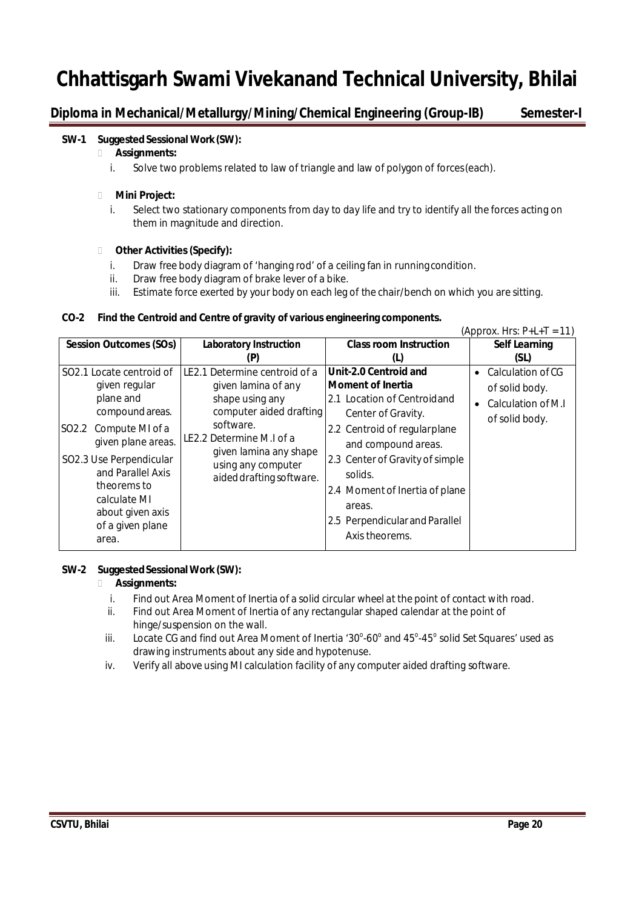## **Diploma in Mechanical/Metallurgy/Mining/Chemical Engineering (Group-IB) Semester-I**

#### **SW-1** Suggested Sessional Work (SW):

#### **Assignments:**

i. Solve two problems related to law of triangle and law of polygon of forces(each).

#### **Mini Project:**

i. Select two stationary components from day to day life and try to identify all the forces acting on them in magnitude and direction.

#### **Other Activities(Specify):**

- i. Draw free body diagram of 'hanging rod' of a ceiling fan in runningcondition.
- ii. Draw free body diagram of brake lever of a bike.
- iii. Estimate force exerted by your body on each leg of the chair/bench on which you are sitting.

#### **CO-2 Find the Centroid and Centre of gravity of various engineering components.**

| <b>Session Outcomes (SOs)</b><br><b>Class room Instruction</b><br><b>Laboratory Instruction</b><br>(SL)<br>(P)<br>(L)<br>LE2.1 Determine centroid of a<br>Unit-2.0 Centroid and<br>SO <sub>2.1</sub> Locate centroid of<br>$\bullet$<br><b>Moment of Inertia</b><br>given regular<br>given lamina of any<br>shape using any<br>plane and<br>2.1 Location of Centroidand<br>$\bullet$<br>computer aided drafting<br>compound areas.<br>Center of Gravity.<br>software.<br>2.2 Centroid of regularplane<br>SO2.2<br>Compute MI of a<br>LE2.2 Determine M.I of a<br>given plane areas.<br>and compound areas.<br>given lamina any shape<br>2.3 Center of Gravity of simple<br>SO2.3 Use Perpendicular |                   |                    | (Approx. Hrs: $P+L+T = 11$ )                                                 |
|----------------------------------------------------------------------------------------------------------------------------------------------------------------------------------------------------------------------------------------------------------------------------------------------------------------------------------------------------------------------------------------------------------------------------------------------------------------------------------------------------------------------------------------------------------------------------------------------------------------------------------------------------------------------------------------------------|-------------------|--------------------|------------------------------------------------------------------------------|
|                                                                                                                                                                                                                                                                                                                                                                                                                                                                                                                                                                                                                                                                                                    |                   |                    | <b>Self Learning</b>                                                         |
|                                                                                                                                                                                                                                                                                                                                                                                                                                                                                                                                                                                                                                                                                                    |                   |                    |                                                                              |
| solids.<br>aided drafting software.<br>theorems to<br>2.4 Moment of Inertia of plane<br>calculate MI<br>areas.<br>about given axis<br>2.5 Perpendicular and Parallel<br>of a given plane<br>Axis theorems.                                                                                                                                                                                                                                                                                                                                                                                                                                                                                         | and Parallel Axis | using any computer | Calculation of CG<br>of solid body.<br>Calculation of M.I.<br>of solid body. |

#### **SW-2 SuggestedSessionalWork (SW):**

#### **Assignments:**

- i. Find out Area Moment of Inertia of a solid circular wheel at the point of contact with road.
- ii. Find out Area Moment of Inertia of any rectangular shaped calendar at the point of hinge/suspension on the wall.
- iii. Locate CG and find out Area Moment of Inertia '30 $^{\circ}$ -60 $^{\circ}$  and 45 $^{\circ}$ -45 $^{\circ}$  solid Set Squares' used as drawing instruments about any side and hypotenuse.
- iv. Verify all above using MI calculation facility of any computer aided drafting software.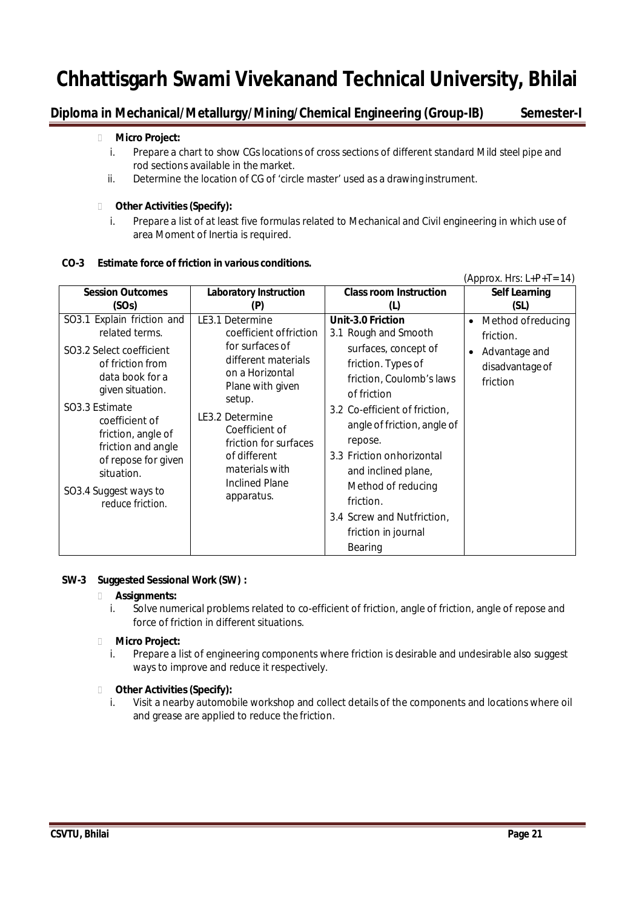## **Diploma in Mechanical/Metallurgy/Mining/Chemical Engineering (Group-IB) Semester-I**

#### **Micro Project:**

- i. Prepare a chart to show CGs locations of cross sections of different standard Mild steel pipe and rod sections available in the market.
- ii. Determine the location of CG of 'circle master' used as a drawing instrument.

#### **Other Activities(Specify):**

i. Prepare a list of at least five formulas related to Mechanical and Civil engineering in which use of area Moment of Inertia is required.

#### **CO-3 Estimate force of friction in various conditions.**

|                                                                                                                                                                                                                                                                                                       |                                                                                                                                                                                                                                                                              |                                                                                                                                                                                                                                                                                                                                                                       | (Approx. Hrs: $L+P+T=14$ )                                                                                |
|-------------------------------------------------------------------------------------------------------------------------------------------------------------------------------------------------------------------------------------------------------------------------------------------------------|------------------------------------------------------------------------------------------------------------------------------------------------------------------------------------------------------------------------------------------------------------------------------|-----------------------------------------------------------------------------------------------------------------------------------------------------------------------------------------------------------------------------------------------------------------------------------------------------------------------------------------------------------------------|-----------------------------------------------------------------------------------------------------------|
| <b>Session Outcomes</b><br>(SOs)                                                                                                                                                                                                                                                                      | <b>Laboratory Instruction</b><br>(P)                                                                                                                                                                                                                                         | <b>Class room Instruction</b><br>(L)                                                                                                                                                                                                                                                                                                                                  | <b>Self Learning</b><br>(SL)                                                                              |
| SO3.1 Explain friction and<br>related terms.<br>SO3.2 Select coefficient<br>of friction from<br>data book for a<br>given situation.<br>SO3.3 Estimate<br>coefficient of<br>friction, angle of<br>friction and angle<br>of repose for given<br>situation.<br>SO3.4 Suggest ways to<br>reduce friction. | LE3.1 Determine<br>coefficient of friction<br>for surfaces of<br>different materials<br>on a Horizontal<br>Plane with given<br>setup.<br>LE3.2 Determine<br>Coefficient of<br>friction for surfaces<br>of different<br>materials with<br><b>Inclined Plane</b><br>apparatus. | Unit-3.0 Friction<br>3.1 Rough and Smooth<br>surfaces, concept of<br>friction. Types of<br>friction, Coulomb's laws<br>of friction<br>3.2 Co-efficient of friction,<br>angle of friction, angle of<br>repose.<br>3.3 Friction on horizontal<br>and inclined plane,<br>Method of reducing<br>friction.<br>3.4 Screw and Nutfriction,<br>friction in journal<br>Bearing | Method of reducing<br>$\bullet$<br>friction.<br>Advantage and<br>$\bullet$<br>disadvantage of<br>friction |

#### **SW-3 Suggested Sessional Work (SW) :**

#### **Assignments:**

i. Solve numerical problems related to co-efficient of friction, angle of friction, angle of repose and force of friction in different situations.

#### **Micro Project:**

i. Prepare a list of engineering components where friction is desirable and undesirable also suggest ways to improve and reduce it respectively.

#### **Other Activities(Specify):**

i. Visit a nearby automobile workshop and collect details of the components and locations where oil and grease are applied to reduce the friction.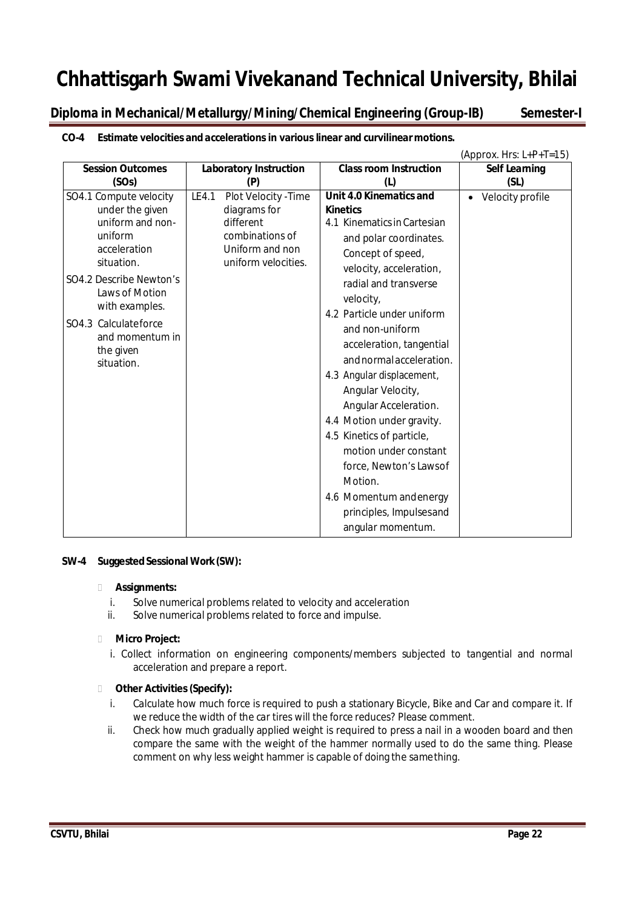**Diploma in Mechanical/Metallurgy/Mining/Chemical Engineering (Group-IB) Semester-I**

|                         |                               |                                   | (Approx. Hrs: L+P+T=15) |
|-------------------------|-------------------------------|-----------------------------------|-------------------------|
| <b>Session Outcomes</b> | <b>Laboratory Instruction</b> | <b>Class room Instruction</b>     | <b>Self Learning</b>    |
| (SOs)                   | (P)                           | (L)                               | (SL)                    |
| SO4.1 Compute velocity  | LE4.1<br>Plot Velocity - Time | Unit 4.0 Kinematics and           | • Velocity profile      |
| under the given         | diagrams for                  | <b>Kinetics</b>                   |                         |
| uniform and non-        | different                     | 4.1 Kinematics in Cartesian       |                         |
| uniform                 | combinations of               | and polar coordinates.            |                         |
| acceleration            | Uniform and non               | Concept of speed,                 |                         |
| situation.              | uniform velocities.           | velocity, acceleration,           |                         |
| SO4.2 Describe Newton's |                               | radial and transverse             |                         |
| Laws of Motion          |                               | velocity,                         |                         |
| with examples.          |                               | 4.2 Particle under uniform        |                         |
| SO4.3 Calculateforce    |                               | and non-uniform                   |                         |
| and momentum in         |                               | acceleration, tangential          |                         |
| the given<br>situation. |                               | and normal acceleration.          |                         |
|                         |                               | 4.3 Angular displacement,         |                         |
|                         |                               | Angular Velocity,                 |                         |
|                         |                               | Angular Acceleration.             |                         |
|                         |                               | 4.4 Motion under gravity.         |                         |
|                         |                               | 4.5 Kinetics of particle,         |                         |
|                         |                               | motion under constant             |                         |
|                         |                               |                                   |                         |
|                         |                               | force, Newton's Lawsof<br>Motion. |                         |
|                         |                               |                                   |                         |
|                         |                               | 4.6 Momentum and energy           |                         |
|                         |                               | principles, Impulsesand           |                         |
|                         |                               | angular momentum.                 |                         |

#### **CO-4 Estimate velocities and accelerations in various linear and curvilinearmotions.**

#### **SW-4 SuggestedSessional Work(SW):**

#### **Assignments:**

- i. Solve numerical problems related to velocity and acceleration
- ii. Solve numerical problems related to force and impulse.

#### **Micro Project:**

i. Collect information on engineering components/members subjected to tangential and normal acceleration and prepare a report.

- i. Calculate how much force is required to push a stationary Bicycle, Bike and Car and compare it. If we reduce the width of the car tires will the force reduces? Please comment.
- ii. Check how much gradually applied weight is required to press a nail in a wooden board and then compare the same with the weight of the hammer normally used to do the same thing. Please comment on why less weight hammer is capable of doing the samething.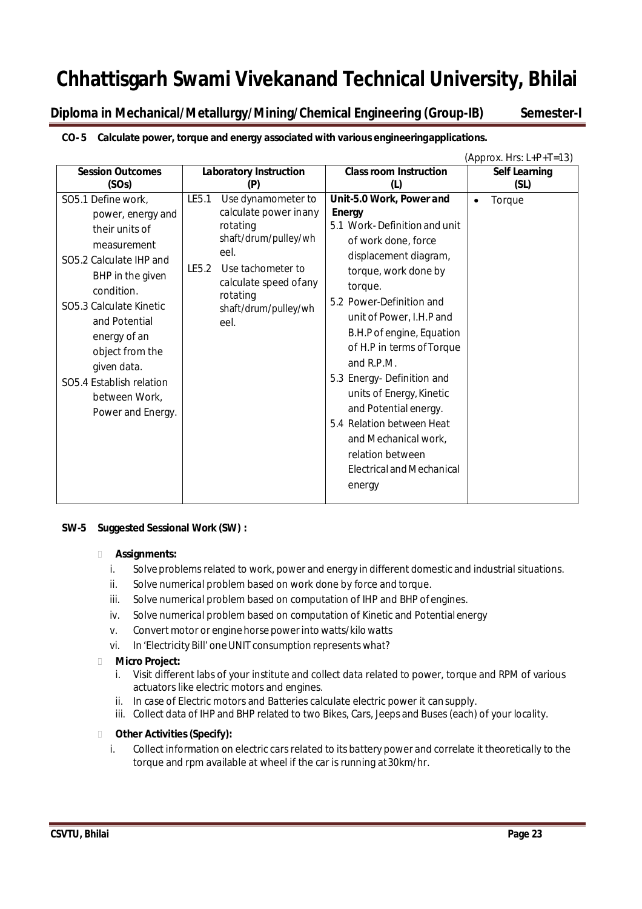**Diploma in Mechanical/Metallurgy/Mining/Chemical Engineering (Group-IB) Semester-I**

|                               |                        |                               |                               | (Approx. Hrs: $L+P+T=13$ ) |
|-------------------------------|------------------------|-------------------------------|-------------------------------|----------------------------|
| <b>Session Outcomes</b>       |                        | <b>Laboratory Instruction</b> | <b>Class room Instruction</b> | <b>Self Learning</b>       |
| (SOs)                         |                        | (P)                           | (L)                           | (SL)                       |
| SO5.1 Define work,            | LE5.1                  | Use dynamometer to            | Unit-5.0 Work, Power and      | Torque                     |
| power, energy and             |                        | calculate power inany         | <b>Energy</b>                 |                            |
| their units of                |                        | rotating                      | 5.1 Work-Definition and unit  |                            |
| measurement                   |                        | shaft/drum/pulley/wh          | of work done, force           |                            |
| SO5.2 Calculate IHP and       |                        | eel.                          | displacement diagram,         |                            |
|                               | LE5.2                  | Use tachometer to             | torque, work done by          |                            |
| BHP in the given<br>condition | calculate speed of any |                               | torque.                       |                            |

**CO- 5 Calculate power, torque and energy associated with various engineeringapplications.**

rotating

eel.

shaft/drum/pulley/wh

## **SW-5 Suggested Sessional Work (SW) :**

#### **Assignments:**

condition. SO5.3 Calculate Kinetic and Potential energy of an object from the given data. SO5.4 Establish relation between Work, Power and Energy.

i. Solve problems related to work, power and energy in different domestic and industrial situations.

5.2 Power-Definition and unit of Power, I.H.P and B.H.P of engine, Equation of H.P in terms ofTorque

5.3 Energy- Definition and units of Energy, Kinetic and Potential energy. 5.4 Relation between Heat and Mechanical work, relation between

Electrical andMechanical

and R.P.M.

energy

- ii. Solve numerical problem based on work done by force and torque.
- iii. Solve numerical problem based on computation of IHP and BHP ofengines.
- iv. Solve numerical problem based on computation of Kinetic and Potentialenergy
- v. Convert motor or engine horse power into watts/kilo watts
- vi. In 'Electricity Bill' one UNIT consumption represents what?

#### **Micro Project:**

- i. Visit different labs of your institute and collect data related to power, torque and RPM of various actuators like electric motors and engines.
- ii. In case of Electric motors and Batteries calculate electric power it cansupply.
- iii. Collect data of IHP and BHP related to two Bikes, Cars, Jeeps and Buses(each) of your locality.

#### **Other Activities(Specify):**

i. Collect information on electric cars related to its battery power and correlate it theoretically to the torque and rpm available at wheel if the car is running at30km/hr.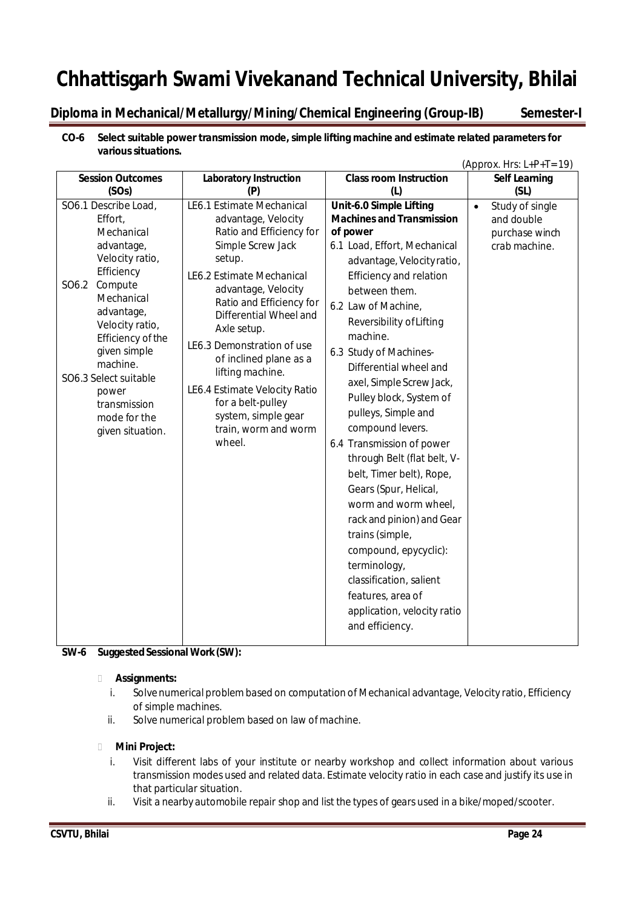## **Diploma in Mechanical/Metallurgy/Mining/Chemical Engineering (Group-IB) Semester-I**

#### **CO-6 Select suitable power transmission mode, simple lifting machine and estimate related parameters for**  various situations.

|                                                                                                                                                                                                                                                                                                        |                                                                                                                                                                                                                                                                                                                                                                                                                                 |                                                                                                                                                                                                                                                                                                                                                                                                                                                                                                                                                                                                                                                                                                                                                   | (Approx. Hrs: $L+P+T=19$ )                                                    |
|--------------------------------------------------------------------------------------------------------------------------------------------------------------------------------------------------------------------------------------------------------------------------------------------------------|---------------------------------------------------------------------------------------------------------------------------------------------------------------------------------------------------------------------------------------------------------------------------------------------------------------------------------------------------------------------------------------------------------------------------------|---------------------------------------------------------------------------------------------------------------------------------------------------------------------------------------------------------------------------------------------------------------------------------------------------------------------------------------------------------------------------------------------------------------------------------------------------------------------------------------------------------------------------------------------------------------------------------------------------------------------------------------------------------------------------------------------------------------------------------------------------|-------------------------------------------------------------------------------|
| <b>Session Outcomes</b>                                                                                                                                                                                                                                                                                | <b>Laboratory Instruction</b>                                                                                                                                                                                                                                                                                                                                                                                                   | <b>Class room Instruction</b>                                                                                                                                                                                                                                                                                                                                                                                                                                                                                                                                                                                                                                                                                                                     | <b>Self Learning</b>                                                          |
| (SOs)                                                                                                                                                                                                                                                                                                  | (P)                                                                                                                                                                                                                                                                                                                                                                                                                             | (L)                                                                                                                                                                                                                                                                                                                                                                                                                                                                                                                                                                                                                                                                                                                                               | (SL)                                                                          |
| SO6.1 Describe Load,<br>Effort,<br>Mechanical<br>advantage,<br>Velocity ratio,<br>Efficiency<br>Compute<br>SO6.2<br>Mechanical<br>advantage,<br>Velocity ratio,<br>Efficiency of the<br>given simple<br>machine.<br>SO6.3 Select suitable<br>power<br>transmission<br>mode for the<br>given situation. | LE6.1 Estimate Mechanical<br>advantage, Velocity<br>Ratio and Efficiency for<br>Simple Screw Jack<br>setup.<br>LE6.2 Estimate Mechanical<br>advantage, Velocity<br>Ratio and Efficiency for<br>Differential Wheel and<br>Axle setup.<br>LE6.3 Demonstration of use<br>of inclined plane as a<br>lifting machine.<br>LE6.4 Estimate Velocity Ratio<br>for a belt-pulley<br>system, simple gear<br>train, worm and worm<br>wheel. | Unit-6.0 Simple Lifting<br><b>Machines and Transmission</b><br>of power<br>6.1 Load, Effort, Mechanical<br>advantage, Velocity ratio,<br><b>Efficiency and relation</b><br>between them.<br>6.2 Law of Machine,<br>Reversibility of Lifting<br>machine.<br>6.3 Study of Machines-<br>Differential wheel and<br>axel, Simple Screw Jack,<br>Pulley block, System of<br>pulleys, Simple and<br>compound levers.<br>6.4 Transmission of power<br>through Belt (flat belt, V-<br>belt, Timer belt), Rope,<br>Gears (Spur, Helical,<br>worm and worm wheel,<br>rack and pinion) and Gear<br>trains (simple,<br>compound, epycyclic):<br>terminology,<br>classification, salient<br>features, area of<br>application, velocity ratio<br>and efficiency. | Study of single<br>$\bullet$<br>and double<br>purchase winch<br>crab machine. |

#### **SW-6** Suggested Sessional Work (SW):

#### **Assignments:**

- i. Solvenumerical problembased on computation of Mechanical advantage, Velocity ratio, Efficiency of simple machines.
- ii. Solve numerical problem based on law ofmachine.

#### **Mini Project:**

- i. Visit different labs of your institute or nearby workshop and collect information about various transmission modes used and related data. Estimate velocity ratio in each case and justify its use in that particular situation.
- ii. Visit a nearby automobile repair shop and list the types of gears used in a bike/moped/scooter.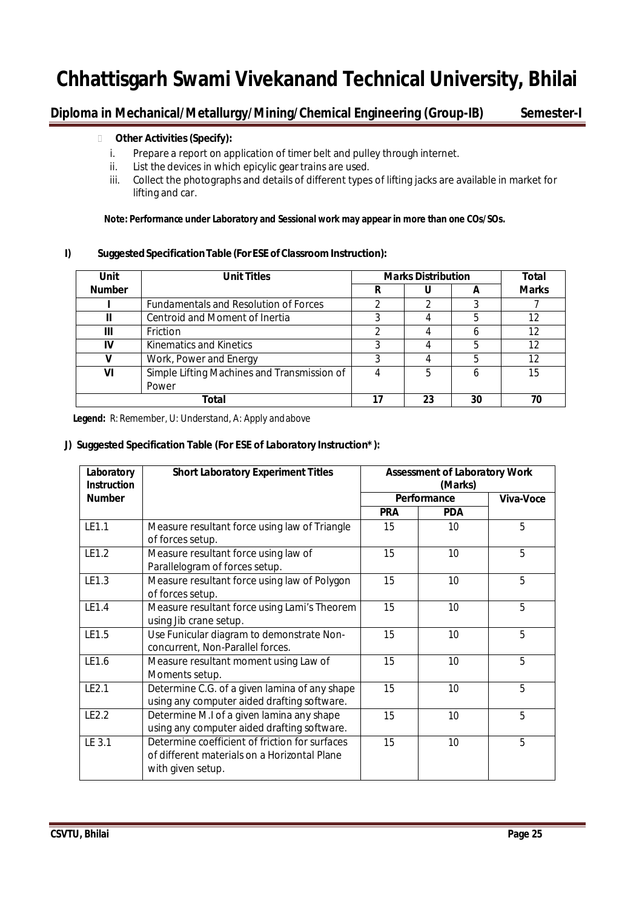## **Diploma in Mechanical/Metallurgy/Mining/Chemical Engineering (Group-IB) Semester-I**

#### **Other Activities(Specify):**

- i. Prepare a report on application of timer belt and pulley through internet.
- ii. List the devices in which epicylic gear trains are used.
- iii. Collect the photographs and details of different types of lifting jacks are available in market for lifting and car.

#### **Note: Performance under Laboratory and Sessional work may appear in more than one COs/SOs.**

#### **I) SuggestedSpecificationTable (ForESE ofClassroom Instruction):**

| Unit          | <b>Unit Titles</b>                           | <b>Marks Distribution</b> |    |    | <b>Total</b> |
|---------------|----------------------------------------------|---------------------------|----|----|--------------|
| <b>Number</b> |                                              | R                         |    |    | <b>Marks</b> |
|               | <b>Fundamentals and Resolution of Forces</b> |                           |    |    |              |
|               | Centroid and Moment of Inertia               |                           |    |    | 12           |
| Ш             | <b>Friction</b>                              | າ                         |    |    | 12           |
| IV            | Kinematics and Kinetics                      |                           |    |    | 12           |
|               | Work, Power and Energy                       |                           |    |    | 12           |
| VI            | Simple Lifting Machines and Transmission of  |                           | 5  |    | 15           |
|               | Power                                        |                           |    |    |              |
|               | Total                                        |                           | 23 | 30 | 70           |

 **Legend:** R: Remember, U: Understand, A: Apply andabove

#### **J) Suggested Specification Table (For ESE of Laboratory Instruction\*):**

| Laboratory<br><b>Instruction</b> | <b>Short Laboratory Experiment Titles</b>                                                                           | <b>Assessment of Laboratory Work</b><br>(Marks) |             |                  |
|----------------------------------|---------------------------------------------------------------------------------------------------------------------|-------------------------------------------------|-------------|------------------|
| <b>Number</b>                    |                                                                                                                     |                                                 | Performance | <b>Viva-Voce</b> |
|                                  |                                                                                                                     | <b>PRA</b>                                      | <b>PDA</b>  |                  |
| LE1.1                            | Measure resultant force using law of Triangle<br>of forces setup.                                                   | 15                                              | 10          | 5                |
| LE1.2                            | Measure resultant force using law of<br>Parallelogram of forces setup.                                              | 15                                              | 10          | 5                |
| LE1.3                            | Measure resultant force using law of Polygon<br>of forces setup.                                                    | 15                                              | 10          | 5                |
| LE1.4                            | Measure resultant force using Lami's Theorem<br>using Jib crane setup.                                              | 15                                              | 10          | 5                |
| LE1.5                            | Use Funicular diagram to demonstrate Non-<br>concurrent, Non-Parallel forces.                                       | 15                                              | 10          | 5                |
| LE1.6                            | Measure resultant moment using Law of<br>Moments setup.                                                             | 15                                              | 10          | 5                |
| LE2.1                            | Determine C.G. of a given lamina of any shape<br>using any computer aided drafting software.                        | 15                                              | 10          | 5                |
| LE2.2                            | Determine M.I of a given lamina any shape<br>using any computer aided drafting software.                            | 15                                              | 10          | 5                |
| LE 3.1                           | Determine coefficient of friction for surfaces<br>of different materials on a Horizontal Plane<br>with given setup. | 15                                              | 10          | 5                |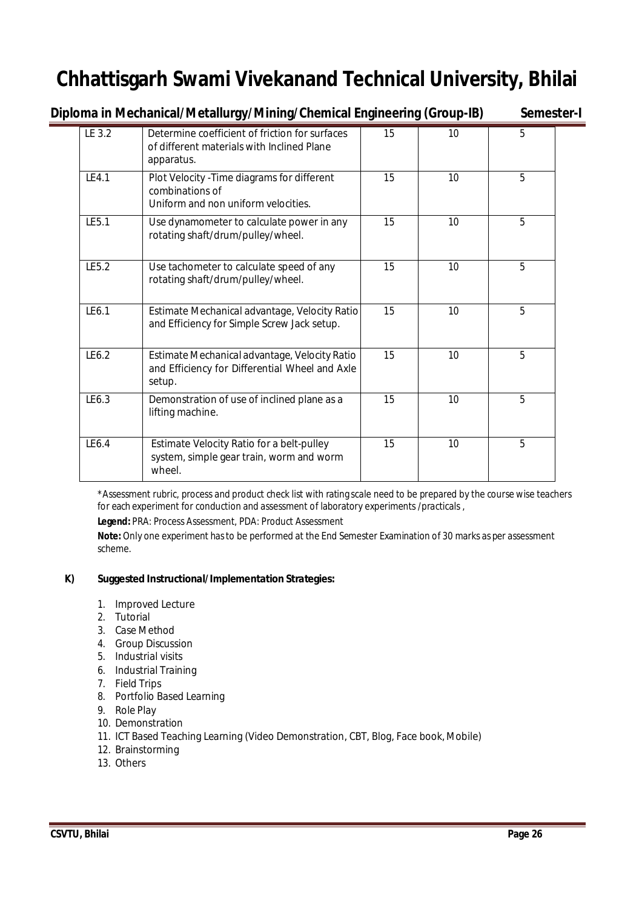**Diploma in Mechanical/Metallurgy/Mining/Chemical Engineering (Group-IB) Semester-I**

| LE 3.2 | Determine coefficient of friction for surfaces<br>of different materials with Inclined Plane<br>apparatus. | 15 | 10 | 5 |
|--------|------------------------------------------------------------------------------------------------------------|----|----|---|
| LE4.1  | Plot Velocity - Time diagrams for different<br>combinations of<br>Uniform and non uniform velocities.      | 15 | 10 | 5 |
| LE5.1  | Use dynamometer to calculate power in any<br>rotating shaft/drum/pulley/wheel.                             | 15 | 10 | 5 |
| LE5.2  | Use tachometer to calculate speed of any<br>rotating shaft/drum/pulley/wheel.                              | 15 | 10 | 5 |
| LE6.1  | Estimate Mechanical advantage, Velocity Ratio<br>and Efficiency for Simple Screw Jack setup.               | 15 | 10 | 5 |
| IF6.2  | Estimate Mechanical advantage, Velocity Ratio<br>and Efficiency for Differential Wheel and Axle<br>setup.  | 15 | 10 | 5 |
| LE6.3  | Demonstration of use of inclined plane as a<br>lifting machine.                                            | 15 | 10 | 5 |
| LE6.4  | Estimate Velocity Ratio for a belt-pulley<br>system, simple gear train, worm and worm<br>wheel.            | 15 | 10 | 5 |

\*Assessment rubric, process and product check list with rating scale need to be prepared by the course wise teachers for each experiment for conduction and assessment of laboratory experiments /practicals ,

**Legend:** PRA: Process Assessment, PDA: Product Assessment

**Note:** Only one experiment has to be performed at the End Semester Examination of 30 marks as per assessment scheme.

#### **K) Suggested Instructional/Implementation Strategies:**

- 1. Improved Lecture
- 2. Tutorial
- 3. Case Method
- 4. Group Discussion
- 5. Industrial visits
- 6. Industrial Training
- 7. Field Trips
- 8. Portfolio Based Learning
- 9. Role Play
- 10. Demonstration
- 11. ICT Based Teaching Learning (Video Demonstration, CBT, Blog, Face book, Mobile)
- 12. Brainstorming
- 13. Others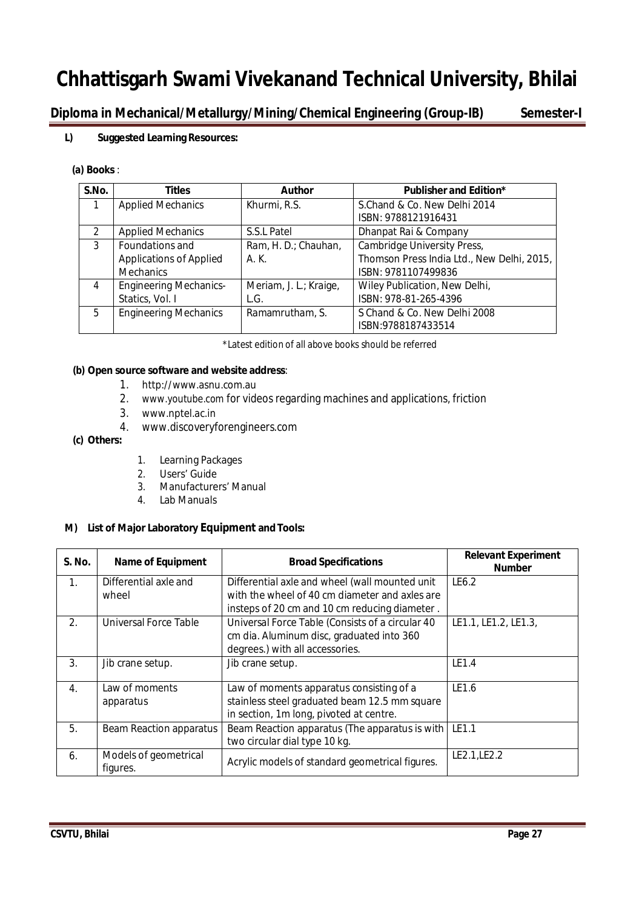**Diploma in Mechanical/Metallurgy/Mining/Chemical Engineering (Group-IB) Semester-I**

#### **L) Suggested Learning Resources:**

#### **(a) Books** :

| S.No.         | <b>Titles</b>                  | <b>Author</b>          | <b>Publisher and Edition*</b>              |
|---------------|--------------------------------|------------------------|--------------------------------------------|
| 1             | <b>Applied Mechanics</b>       | Khurmi, R.S.           | S.Chand & Co. New Delhi 2014               |
|               |                                |                        | ISBN: 9788121916431                        |
| $\mathcal{P}$ | <b>Applied Mechanics</b>       | S.S.L Patel            | Dhanpat Rai & Company                      |
| 3             | Foundations and                | Ram, H. D.; Chauhan,   | Cambridge University Press,                |
|               | <b>Applications of Applied</b> | A. K.                  | Thomson Press India Ltd., New Delhi, 2015, |
|               | <b>Mechanics</b>               |                        | ISBN: 9781107499836                        |
| 4             | <b>Engineering Mechanics-</b>  | Meriam, J. L.; Kraige, | Wiley Publication, New Delhi,              |
|               | Statics, Vol. I                | L.G.                   | ISBN: 978-81-265-4396                      |
| 5             | <b>Engineering Mechanics</b>   | Ramamrutham, S.        | S Chand & Co. New Delhi 2008               |
|               |                                |                        | ISBN:9788187433514                         |

\*Latest edition of all above books should be referred

#### **(b) Open source software and website address**:

- 1. http://www.asnu.com.au
- 2. www.youtube.com for videos regarding machines and applications, friction
- 3. www.nptel.ac.in
- 4. www.discoveryforengineers.com

#### **(c) Others:**

- 1. Learning Packages
- 2. Users' Guide
- 3. Manufacturers' Manual
- 4. Lab Manuals

#### **M) List of Major Laboratory Equipment and Tools:**

| S. No. | <b>Name of Equipment</b>          | <b>Broad Specifications</b>                                                                                                                       | <b>Relevant Experiment</b><br><b>Number</b> |
|--------|-----------------------------------|---------------------------------------------------------------------------------------------------------------------------------------------------|---------------------------------------------|
| 1.     | Differential axle and<br>wheel    | Differential axle and wheel (wall mounted unit<br>with the wheel of 40 cm diameter and axles are<br>insteps of 20 cm and 10 cm reducing diameter. | LE6.2                                       |
| 2.     | Universal Force Table             | Universal Force Table (Consists of a circular 40<br>cm dia. Aluminum disc, graduated into 360<br>degrees.) with all accessories.                  | LE1.1, LE1.2, LE1.3,                        |
| 3.     | Jib crane setup.                  | Jib crane setup.                                                                                                                                  | LE1.4                                       |
| 4.     | Law of moments<br>apparatus       | Law of moments apparatus consisting of a<br>stainless steel graduated beam 12.5 mm square<br>in section, 1m long, pivoted at centre.              | LE1.6                                       |
| 5.     | Beam Reaction apparatus           | Beam Reaction apparatus (The apparatus is with<br>two circular dial type 10 kg.                                                                   | LE1.1                                       |
| 6.     | Models of geometrical<br>figures. | Acrylic models of standard geometrical figures.                                                                                                   | LE2.1, LE2.2                                |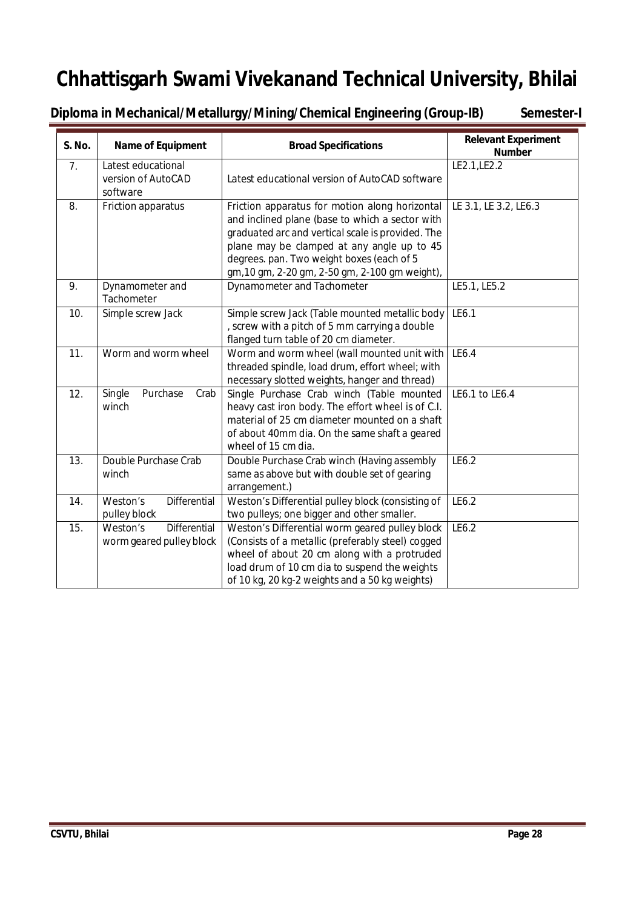**Diploma in Mechanical/Metallurgy/Mining/Chemical Engineering (Group-IB) Semester-I**

| <b>S. No.</b>  | <b>Name of Equipment</b>                                    | <b>Broad Specifications</b>                                                                                                                                                                                                                                                                         | <b>Relevant Experiment</b><br><b>Number</b> |
|----------------|-------------------------------------------------------------|-----------------------------------------------------------------------------------------------------------------------------------------------------------------------------------------------------------------------------------------------------------------------------------------------------|---------------------------------------------|
| 7 <sub>1</sub> | Latest educational<br>version of AutoCAD<br>software        | Latest educational version of AutoCAD software                                                                                                                                                                                                                                                      | LE2.1, LE2.2                                |
| 8.             | Friction apparatus                                          | Friction apparatus for motion along horizontal<br>and inclined plane (base to which a sector with<br>graduated arc and vertical scale is provided. The<br>plane may be clamped at any angle up to 45<br>degrees. pan. Two weight boxes (each of 5<br>gm, 10 gm, 2-20 gm, 2-50 gm, 2-100 gm weight), | LE 3.1, LE 3.2, LE6.3                       |
| 9.             | Dynamometer and<br>Tachometer                               | Dynamometer and Tachometer                                                                                                                                                                                                                                                                          | LE5.1, LE5.2                                |
| 10.            | Simple screw Jack                                           | Simple screw Jack (Table mounted metallic body<br>, screw with a pitch of 5 mm carrying a double<br>flanged turn table of 20 cm diameter.                                                                                                                                                           | LE6.1                                       |
| 11.            | Worm and worm wheel                                         | Worm and worm wheel (wall mounted unit with<br>threaded spindle, load drum, effort wheel; with<br>necessary slotted weights, hanger and thread)                                                                                                                                                     | LE6.4                                       |
| 12.            | Single<br>Purchase<br>Crab<br>winch                         | Single Purchase Crab winch (Table mounted<br>heavy cast iron body. The effort wheel is of C.I.<br>material of 25 cm diameter mounted on a shaft<br>of about 40mm dia. On the same shaft a geared<br>wheel of 15 cm dia.                                                                             | LE6.1 to LE6.4                              |
| 13.            | Double Purchase Crab<br>winch                               | Double Purchase Crab winch (Having assembly<br>same as above but with double set of gearing<br>arrangement.)                                                                                                                                                                                        | LE6.2                                       |
| 14.            | Differential<br>Weston's<br>pulley block                    | Weston's Differential pulley block (consisting of<br>two pulleys; one bigger and other smaller.                                                                                                                                                                                                     | LE6.2                                       |
| 15.            | <b>Differential</b><br>Weston's<br>worm geared pulley block | Weston's Differential worm geared pulley block<br>(Consists of a metallic (preferably steel) cogged<br>wheel of about 20 cm along with a protruded<br>load drum of 10 cm dia to suspend the weights<br>of 10 kg, 20 kg-2 weights and a 50 kg weights)                                               | LE6.2                                       |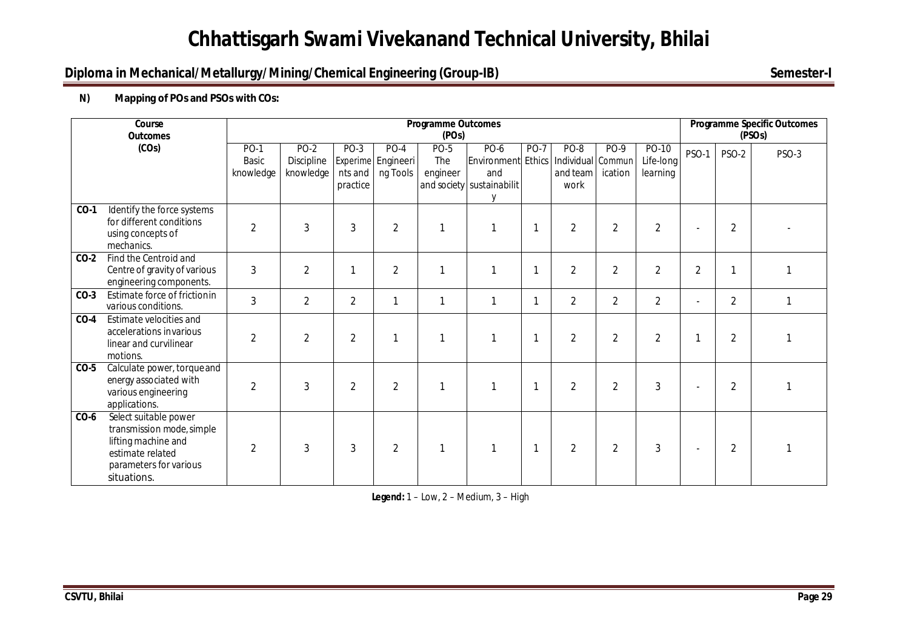## **Diploma in Mechanical/Metallurgy/Mining/Chemical Engineering (Group-IB)** Semester-I

### **N) Mapping of POs and PSOs with COs:**

|        | Course<br><b>Outcomes</b>                                                                                                              |                                   |                                        |                             |                                          | <b>Programme Outcomes</b><br>(POs)    |                                                                       |             |                                               |                 |                                | <b>Programme Specific Outcomes</b><br>(PSO <sub>S</sub> ) |                |       |
|--------|----------------------------------------------------------------------------------------------------------------------------------------|-----------------------------------|----------------------------------------|-----------------------------|------------------------------------------|---------------------------------------|-----------------------------------------------------------------------|-------------|-----------------------------------------------|-----------------|--------------------------------|-----------------------------------------------------------|----------------|-------|
|        | (COS)                                                                                                                                  | PO-1<br><b>Basic</b><br>knowledge | <b>PO-2</b><br>Discipline<br>knowledge | PO-3<br>nts and<br>practice | $PO-4$<br>Experime Engineeri<br>ng Tools | <b>PO-5</b><br><b>The</b><br>engineer | $PO-6$<br>Environment Ethics<br>and<br>and society sustainabilit<br>V | <b>PO-7</b> | PO-8<br>Individual Commun<br>and team<br>work | PO-9<br>ication | PO-10<br>Life-long<br>learning | PSO-1                                                     | <b>PSO-2</b>   | PSO-3 |
| $CO-1$ | Identify the force systems<br>for different conditions<br>using concepts of<br>mechanics.                                              | $\overline{2}$                    | 3                                      | 3                           | $\overline{2}$                           | -1                                    |                                                                       | 1           | $\overline{2}$                                | 2               | $\overline{2}$                 | $\overline{a}$                                            | $\overline{2}$ |       |
| $CO-2$ | Find the Centroid and<br>Centre of gravity of various<br>engineering components.                                                       | 3                                 | $\overline{2}$                         |                             | $\overline{2}$                           | $\mathbf{1}$                          |                                                                       | 1           | $\overline{2}$                                | $\overline{2}$  | $\overline{2}$                 | $\overline{2}$                                            | 1              |       |
| $CO-3$ | Estimate force of frictionin<br>various conditions.                                                                                    | 3                                 | $\overline{2}$                         | $\overline{2}$              | $\mathbf{1}$                             | $\mathbf{1}$                          | 1                                                                     | 1           | $\overline{2}$                                | $\overline{2}$  | $\overline{2}$                 | $\overline{\phantom{a}}$                                  | $\overline{2}$ |       |
| $CO-4$ | Estimate velocities and<br>accelerations invarious<br>linear and curvilinear<br>motions.                                               | $\overline{2}$                    | $\overline{2}$                         | $\overline{2}$              | $\mathbf{1}$                             | 1                                     |                                                                       | 1           | $\overline{2}$                                | 2               | $\overline{2}$                 | 1                                                         | $\overline{2}$ |       |
| $CO-5$ | Calculate power, torque and<br>energy associated with<br>various engineering<br>applications.                                          | $\overline{2}$                    | 3                                      | $\overline{2}$              | $\overline{2}$                           | $\mathbf{1}$                          |                                                                       | 1           | $\overline{2}$                                | 2               | 3                              | $\overline{\phantom{a}}$                                  | $\overline{2}$ |       |
| $CO-6$ | Select suitable power<br>transmission mode, simple<br>lifting machine and<br>estimate related<br>parameters for various<br>situations. | $\overline{2}$                    | 3                                      | 3                           | $\overline{2}$                           | -1                                    |                                                                       | 1           | $\overline{2}$                                | $\overline{2}$  | 3                              |                                                           | $\overline{2}$ |       |

**Legend:** 1 – Low, 2 – Medium, 3 – High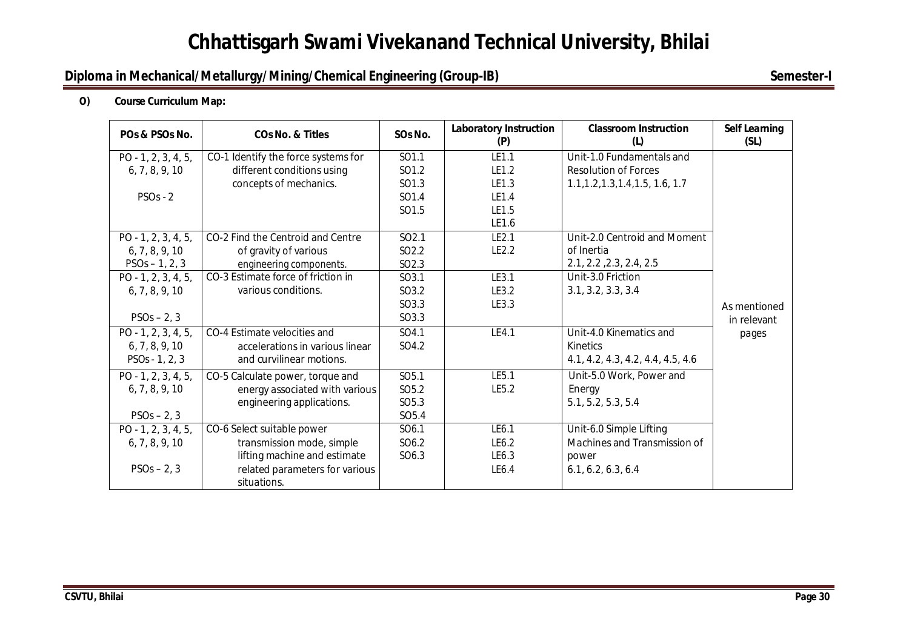## **Diploma in Mechanical/Metallurgy/Mining/Chemical Engineering (Group-IB)** Semester-I

#### **O) Course Curriculum Map:**

| POs & PSOs No.        | <b>CO<sub>s</sub></b> No. & Titles  | SOs No.           | <b>Laboratory Instruction</b><br>(P) | <b>Classroom Instruction</b><br>(L) | <b>Self Learning</b><br>(SL) |
|-----------------------|-------------------------------------|-------------------|--------------------------------------|-------------------------------------|------------------------------|
| $PO - 1, 2, 3, 4, 5,$ | CO-1 Identify the force systems for | SO1.1             | LE1.1                                | Unit-1.0 Fundamentals and           |                              |
| 6, 7, 8, 9, 10        | different conditions using          | SO1.2             | LE1.2                                | <b>Resolution of Forces</b>         |                              |
|                       | concepts of mechanics.              | SO1.3             | LE1.3                                | 1.1, 1.2, 1.3, 1.4, 1.5, 1.6, 1.7   |                              |
| $PSOs - 2$            |                                     | SO1.4             | LE1.4                                |                                     |                              |
|                       |                                     | SO1.5             | LE1.5                                |                                     |                              |
|                       |                                     |                   | LE1.6                                |                                     |                              |
| $PO - 1, 2, 3, 4, 5,$ | CO-2 Find the Centroid and Centre   | SO2.1             | LE2.1                                | Unit-2.0 Centroid and Moment        |                              |
| 6, 7, 8, 9, 10        | of gravity of various               | SO <sub>2.2</sub> | LE2.2                                | of Inertia                          |                              |
| $PSOs - 1, 2, 3$      | engineering components.             | SO2.3             |                                      | 2.1, 2.2, 2.3, 2.4, 2.5             |                              |
| $PO - 1, 2, 3, 4, 5,$ | CO-3 Estimate force of friction in  | SO3.1             | LE3.1                                | Unit-3.0 Friction                   |                              |
| 6, 7, 8, 9, 10        | various conditions.                 | SO3.2             | LE3.2                                | 3.1, 3.2, 3.3, 3.4                  |                              |
|                       |                                     | SO3.3             | LE3.3                                |                                     | As mentioned                 |
| $PSOs - 2, 3$         |                                     | SO3.3             |                                      |                                     | in relevant                  |
| $PO - 1, 2, 3, 4, 5,$ | CO-4 Estimate velocities and        | SO4.1             | LE4.1                                | Unit-4.0 Kinematics and             | pages                        |
| 6, 7, 8, 9, 10        | accelerations in various linear     | SO4.2             |                                      | Kinetics                            |                              |
| $PSOs - 1, 2, 3$      | and curvilinear motions.            |                   |                                      | 4.1, 4.2, 4.3, 4.2, 4.4, 4.5, 4.6   |                              |
| $PO - 1, 2, 3, 4, 5,$ | CO-5 Calculate power, torque and    | SO <sub>5.1</sub> | LE5.1                                | Unit-5.0 Work, Power and            |                              |
| 6, 7, 8, 9, 10        | energy associated with various      | SO <sub>5.2</sub> | LE5.2                                | Energy                              |                              |
|                       | engineering applications.           | SO <sub>5.3</sub> |                                      | 5.1, 5.2, 5.3, 5.4                  |                              |
| $PSOs - 2, 3$         |                                     | SO <sub>5.4</sub> |                                      |                                     |                              |
| $PO - 1, 2, 3, 4, 5,$ | CO-6 Select suitable power          | SO6.1             | LE6.1                                | Unit-6.0 Simple Lifting             |                              |
| 6, 7, 8, 9, 10        | transmission mode, simple           | SO6.2             | LE6.2                                | Machines and Transmission of        |                              |
|                       | lifting machine and estimate        | SO6.3             | LE6.3                                | power                               |                              |
| $PSOs - 2, 3$         | related parameters for various      |                   | LE6.4                                | 6.1, 6.2, 6.3, 6.4                  |                              |
|                       | situations.                         |                   |                                      |                                     |                              |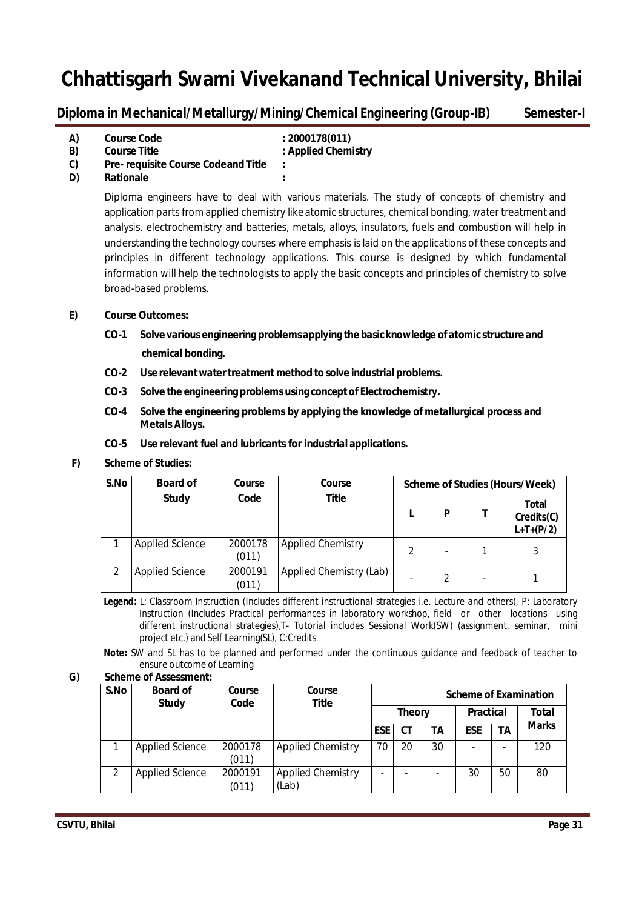**Diploma in Mechanical/Metallurgy/Mining/Chemical Engineering (Group-IB) Semester-I**

| A) | <b>Course Code</b>                         | : 2000178(011)      |
|----|--------------------------------------------|---------------------|
| B) | <b>Course Title</b>                        | : Applied Chemistry |
| C) | <b>Pre- requisite Course Codeand Title</b> | ٠                   |
| D) | <b>Rationale</b>                           |                     |

Diploma engineers have to deal with various materials. The study of concepts of chemistry and application parts from applied chemistry like atomic structures, chemical bonding, water treatment and analysis, electrochemistry and batteries, metals, alloys, insulators, fuels and combustion will help in understanding the technology courses where emphasis is laid on the applications of these concepts and principles in different technology applications. This course is designed by which fundamental information will help the technologists to apply the basic concepts and principles of chemistry to solve broad-based problems.

#### **E) Course Outcomes:**

- **CO-1 Solve various engineering problemsapplying the basicknowledge of atomic structure and chemical bonding.**
- **CO-2 Use relevantwatertreatment method to solve industrial problems.**
- **CO-3 Solve the engineering problemsusing conceptof Electrochemistry.**
- **CO-4 Solve the engineering problems by applying the knowledge of metallurgical process and MetalsAlloys.**
- **CO-5 Use relevant fuel and lubricants for industrial applications.**

#### **F) Scheme of Studies:**

| S.No | <b>Board of</b>        | Course           | Course                   |   | Scheme of Studies (Hours/Week) |                          |                                           |
|------|------------------------|------------------|--------------------------|---|--------------------------------|--------------------------|-------------------------------------------|
|      | <b>Study</b>           | Code             | <b>Title</b>             |   | D                              |                          | <b>Total</b><br>Credits(C)<br>$L+T+(P/2)$ |
|      | <b>Applied Science</b> | 2000178<br>(011) | <b>Applied Chemistry</b> | 2 |                                |                          | 3                                         |
| 2    | <b>Applied Science</b> | 2000191<br>(011) | Applied Chemistry (Lab)  |   | 2                              | $\overline{\phantom{a}}$ |                                           |

**Legend:** L: Classroom Instruction (Includes different instructional strategies i.e. Lecture and others), P: Laboratory Instruction (Includes Practical performances in laboratory workshop, field or other locations using different instructional strategies),T- Tutorial includes Sessional Work(SW) (assignment, seminar, mini project etc.) and Self Learning(SL), C:Credits

**Note:** SW and SL has to be planned and performed under the continuous guidance and feedback of teacher to ensure outcome of Learning

| S.No | <b>Board of</b><br><b>Study</b> | Course<br>Code   | <b>Course</b><br><b>Title</b>     | <b>Scheme of Examination</b><br><b>Theory</b> |           |                  |            |    |              |
|------|---------------------------------|------------------|-----------------------------------|-----------------------------------------------|-----------|------------------|------------|----|--------------|
|      |                                 |                  |                                   |                                               |           | <b>Practical</b> |            |    | <b>Total</b> |
|      |                                 |                  |                                   | <b>ESE</b>                                    | <b>CT</b> | ΤA               | <b>ESE</b> | ΤA | <b>Marks</b> |
|      | <b>Applied Science</b>          | 2000178<br>(011) | <b>Applied Chemistry</b>          | 70                                            | 20        | 30               |            |    | 120          |
|      | <b>Applied Science</b>          | 2000191<br>(011) | <b>Applied Chemistry</b><br>(Lab) |                                               |           |                  | 30         | 50 | 80           |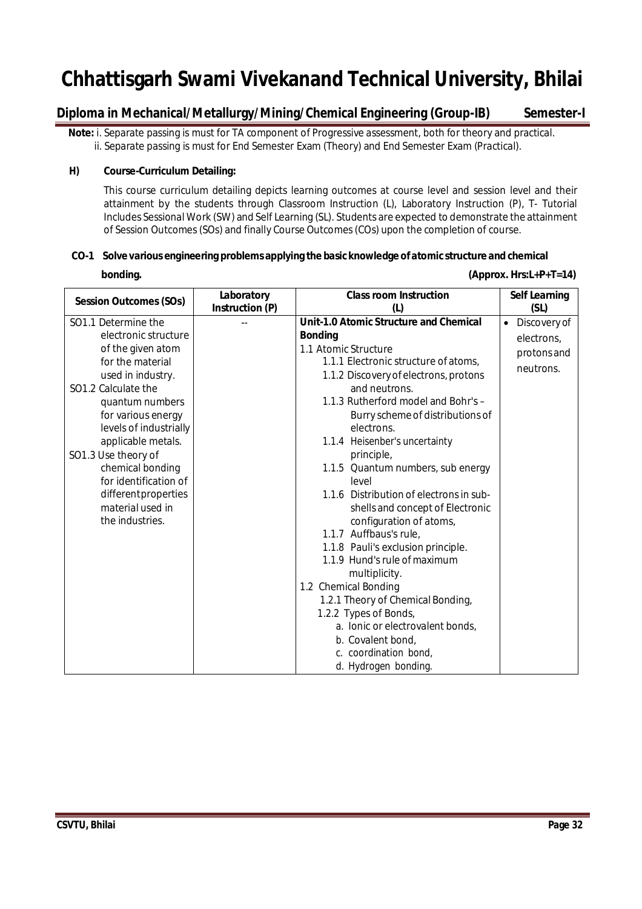## **Diploma in Mechanical/Metallurgy/Mining/Chemical Engineering (Group-IB) Semester-I**

**Note:** i. Separate passing is must for TA component of Progressive assessment, both for theory and practical. ii. Separate passing is must for End Semester Exam (Theory) and End Semester Exam (Practical).

#### **H) Course-Curriculum Detailing:**

This course curriculum detailing depicts learning outcomes at course level and session level and their attainment by the students through Classroom Instruction (L), Laboratory Instruction (P), T- Tutorial Includes Sessional Work (SW) and Self Learning (SL). Students are expected to demonstrate the attainment of Session Outcomes(SOs) and finally Course Outcomes(COs) upon the completion of course.

**bonding.** (Approx. Hrs:L+P+T=14)

#### **CO-1 Solve various engineering problems applying the basic knowledge ofatomic structure and chemical**

| <b>Session Outcomes (SOs)</b>                                                                                                                                                                                                                                                                                                                               | Laboratory      | <b>Class room Instruction</b>                                                                                                                                                                                                                                                                                                                                                                                                                                                                                                                                                                                                                                                                           | <b>Self Learning</b>                                                        |
|-------------------------------------------------------------------------------------------------------------------------------------------------------------------------------------------------------------------------------------------------------------------------------------------------------------------------------------------------------------|-----------------|---------------------------------------------------------------------------------------------------------------------------------------------------------------------------------------------------------------------------------------------------------------------------------------------------------------------------------------------------------------------------------------------------------------------------------------------------------------------------------------------------------------------------------------------------------------------------------------------------------------------------------------------------------------------------------------------------------|-----------------------------------------------------------------------------|
| SO1.1 Determine the<br>electronic structure<br>of the given atom<br>for the material<br>used in industry.<br>SO1.2 Calculate the<br>quantum numbers<br>for various energy<br>levels of industrially<br>applicable metals.<br>SO1.3 Use theory of<br>chemical bonding<br>for identification of<br>differentproperties<br>material used in<br>the industries. | Instruction (P) | (L)<br><b>Unit-1.0 Atomic Structure and Chemical</b><br><b>Bonding</b><br>1.1 Atomic Structure<br>1.1.1 Electronic structure of atoms,<br>1.1.2 Discovery of electrons, protons<br>and neutrons.<br>1.1.3 Rutherford model and Bohr's -<br>Burry scheme of distributions of<br>electrons.<br>1.1.4 Heisenber's uncertainty<br>principle,<br>1.1.5 Quantum numbers, sub energy<br>level<br>1.1.6 Distribution of electrons in sub-<br>shells and concept of Electronic<br>configuration of atoms,<br>1.1.7 Auffbaus's rule,<br>1.1.8 Pauli's exclusion principle.<br>1.1.9 Hund's rule of maximum<br>multiplicity.<br>1.2 Chemical Bonding<br>1.2.1 Theory of Chemical Bonding,<br>1.2.2 Types of Bonds, | (SL)<br>$\bullet$<br>Discovery of<br>electrons,<br>protons and<br>neutrons. |
|                                                                                                                                                                                                                                                                                                                                                             |                 | a. Ionic or electrovalent bonds,<br>b. Covalent bond,<br>c. coordination bond,<br>d. Hydrogen bonding.                                                                                                                                                                                                                                                                                                                                                                                                                                                                                                                                                                                                  |                                                                             |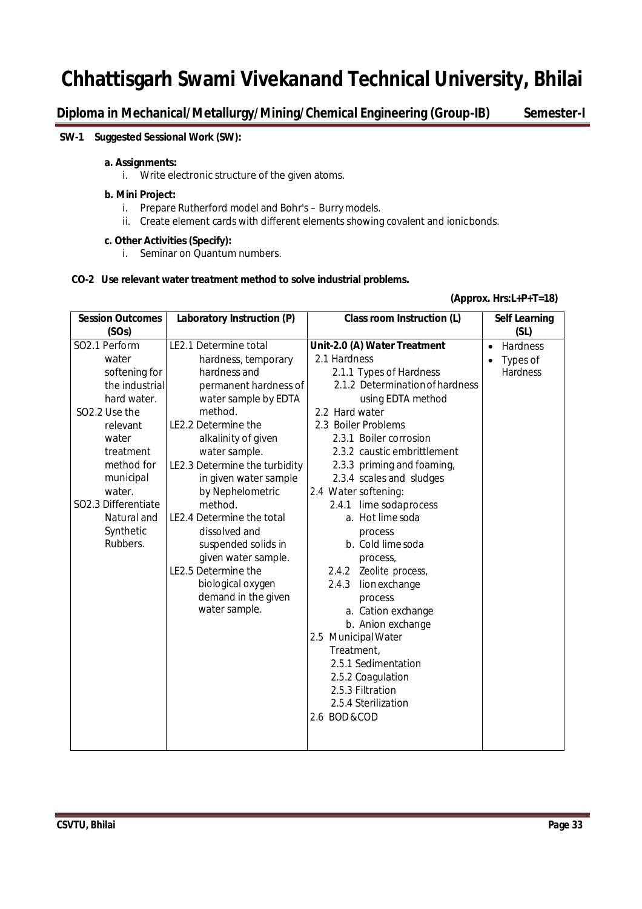**Diploma in Mechanical/Metallurgy/Mining/Chemical Engineering (Group-IB) Semester-I**

#### **SW-1 Suggested Sessional Work (SW):**

#### **a. Assignments:**

i. Write electronic structure of the given atoms.

#### **b. Mini Project:**

- i. Prepare Rutherford model and Bohr's Burrymodels.
- ii. Create element cards with different elements showing covalent and ionicbonds.

#### **c. Other Activities (Specify):**

i. Seminar on Quantum numbers.

#### **CO-2 Use relevant water treatment method to solve industrial problems.**

#### **(Approx. Hrs:L+P+T=18)**

| <b>Session Outcomes</b>   | Laboratory Instruction (P)    | <b>Class room Instruction (L)</b> | <b>Self Learning</b>  |
|---------------------------|-------------------------------|-----------------------------------|-----------------------|
| (SOs)                     |                               |                                   | (SL)                  |
| SO2.1 Perform             | LE2.1 Determine total         | Unit-2.0 (A) Water Treatment      | Hardness<br>$\bullet$ |
| water                     | hardness, temporary           | 2.1 Hardness                      | Types of              |
| softening for             | hardness and                  | 2.1.1 Types of Hardness           | Hardness              |
| the industrial            | permanent hardness of         | 2.1.2 Determination of hardness   |                       |
| hard water.               | water sample by EDTA          | using EDTA method                 |                       |
| SO <sub>2.2</sub> Use the | method.                       | 2.2 Hard water                    |                       |
| relevant                  | LE2.2 Determine the           | 2.3 Boiler Problems               |                       |
| water                     | alkalinity of given           | 2.3.1 Boiler corrosion            |                       |
| treatment                 | water sample.                 | 2.3.2 caustic embrittlement       |                       |
| method for                | LE2.3 Determine the turbidity | 2.3.3 priming and foaming,        |                       |
| municipal                 | in given water sample         | 2.3.4 scales and sludges          |                       |
| water.                    | by Nephelometric              | 2.4 Water softening:              |                       |
| SO2.3 Differentiate       | method.                       | lime sodaprocess<br>2.4.1         |                       |
| Natural and               | LE2.4 Determine the total     | a. Hot lime soda                  |                       |
| Synthetic                 | dissolved and                 | process                           |                       |
| Rubbers.                  | suspended solids in           | b. Cold lime soda                 |                       |
|                           | given water sample.           | process,                          |                       |
|                           | LE2.5 Determine the           | Zeolite process,<br>2.4.2         |                       |
|                           | biological oxygen             | 2.4.3<br>lionexchange             |                       |
|                           | demand in the given           | process                           |                       |
|                           | water sample.                 | a. Cation exchange                |                       |
|                           |                               | b. Anion exchange                 |                       |
|                           |                               | 2.5 Municipal Water               |                       |
|                           |                               | Treatment,                        |                       |
|                           |                               | 2.5.1 Sedimentation               |                       |
|                           |                               | 2.5.2 Coagulation                 |                       |
|                           |                               | 2.5.3 Filtration                  |                       |
|                           |                               | 2.5.4 Sterilization               |                       |
|                           |                               | 2.6 BOD & COD                     |                       |
|                           |                               |                                   |                       |
|                           |                               |                                   |                       |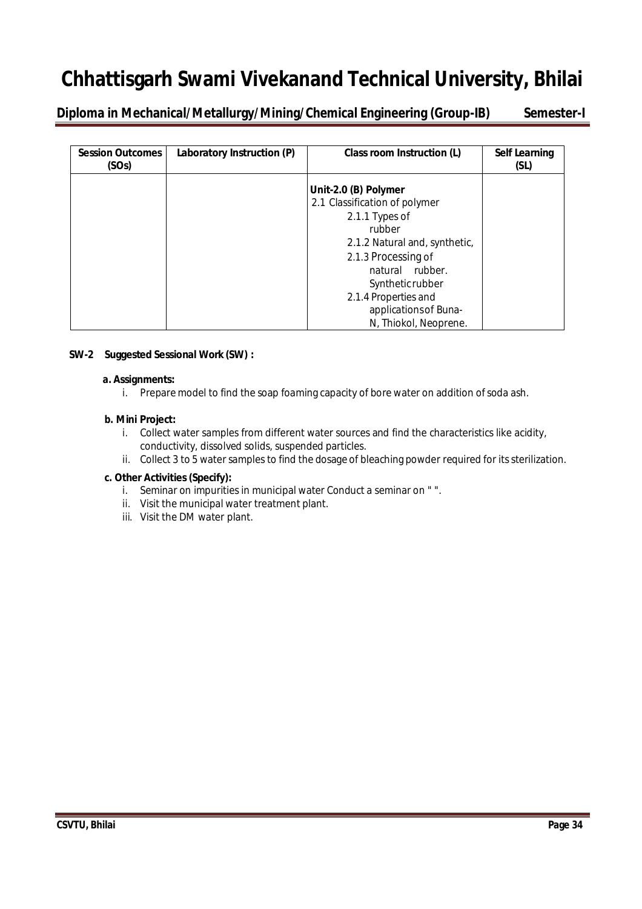**Diploma in Mechanical/Metallurgy/Mining/Chemical Engineering (Group-IB) Semester-I**

| <b>Session Outcomes</b><br>(SOs) | Laboratory Instruction (P) | Class room Instruction (L)    | <b>Self Learning</b><br>(SL) |
|----------------------------------|----------------------------|-------------------------------|------------------------------|
|                                  |                            | Unit-2.0 (B) Polymer          |                              |
|                                  |                            | 2.1 Classification of polymer |                              |
|                                  |                            | 2.1.1 Types of                |                              |
|                                  |                            | rubber                        |                              |
|                                  |                            | 2.1.2 Natural and, synthetic, |                              |
|                                  |                            | 2.1.3 Processing of           |                              |
|                                  |                            | natural rubber.               |                              |
|                                  |                            | Syntheticrubber               |                              |
|                                  |                            | 2.1.4 Properties and          |                              |
|                                  |                            | applications of Buna-         |                              |
|                                  |                            | N, Thiokol, Neoprene.         |                              |

#### **SW-2 Suggested Sessional Work (SW) :**

#### **a. Assignments:**

i. Prepare model to find the soap foaming capacity of bore water on addition ofsoda ash.

#### **b. Mini Project:**

- i. Collect water samples from different water sources and find the characteristics like acidity, conductivity, dissolved solids, suspended particles.
- ii. Collect 3 to 5 water samples to find the dosage of bleaching powder required for its sterilization.

- i. Seminar on impurities in municipal water Conduct a seminar on "".
- ii. Visit the municipal water treatment plant.
- iii. Visit the DM water plant.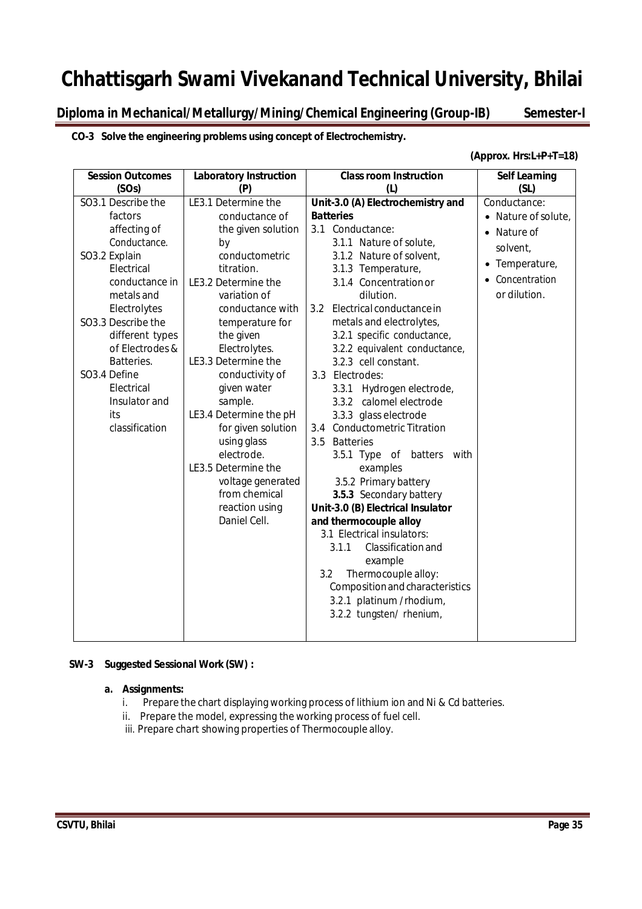**Diploma in Mechanical/Metallurgy/Mining/Chemical Engineering (Group-IB) Semester-I**

#### **CO-3 Solve the engineering problems using concept of Electrochemistry.**

#### **(Approx. Hrs:L+P+T=18)**

| <b>Session Outcomes</b>                                                                                                                                                                                                                                                                                 | <b>Laboratory Instruction</b>                                                                                                                                                                                                                                                                                                                                                                | <b>Class room Instruction</b>                                                                                                                                                                                                                                                                                                                                                                                                                                                                                                                                               | <b>Self Learning</b>                                                                                                                 |
|---------------------------------------------------------------------------------------------------------------------------------------------------------------------------------------------------------------------------------------------------------------------------------------------------------|----------------------------------------------------------------------------------------------------------------------------------------------------------------------------------------------------------------------------------------------------------------------------------------------------------------------------------------------------------------------------------------------|-----------------------------------------------------------------------------------------------------------------------------------------------------------------------------------------------------------------------------------------------------------------------------------------------------------------------------------------------------------------------------------------------------------------------------------------------------------------------------------------------------------------------------------------------------------------------------|--------------------------------------------------------------------------------------------------------------------------------------|
| (SOs)<br>SO3.1 Describe the<br>factors<br>affecting of<br>Conductance.<br>SO3.2 Explain<br>Electrical<br>conductance in<br>metals and<br>Electrolytes<br>SO3.3 Describe the<br>different types<br>of Electrodes &<br>Batteries.<br>SO3.4 Define<br>Electrical<br>Insulator and<br>its<br>classification | (P)<br>LE3.1 Determine the<br>conductance of<br>the given solution<br>by<br>conductometric<br>titration.<br>LE3.2 Determine the<br>variation of<br>conductance with<br>temperature for<br>the given<br>Electrolytes.<br>LE3.3 Determine the<br>conductivity of<br>given water<br>sample.<br>LE3.4 Determine the pH<br>for given solution<br>using glass<br>electrode.<br>LE3.5 Determine the | (L)<br>Unit-3.0 (A) Electrochemistry and<br><b>Batteries</b><br>3.1 Conductance:<br>3.1.1 Nature of solute,<br>3.1.2 Nature of solvent,<br>3.1.3 Temperature,<br>3.1.4 Concentration or<br>dilution.<br>3.2 Electrical conductance in<br>metals and electrolytes,<br>3.2.1 specific conductance,<br>3.2.2 equivalent conductance,<br>3.2.3 cell constant.<br>3.3 Electrodes:<br>Hydrogen electrode,<br>3.3.1<br>calomel electrode<br>3.3.2<br>3.3.3 glass electrode<br>3.4 Conductometric Titration<br>3.5<br><b>Batteries</b><br>3.5.1 Type of<br>batters with<br>examples | (SL)<br>Conductance:<br>• Nature of solute,<br>Nature of<br>$\bullet$<br>solvent,<br>• Temperature,<br>Concentration<br>or dilution. |
|                                                                                                                                                                                                                                                                                                         |                                                                                                                                                                                                                                                                                                                                                                                              |                                                                                                                                                                                                                                                                                                                                                                                                                                                                                                                                                                             |                                                                                                                                      |
|                                                                                                                                                                                                                                                                                                         | voltage generated<br>from chemical<br>reaction using                                                                                                                                                                                                                                                                                                                                         | 3.5.2 Primary battery<br>3.5.3 Secondary battery<br>Unit-3.0 (B) Electrical Insulator                                                                                                                                                                                                                                                                                                                                                                                                                                                                                       |                                                                                                                                      |
|                                                                                                                                                                                                                                                                                                         | Daniel Cell.                                                                                                                                                                                                                                                                                                                                                                                 | and thermocouple alloy<br>3.1 Electrical insulators:<br>3.1.1<br>Classification and<br>example<br>Thermocouple alloy:<br>3.2<br>Composition and characteristics<br>3.2.1 platinum /rhodium,<br>3.2.2 tungsten/ rhenium,                                                                                                                                                                                                                                                                                                                                                     |                                                                                                                                      |

#### **SW-3 Suggested Sessional Work (SW) :**

#### **a. Assignments:**

- i. Prepare the chart displaying working process of lithium ion and Ni & Cd batteries.
- ii. Prepare the model, expressing the working process of fuel cell.
- iii. Prepare chart showing properties of Thermocouple alloy.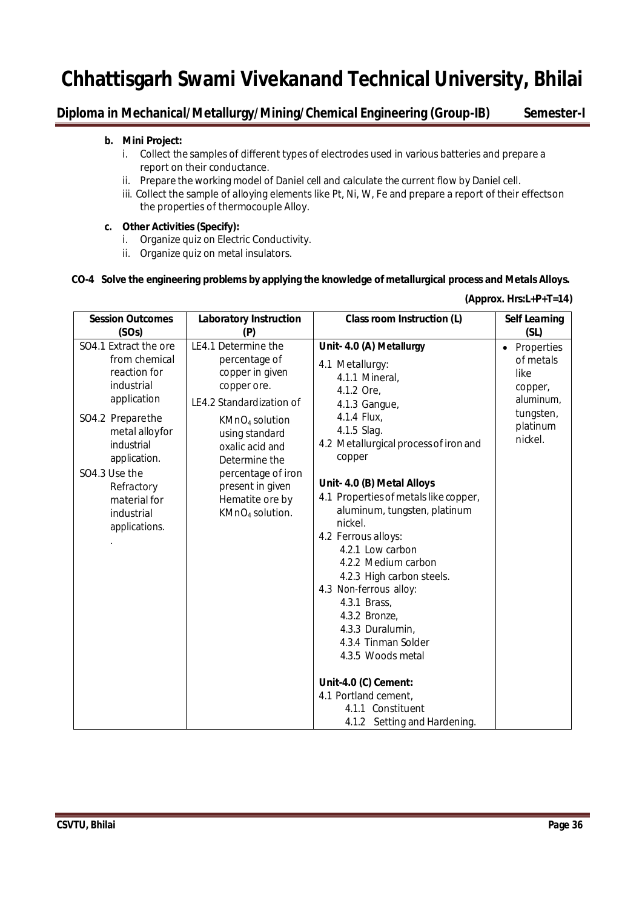## **Diploma in Mechanical/Metallurgy/Mining/Chemical Engineering (Group-IB) Semester-I**

#### **b. Mini Project:**

- i. Collect the samples of different types of electrodes used in various batteries and prepare a report on their conductance.
- ii. Prepare the working model of Daniel cell and calculate the current flow by Daniel cell.
- iii. Collect the sample of alloying elements like Pt, Ni, W, Fe and prepare a report of their effectson the properties of thermocouple Alloy.

#### **c. Other Activities (Specify):**

- i. Organize quiz on Electric Conductivity.
- ii. Organize quiz on metal insulators.

#### **CO-4 Solve the engineering problems by applying the knowledge of metallurgical process and Metals Alloys.**

| <b>Session Outcomes</b>                                                                                                                                                                                                               | <b>Laboratory Instruction</b>                                                                                                                                                                                                                                                      | <b>Class room Instruction (L)</b>                                                                                                                                                                                                                                                                                                                                                                                                                                                                                                                                                                                              | <b>Self Learning</b>                                                                                     |
|---------------------------------------------------------------------------------------------------------------------------------------------------------------------------------------------------------------------------------------|------------------------------------------------------------------------------------------------------------------------------------------------------------------------------------------------------------------------------------------------------------------------------------|--------------------------------------------------------------------------------------------------------------------------------------------------------------------------------------------------------------------------------------------------------------------------------------------------------------------------------------------------------------------------------------------------------------------------------------------------------------------------------------------------------------------------------------------------------------------------------------------------------------------------------|----------------------------------------------------------------------------------------------------------|
| (SOs)                                                                                                                                                                                                                                 | (P)                                                                                                                                                                                                                                                                                |                                                                                                                                                                                                                                                                                                                                                                                                                                                                                                                                                                                                                                | (SL)                                                                                                     |
| SO4.1 Extract the ore<br>from chemical<br>reaction for<br>industrial<br>application<br>SO4.2 Preparethe<br>metal alloyfor<br>industrial<br>application.<br>SO4.3 Use the<br>Refractory<br>material for<br>industrial<br>applications. | LE4.1 Determine the<br>percentage of<br>copper in given<br>copper ore.<br>LE4.2 Standardization of<br>KMnO <sub>4</sub> solution<br>using standard<br>oxalic acid and<br>Determine the<br>percentage of iron<br>present in given<br>Hematite ore by<br>KMnO <sub>4</sub> solution. | Unit- 4.0 (A) Metallurgy<br>4.1 Metallurgy:<br>4.1.1 Mineral,<br>4.1.2 Ore,<br>4.1.3 Gangue,<br>4.1.4 Flux,<br>4.1.5 Slag.<br>4.2 Metallurgical process of iron and<br>copper<br>Unit- 4.0 (B) Metal Alloys<br>4.1 Properties of metals like copper,<br>aluminum, tungsten, platinum<br>nickel.<br>4.2 Ferrous alloys:<br>4.2.1 Low carbon<br>4.2.2 Medium carbon<br>4.2.3 High carbon steels.<br>4.3 Non-ferrous alloy:<br>4.3.1 Brass,<br>4.3.2 Bronze,<br>4.3.3 Duralumin,<br>4.3.4 Tinman Solder<br>4.3.5 Woods metal<br>Unit-4.0 (C) Cement:<br>4.1 Portland cement,<br>4.1.1 Constituent<br>4.1.2 Setting and Hardening. | Properties<br>$\bullet$<br>of metals<br>like<br>copper,<br>aluminum,<br>tungsten,<br>platinum<br>nickel. |

#### **(Approx. Hrs:L+P+T=14)**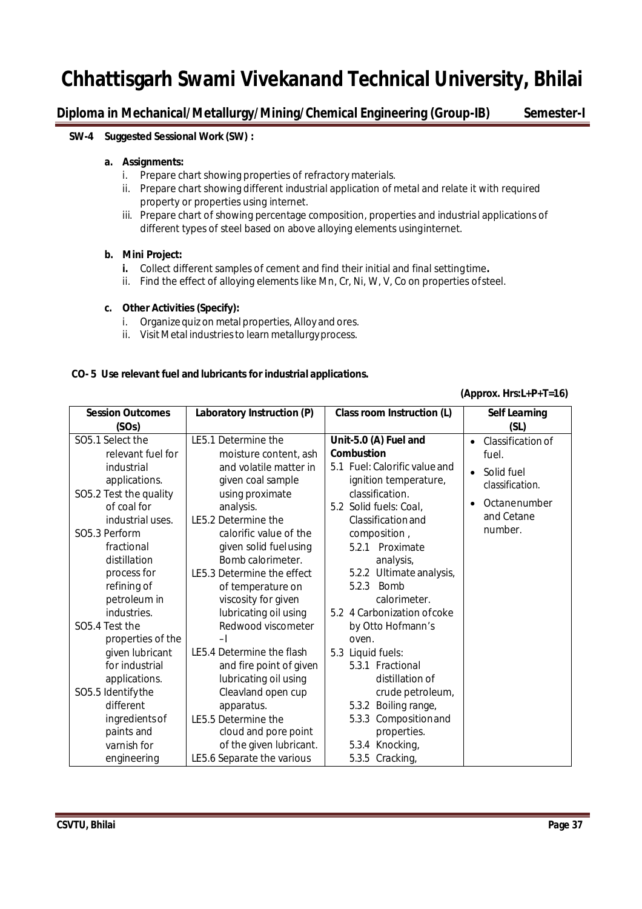## **Diploma in Mechanical/Metallurgy/Mining/Chemical Engineering (Group-IB) Semester-I**

### **SW-4 Suggested Sessional Work (SW) :**

#### **a. Assignments:**

- i. Prepare chart showing properties of refractory materials.
- ii. Prepare chart showing different industrial application of metal and relate it with required property or properties using internet.
- iii. Prepare chart of showing percentage composition, properties and industrial applications of different types of steel based on above alloying elements usinginternet.

### **b. Mini Project:**

- **i.** Collect different samples of cement and find their initial and final setting time**.**
- ii. Find the effect of alloying elements like Mn, Cr, Ni, W, V, Co on properties ofsteel.

#### **c. Other Activities (Specify):**

- i. Organize quiz on metal properties, Alloy and ores.
- ii. Visit Metal industries to learn metallurgy process.

### **CO- 5 Use relevant fuel and lubricants for industrial applications.**

#### **(Approx. Hrs:L+P+T=16)**

| <b>Session Outcomes</b>           | Laboratory Instruction (P)                       | Class room Instruction (L)            | <b>Self Learning</b>           |
|-----------------------------------|--------------------------------------------------|---------------------------------------|--------------------------------|
| (SOs)                             |                                                  |                                       | (SL)                           |
| SO5.1 Select the                  | LE5.1 Determine the                              | Unit-5.0 (A) Fuel and                 | Classification of<br>$\bullet$ |
| relevant fuel for                 | moisture content, ash                            | <b>Combustion</b>                     | fuel.                          |
| industrial                        | and volatile matter in                           | 5.1 Fuel: Calorific value and         | Solid fuel<br>$\bullet$        |
| applications.                     | given coal sample                                | ignition temperature,                 | classification.                |
| SO5.2 Test the quality            | using proximate                                  | classification.                       | Octanenumber<br>$\bullet$      |
| of coal for                       | analysis.                                        | 5.2 Solid fuels: Coal,                | and Cetane                     |
| industrial uses.                  | LE5.2 Determine the                              | Classification and                    | number.                        |
| SO5.3 Perform                     | calorific value of the                           | composition,                          |                                |
| fractional                        | given solid fuelusing                            | 5.2.1 Proximate                       |                                |
| distillation                      | Bomb calorimeter.                                | analysis,                             |                                |
| process for                       | LE5.3 Determine the effect                       | 5.2.2 Ultimate analysis,              |                                |
| refining of                       | of temperature on                                | <b>Bomb</b><br>5.2.3                  |                                |
| petroleum in                      | viscosity for given                              | calorimeter.                          |                                |
| industries.                       | lubricating oil using                            | 5.2 4 Carbonization of coke           |                                |
| SO <sub>5</sub> .4 Test the       | Redwood viscometer                               | by Otto Hofmann's                     |                                |
| properties of the                 | -1<br>LE5.4 Determine the flash                  | oven.                                 |                                |
| given lubricant<br>for industrial |                                                  | 5.3 Liquid fuels:<br>5.3.1 Fractional |                                |
| applications.                     | and fire point of given<br>lubricating oil using | distillation of                       |                                |
| SO5.5 Identify the                | Cleavland open cup                               | crude petroleum,                      |                                |
| different                         | apparatus.                                       | Boiling range,<br>5.3.2               |                                |
| ingredients of                    | LE5.5 Determine the                              | 5.3.3 Composition and                 |                                |
| paints and                        | cloud and pore point                             | properties.                           |                                |
| varnish for                       | of the given lubricant.                          | 5.3.4 Knocking,                       |                                |
| engineering                       | LE5.6 Separate the various                       | 5.3.5 Cracking,                       |                                |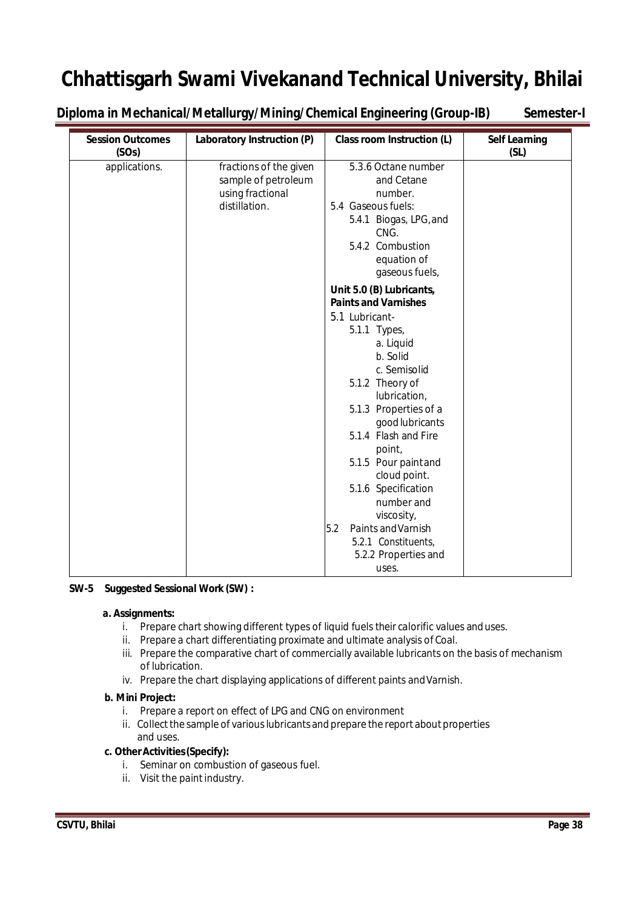**Diploma in Mechanical/Metallurgy/Mining/Chemical Engineering (Group-IB) Semester-I**

| <b>Session Outcomes</b><br>(SOs) | Laboratory Instruction (P)                                                         | <b>Class room Instruction (L)</b>                                                                                                                         | <b>Self Learning</b><br>(SL) |
|----------------------------------|------------------------------------------------------------------------------------|-----------------------------------------------------------------------------------------------------------------------------------------------------------|------------------------------|
| applications.                    | fractions of the given<br>sample of petroleum<br>using fractional<br>distillation. | 5.3.6 Octane number<br>and Cetane<br>number.<br>5.4 Gaseous fuels:<br>5.4.1 Biogas, LPG, and<br>CNG.<br>5.4.2 Combustion<br>equation of<br>gaseous fuels, |                              |
|                                  |                                                                                    | Unit 5.0 (B) Lubricants,<br><b>Paints and Varnishes</b>                                                                                                   |                              |
|                                  |                                                                                    | 5.1 Lubricant-<br>5.1.1 Types,<br>a. Liquid                                                                                                               |                              |
|                                  |                                                                                    | b. Solid<br>c. Semisolid                                                                                                                                  |                              |
|                                  |                                                                                    | 5.1.2 Theory of<br>lubrication,<br>5.1.3 Properties of a                                                                                                  |                              |
|                                  |                                                                                    | good lubricants<br>5.1.4 Flash and Fire                                                                                                                   |                              |
|                                  |                                                                                    | point,<br>5.1.5 Pour paint and<br>cloud point.                                                                                                            |                              |
|                                  |                                                                                    | 5.1.6 Specification<br>number and                                                                                                                         |                              |
|                                  |                                                                                    | viscosity,<br>Paints and Varnish<br>5.2<br>5.2.1 Constituents,                                                                                            |                              |
|                                  |                                                                                    | 5.2.2 Properties and<br>uses.                                                                                                                             |                              |

## **SW-5 Suggested Sessional Work (SW) :**

### **a. Assignments:**

- i. Prepare chart showing different types of liquid fuels their calorific values anduses.
- ii. Prepare a chart differentiating proximate and ultimate analysis of Coal.
- iii. Prepare the comparative chart of commercially available lubricants on the basis of mechanism of lubrication.
- iv. Prepare the chart displaying applications of different paints andVarnish.

## **b. Mini Project:**

- i. Prepare a report on effect of LPG and CNG on environment
- ii. Collect the sample of various lubricants and prepare the report about properties and uses.

## **c. OtherActivities(Specify):**

- i. Seminar on combustion of gaseous fuel.
- ii. Visit the paint industry.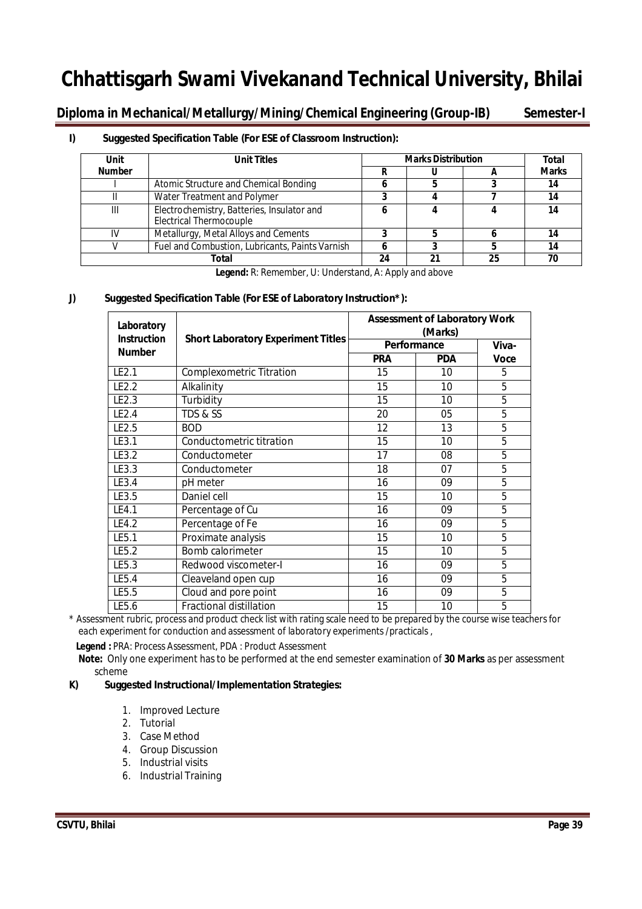**Diploma in Mechanical/Metallurgy/Mining/Chemical Engineering (Group-IB) Semester-I**

## **I) Suggested Specification Table (For ESE of Classroom Instruction):**

| Unit          | <b>Unit Titles</b>                                                           | <b>Marks Distribution</b> | Total |    |              |
|---------------|------------------------------------------------------------------------------|---------------------------|-------|----|--------------|
| <b>Number</b> |                                                                              |                           |       |    | <b>Marks</b> |
|               | Atomic Structure and Chemical Bonding                                        |                           |       |    | 14           |
|               | Water Treatment and Polymer                                                  |                           |       |    | 14           |
| Ш             | Electrochemistry, Batteries, Insulator and<br><b>Electrical Thermocouple</b> |                           |       |    | 14           |
| ιv            | Metallurgy, Metal Alloys and Cements                                         |                           |       |    | 14           |
|               | Fuel and Combustion, Lubricants, Paints Varnish                              |                           |       |    | 14           |
|               | Total                                                                        | 24                        |       | クら | 70           |

**Legend:** R: Remember, U: Understand, A: Apply and above

## **J) Suggested Specification Table (For ESE of Laboratory Instruction\*):**

| Laboratory<br><b>Instruction</b> | <b>Short Laboratory Experiment Titles</b> | <b>Assessment of Laboratory Work</b><br>Performance | Viva-      |                |
|----------------------------------|-------------------------------------------|-----------------------------------------------------|------------|----------------|
| <b>Number</b>                    |                                           | <b>PRA</b>                                          | <b>PDA</b> | <b>Voce</b>    |
| LE2.1                            | <b>Complexometric Titration</b>           | 15                                                  | 10         | 5              |
| LE2.2                            | Alkalinity                                | 15                                                  | 10         | 5              |
| LE2.3                            | Turbidity                                 | 15                                                  | 10         | 5              |
| LE2.4                            | TDS & SS                                  | 20                                                  | 05         | 5              |
| LE2.5                            | <b>BOD</b>                                | 12                                                  | 13         | 5              |
| LE3.1                            | Conductometric titration                  | 15                                                  | 10         | 5              |
| LE3.2                            | Conductometer                             | 17                                                  | 08         | 5              |
| LE3.3                            | Conductometer                             | 18                                                  | 07         | 5              |
| LE3.4                            | pH meter                                  | 16                                                  | 09         | 5              |
| LE3.5                            | Daniel cell                               | 15                                                  | 10         | 5              |
| LE4.1                            | Percentage of Cu                          | 16                                                  | 09         | 5              |
| LE4.2                            | Percentage of Fe                          | 16                                                  | 09         | 5              |
| LE5.1                            | Proximate analysis                        | 15                                                  | 10         | 5              |
| LE5.2                            | Bomb calorimeter                          | 15                                                  | 10         | 5              |
| LE5.3                            | Redwood viscometer-I                      | 16                                                  | 09         | 5              |
| LE5.4                            | Cleaveland open cup                       | 16                                                  | 09         | 5              |
| LE5.5                            | Cloud and pore point                      | 16                                                  | 09         | 5              |
| LE5.6                            | Fractional distillation                   | 15                                                  | 10         | $\overline{5}$ |

\* Assessment rubric, process and product check list with rating scale need to be prepared by the course wise teachers for each experiment for conduction and assessment of laboratory experiments /practicals ,

Legend : PRA: Process Assessment, PDA : Product Assessment

 **Note:** Only one experiment has to be performed at the end semester examination of **30 Marks** as per assessment scheme

## **K) Suggested Instructional/Implementation Strategies:**

- 1. Improved Lecture
- 2. Tutorial
- 3. Case Method
- 4. Group Discussion
- 5. Industrial visits
- 6. Industrial Training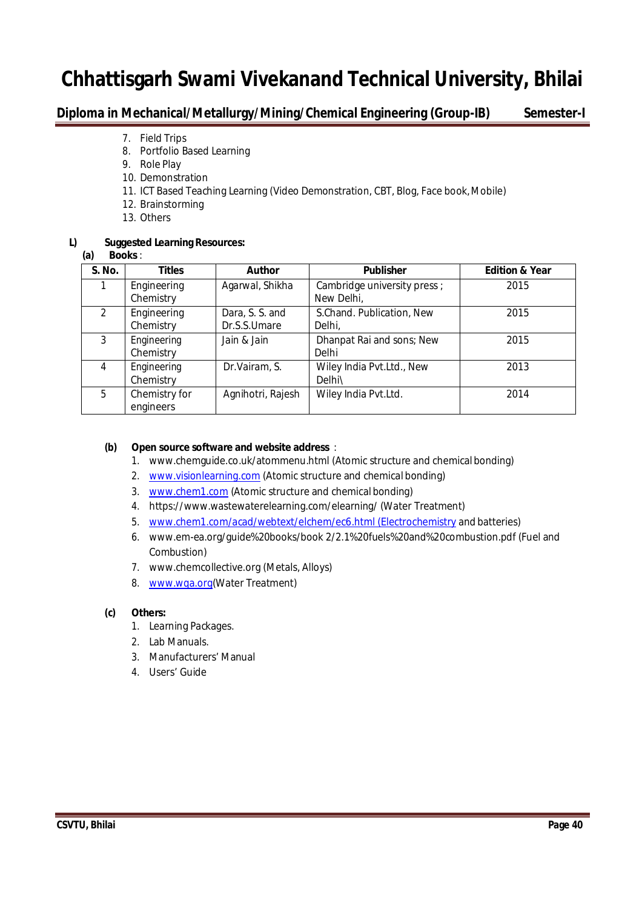## **Diploma in Mechanical/Metallurgy/Mining/Chemical Engineering (Group-IB) Semester-I**

- 7. Field Trips
- 8. Portfolio Based Learning
- 9. Role Play
- 10. Demonstration
- 11. ICT Based Teaching Learning (Video Demonstration, CBT, Blog, Face book,Mobile)
- 12. Brainstorming
- 13. Others

## **L) Suggested Learning Resources:**

## **(a) Books**:

| S. No. | <b>Titles</b>              | <b>Author</b>                   | <b>Publisher</b>                          | <b>Edition &amp; Year</b> |
|--------|----------------------------|---------------------------------|-------------------------------------------|---------------------------|
|        | Engineering<br>Chemistry   | Agarwal, Shikha                 | Cambridge university press;<br>New Delhi, | 2015                      |
| 2      | Engineering<br>Chemistry   | Dara, S. S. and<br>Dr.S.S.Umare | S.Chand. Publication, New<br>Delhi,       | 2015                      |
| 3      | Engineering<br>Chemistry   | Jain & Jain                     | Dhanpat Rai and sons; New<br>Delhi        | 2015                      |
| 4      | Engineering<br>Chemistry   | Dr.Vairam, S.                   | Wiley India Pvt.Ltd., New<br>Delhi\       | 2013                      |
| 5      | Chemistry for<br>engineers | Agnihotri, Rajesh               | Wiley India Pvt.Ltd.                      | 2014                      |

## **(b) Open source software and website address** :

- 1. www.chemguide.co.uk/atommenu.html (Atomic structure and chemical bonding)
- 2. www.visionlearning.com (Atomic structure and chemical bonding)
- 3. www.chem1.com (Atomic structure and chemical bonding)
- 4. https://www.wastewaterelearning.com/elearning/ (Water Treatment)
- 5. www.chem1.com/acad/webtext/elchem/ec6.html (Electrochemistry and batteries)
- 6. www.em-ea.org/guide%20books/book 2/2.1%20fuels%20and%20combustion.pdf (Fuel and Combustion)
- 7. www.chemcollective.org (Metals, Alloys)
- 8. www.wqa.org(Water Treatment)

## **(c) Others:**

- 1. Learning Packages.
- 2. Lab Manuals.
- 3. Manufacturers' Manual
- 4. Users' Guide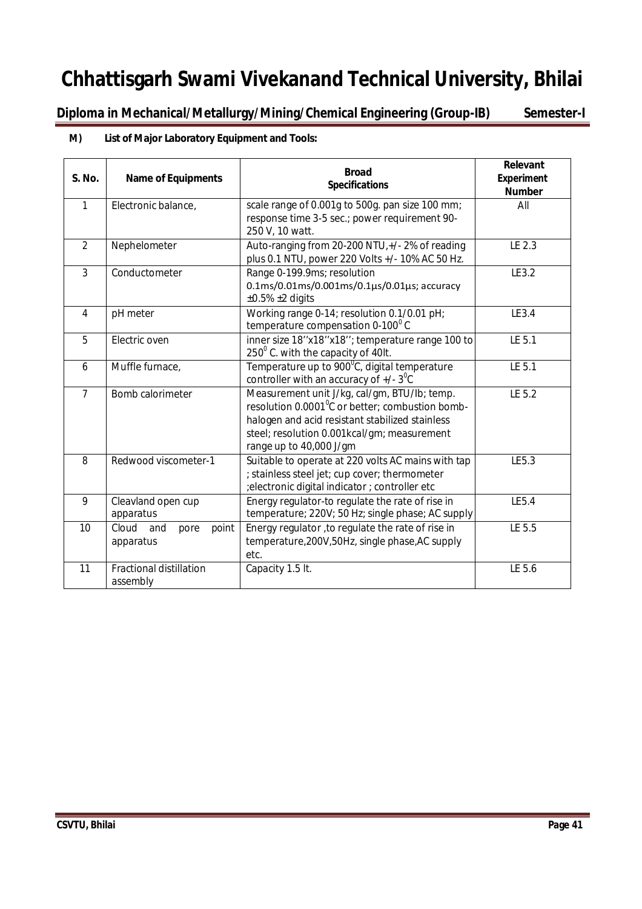**Diploma in Mechanical/Metallurgy/Mining/Chemical Engineering (Group-IB) Semester-I**

## **M) List of Major Laboratory Equipment and Tools:**

| <b>S. No.</b>  | <b>Name of Equipments</b>                  | <b>Broad</b><br><b>Specifications</b>                                                                                                                                                                                                     | Relevant<br><b>Experiment</b><br><b>Number</b> |  |
|----------------|--------------------------------------------|-------------------------------------------------------------------------------------------------------------------------------------------------------------------------------------------------------------------------------------------|------------------------------------------------|--|
| $\mathbf{1}$   | Electronic balance,                        | scale range of 0.001g to 500g. pan size 100 mm;<br>response time 3-5 sec.; power requirement 90-<br>250 V, 10 watt.                                                                                                                       | All                                            |  |
| $\overline{2}$ | Nephelometer                               | Auto-ranging from 20-200 NTU,+/- 2% of reading<br>plus 0.1 NTU, power 220 Volts +/- 10% AC 50 Hz.                                                                                                                                         | LE 2.3                                         |  |
| 3              | Conductometer                              | Range 0-199.9ms; resolution<br>$0.1 \text{ms}/0.01 \text{ms}/0.001 \text{ms}/0.1 \mu\text{s}/0.01 \mu\text{s}$ ; accuracy<br>$\pm 0.5\%$ $\pm 2$ digits                                                                                   | LE3.2                                          |  |
| $\overline{4}$ | pH meter                                   | Working range 0-14; resolution 0.1/0.01 pH;<br>temperature compensation 0-100°C                                                                                                                                                           | LE3.4                                          |  |
| 5              | Electric oven                              | inner size 18"x18"x18"; temperature range 100 to<br>$250^{\circ}$ C. with the capacity of 40lt.                                                                                                                                           | LE 5.1                                         |  |
| 6              | Muffle furnace,                            | Temperature up to 900°C, digital temperature<br>controller with an accuracy of $+/-3$ <sup>°</sup> C                                                                                                                                      |                                                |  |
| $\overline{7}$ | Bomb calorimeter                           | Measurement unit J/kg, cal/gm, BTU/lb; temp.<br>resolution 0.0001 <sup>°</sup> C or better; combustion bomb-<br>halogen and acid resistant stabilized stainless<br>steel; resolution 0.001kcal/gm; measurement<br>range up to 40,000 J/gm | LE 5.2                                         |  |
| $\overline{8}$ | Redwood viscometer-1                       | Suitable to operate at 220 volts AC mains with tap<br>; stainless steel jet; cup cover; thermometer<br>;electronic digital indicator ; controller etc                                                                                     | LE5.3                                          |  |
| $\overline{9}$ | Cleavland open cup<br>apparatus            | Energy regulator-to regulate the rate of rise in<br>temperature; 220V; 50 Hz; single phase; AC supply                                                                                                                                     | LE5.4                                          |  |
| 10             | Cloud<br>and<br>point<br>pore<br>apparatus | Energy regulator, to regulate the rate of rise in<br>temperature, 200V, 50Hz, single phase, AC supply<br>etc.                                                                                                                             | LE 5.5                                         |  |
| 11             | <b>Fractional distillation</b><br>assembly | Capacity 1.5 lt.                                                                                                                                                                                                                          | LE 5.6                                         |  |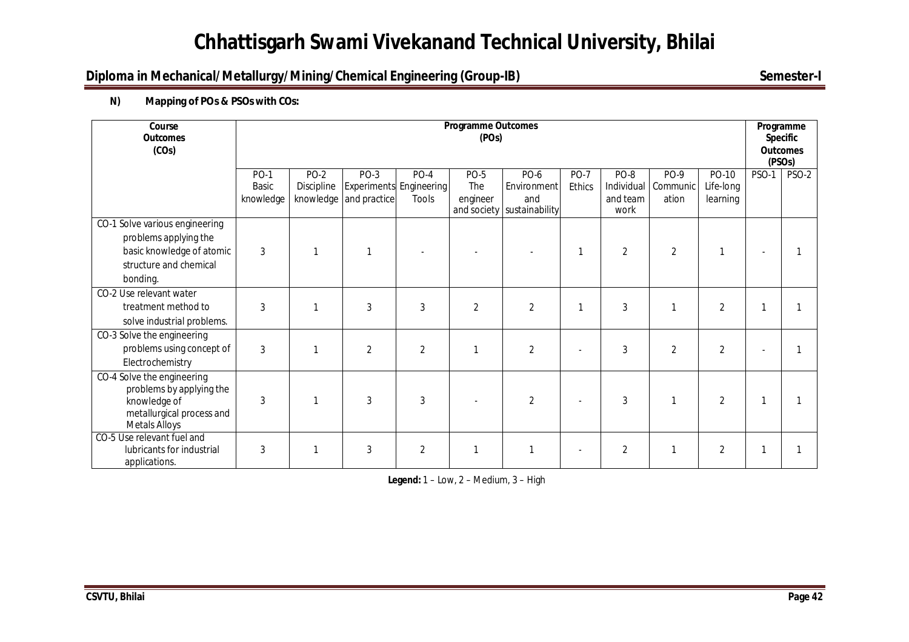## **Diploma in Mechanical/Metallurgy/Mining/Chemical Engineering (Group-IB)** Semester-I

## **N) Mapping of POs & PSOs with COs:**

| Course<br><b>Outcomes</b><br>(COs)                                                                                          | <b>Programme Outcomes</b><br>(POs) |                           |                                |                                                   |                                |                            |                              |                        |                                      |                                | Programme<br><b>Specific</b><br><b>Outcomes</b><br>(PSO <sub>s</sub> ) |       |
|-----------------------------------------------------------------------------------------------------------------------------|------------------------------------|---------------------------|--------------------------------|---------------------------------------------------|--------------------------------|----------------------------|------------------------------|------------------------|--------------------------------------|--------------------------------|------------------------------------------------------------------------|-------|
|                                                                                                                             | <b>PO-1</b><br>Basic<br>knowledge  | <b>PO-2</b><br>Discipline | PO-3<br>knowledge and practice | $PO-4$<br><b>Experiments Engineering</b><br>Tools | <b>PO-5</b><br>The<br>engineer | PO-6<br>Environment<br>and | <b>PO-7</b><br><b>Ethics</b> | PO-8<br>and team       | PO-9<br>Individual Communic<br>ation | PO-10<br>Life-long<br>learning | <b>PSO-1</b>                                                           | PSO-2 |
| CO-1 Solve various engineering<br>problems applying the<br>basic knowledge of atomic<br>structure and chemical<br>bonding.  | $\mathbf{3}$                       |                           | -1                             |                                                   | and society                    | sustainability             |                              | work<br>$\overline{2}$ | $\overline{2}$                       |                                |                                                                        |       |
| CO-2 Use relevant water<br>treatment method to<br>solve industrial problems.                                                | 3                                  |                           | 3                              | 3                                                 | $\overline{2}$                 | $\overline{2}$             | $\mathbf 1$                  | 3                      |                                      | $\overline{2}$                 |                                                                        |       |
| CO-3 Solve the engineering<br>problems using concept of<br>Electrochemistry                                                 | 3                                  |                           | $\overline{2}$                 | $\overline{2}$                                    |                                | $\overline{2}$             |                              | 3                      | 2                                    | $\overline{2}$                 |                                                                        |       |
| CO-4 Solve the engineering<br>problems by applying the<br>knowledge of<br>metallurgical process and<br><b>Metals Alloys</b> | 3                                  |                           | 3                              | 3                                                 |                                | $\overline{2}$             |                              | 3                      |                                      | $\overline{2}$                 |                                                                        |       |
| CO-5 Use relevant fuel and<br>lubricants for industrial<br>applications.                                                    | 3                                  |                           | 3                              | $\overline{2}$                                    | 1                              | 1                          |                              | $\overline{2}$         |                                      | 2                              |                                                                        |       |

**Legend:** 1 – Low, 2 – Medium, 3 – High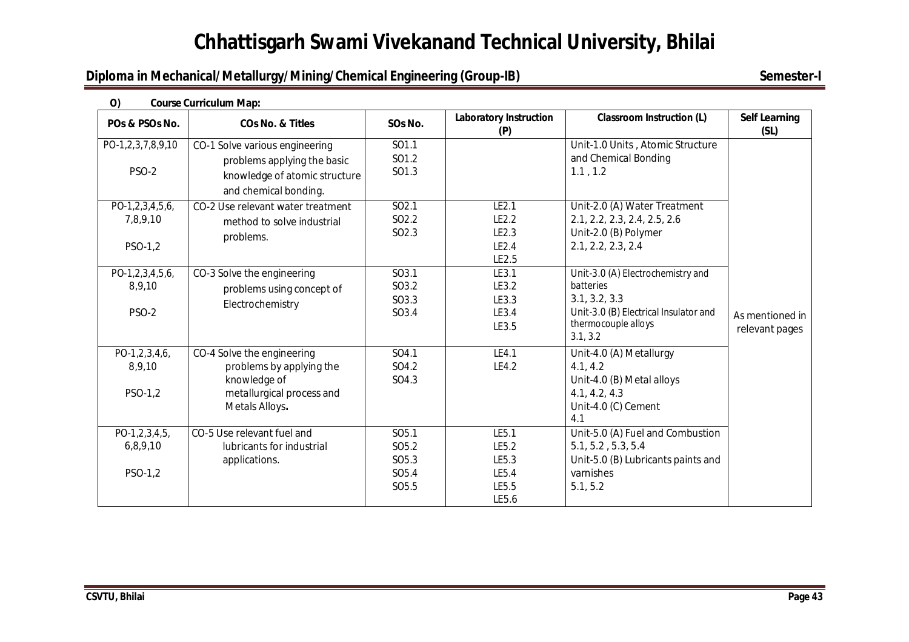## **Diploma in Mechanical/Metallurgy/Mining/Chemical Engineering (Group-IB)** Semester-I

| O)                     | <b>Course Curriculum Map:</b>      |                   |                                      |                                       |                              |  |  |  |  |  |
|------------------------|------------------------------------|-------------------|--------------------------------------|---------------------------------------|------------------------------|--|--|--|--|--|
| POs & PSOs No.         | <b>CO<sub>s</sub></b> No. & Titles | SOs No.           | <b>Laboratory Instruction</b><br>(P) | <b>Classroom Instruction (L)</b>      | <b>Self Learning</b><br>(SL) |  |  |  |  |  |
| PO-1,2,3,7,8,9,10      | CO-1 Solve various engineering     | SO1.1             |                                      | Unit-1.0 Units, Atomic Structure      |                              |  |  |  |  |  |
|                        | problems applying the basic        | SO1.2             |                                      | and Chemical Bonding                  |                              |  |  |  |  |  |
| <b>PSO-2</b>           | knowledge of atomic structure      | SO1.3             |                                      | 1.1, 1.2                              |                              |  |  |  |  |  |
|                        | and chemical bonding.              |                   |                                      |                                       |                              |  |  |  |  |  |
| $PO-1, 2, 3, 4, 5, 6,$ | CO-2 Use relevant water treatment  | SO <sub>2.1</sub> | LE2.1                                | Unit-2.0 (A) Water Treatment          |                              |  |  |  |  |  |
| 7,8,9,10               | method to solve industrial         | SO <sub>2.2</sub> | LE2.2                                | 2.1, 2.2, 2.3, 2.4, 2.5, 2.6          |                              |  |  |  |  |  |
|                        | problems.                          | SO2.3             | LE2.3                                | Unit-2.0 (B) Polymer                  |                              |  |  |  |  |  |
| PSO-1,2                |                                    |                   | LE2.4                                | 2.1, 2.2, 2.3, 2.4                    |                              |  |  |  |  |  |
|                        |                                    |                   | LE2.5                                |                                       |                              |  |  |  |  |  |
| $PO-1, 2, 3, 4, 5, 6,$ | CO-3 Solve the engineering         | SO3.1             | LE3.1                                | Unit-3.0 (A) Electrochemistry and     |                              |  |  |  |  |  |
| 8,9,10                 | problems using concept of          | SO3.2             | LE3.2                                | batteries                             |                              |  |  |  |  |  |
|                        | Electrochemistry                   | SO3.3             | LE3.3                                | 3.1, 3.2, 3.3                         |                              |  |  |  |  |  |
| <b>PSO-2</b>           |                                    | SO3.4             | LE3.4                                | Unit-3.0 (B) Electrical Insulator and | As mentioned in              |  |  |  |  |  |
|                        |                                    |                   | LE3.5                                | thermocouple alloys<br>3.1, 3.2       | relevant pages               |  |  |  |  |  |
| $PO-1, 2, 3, 4, 6,$    | CO-4 Solve the engineering         | SO4.1             | LE4.1                                | Unit-4.0 (A) Metallurgy               |                              |  |  |  |  |  |
| 8,9,10                 | problems by applying the           | SO4.2             | LE4.2                                | 4.1, 4.2                              |                              |  |  |  |  |  |
|                        | knowledge of                       | SO4.3             |                                      | Unit-4.0 (B) Metal alloys             |                              |  |  |  |  |  |
| PSO-1,2                | metallurgical process and          |                   |                                      | 4.1, 4.2, 4.3                         |                              |  |  |  |  |  |
|                        | Metals Alloys.                     |                   |                                      | Unit-4.0 (C) Cement                   |                              |  |  |  |  |  |
|                        |                                    |                   |                                      | 4.1                                   |                              |  |  |  |  |  |
| $PO-1, 2, 3, 4, 5,$    | CO-5 Use relevant fuel and         | SO <sub>5.1</sub> | LE5.1                                | Unit-5.0 (A) Fuel and Combustion      |                              |  |  |  |  |  |
| 6,8,9,10               | lubricants for industrial          | SO <sub>5.2</sub> | LE5.2                                | 5.1, 5.2, 5.3, 5.4                    |                              |  |  |  |  |  |
|                        | applications.                      | SO <sub>5.3</sub> | LE5.3                                | Unit-5.0 (B) Lubricants paints and    |                              |  |  |  |  |  |
| PSO-1,2                |                                    | SO <sub>5.4</sub> | LE5.4                                | varnishes                             |                              |  |  |  |  |  |
|                        |                                    | SO <sub>5.5</sub> | LE5.5                                | 5.1, 5.2                              |                              |  |  |  |  |  |
|                        |                                    |                   | LE5.6                                |                                       |                              |  |  |  |  |  |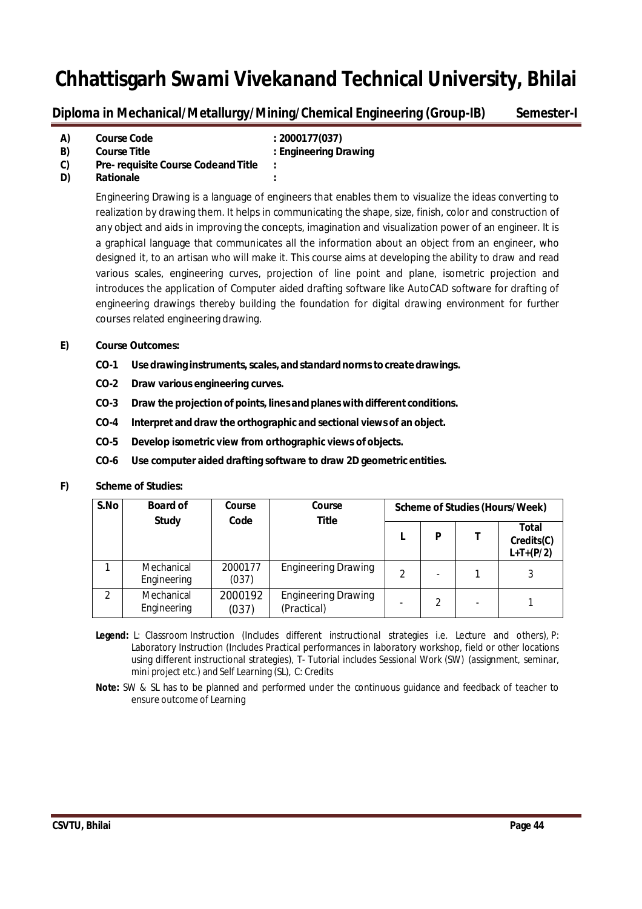**Diploma in Mechanical/Metallurgy/Mining/Chemical Engineering (Group-IB) Semester-I**

| A) | <b>Course Code</b>                         | : 2000177(037)        |
|----|--------------------------------------------|-----------------------|
| B) | <b>Course Title</b>                        | : Engineering Drawing |
| C) | <b>Pre- requisite Course Codeand Title</b> | $\cdot$               |
| D) | <b>Rationale</b>                           | $\bullet$             |

Engineering Drawing is a language of engineers that enables them to visualize the ideas converting to realization by drawing them. It helps in communicating the shape, size, finish, color and construction of any object and aids in improving the concepts, imagination and visualization power of an engineer. It is a graphical language that communicates all the information about an object from an engineer, who designed it, to an artisan who will make it. This course aims at developing the ability to draw and read various scales, engineering curves, projection of line point and plane, isometric projection and introduces the application of Computer aided drafting software like AutoCAD software for drafting of engineering drawings thereby building the foundation for digital drawing environment for further courses related engineering drawing.

## **E) Course Outcomes:**

- **CO-1 Use drawing instruments,scales, andstandardnormstocreate drawings.**
- **CO-2 Draw various engineering curves.**
- **CO-3 Draw the projection of points, lines andplanes with different conditions.**
- **CO-4 Interpret and draw the orthographic and sectional views of an object.**
- **CO-5 Develop isometric view from orthographic views of objects.**
- **CO-6 Use computer aided drafting software to draw 2D geometric entities.**

## **F) Scheme of Studies:**

| S.No           | <b>Board of</b>           | Course           | Course<br>Scheme of Studies (Hours/Week)  |   |   |  |                                    |
|----------------|---------------------------|------------------|-------------------------------------------|---|---|--|------------------------------------|
|                | <b>Study</b>              | Code             | <b>Title</b>                              |   | P |  | Total<br>Credits(C)<br>$L+T+(P/2)$ |
|                | Mechanical<br>Engineering | 2000177<br>(037) | <b>Engineering Drawing</b>                | 2 |   |  |                                    |
| $\mathfrak{D}$ | Mechanical<br>Engineering | 2000192<br>(037) | <b>Engineering Drawing</b><br>(Practical) |   |   |  |                                    |

**Legend:** L: Classroom Instruction (Includes different instructional strategies i.e. Lecture and others), P: Laboratory Instruction (Includes Practical performances in laboratory workshop, field or other locations using different instructional strategies), T- Tutorial includes Sessional Work (SW) (assignment, seminar, mini project etc.) and Self Learning (SL), C: Credits

**Note:** SW & SL has to be planned and performed under the continuous guidance and feedback of teacher to ensure outcome of Learning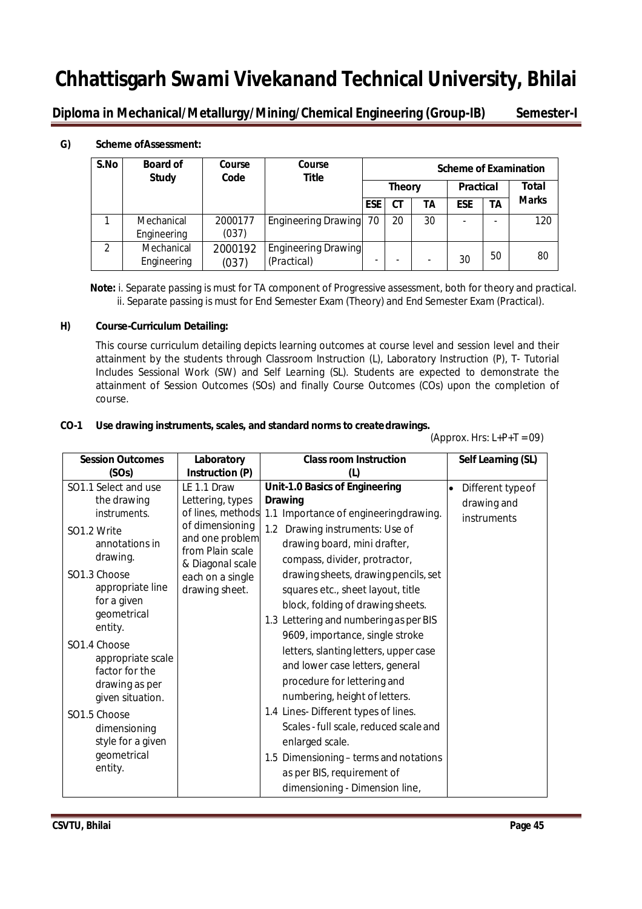**Diploma in Mechanical/Metallurgy/Mining/Chemical Engineering (Group-IB) Semester-I**

## **G) Scheme ofAssessment:**

| S.No | <b>Board of</b><br><b>Study</b> | Course<br>Code   | Course<br><b>Title</b>                    | <b>Scheme of Examination</b> |    |                  |            |                          |              |
|------|---------------------------------|------------------|-------------------------------------------|------------------------------|----|------------------|------------|--------------------------|--------------|
|      |                                 |                  |                                           | <b>Theory</b>                |    | <b>Practical</b> |            | Total                    |              |
|      |                                 |                  |                                           | <b>ESE</b>                   | CТ | TΑ               | <b>ESE</b> | ΤA                       | <b>Marks</b> |
|      | Mechanical                      | 2000177          | Engineering Drawing 70                    |                              | 20 | 30               |            | $\overline{\phantom{a}}$ | 120          |
|      | Engineering                     | (037)            |                                           |                              |    |                  |            |                          |              |
| 2    | Mechanical<br>Engineering       | 2000192<br>(037) | <b>Engineering Drawing</b><br>(Practical) | $\overline{\phantom{0}}$     |    |                  | 30         | 50                       | 80           |

**Note:** i. Separate passing is must for TA component of Progressive assessment, both for theory and practical. ii. Separate passing is must for End Semester Exam (Theory) and End Semester Exam (Practical).

## **H) Course-Curriculum Detailing:**

This course curriculum detailing depicts learning outcomes at course level and session level and their attainment by the students through Classroom Instruction (L), Laboratory Instruction (P), T- Tutorial Includes Sessional Work (SW) and Self Learning (SL). Students are expected to demonstrate the attainment of Session Outcomes (SOs) and finally Course Outcomes (COs) upon the completion of course.

## **CO-1 Use drawing instruments, scales, and standard norms to createdrawings.**

 $(Approx. Hrs: L+P+T = 09)$ 

| <b>Session Outcomes</b>            | Laboratory                          | <b>Class room Instruction</b>          |           | Self Learning (SL) |
|------------------------------------|-------------------------------------|----------------------------------------|-----------|--------------------|
| (SOs)                              | Instruction (P)                     |                                        |           |                    |
| SO1.1 Select and use               | LE 1.1 Draw                         | <b>Unit-1.0 Basics of Engineering</b>  | $\bullet$ | Different typeof   |
| the drawing                        | Lettering, types                    | <b>Drawing</b>                         |           | drawing and        |
| instruments.                       | of lines, methods                   | 1.1 Importance of engineeringdrawing.  |           | instruments        |
| SO <sub>1.2</sub> Write            | of dimensioning                     | 1.2<br>Drawing instruments: Use of     |           |                    |
| annotations in                     | and one problem<br>from Plain scale | drawing board, mini drafter,           |           |                    |
| drawing.                           | & Diagonal scale                    | compass, divider, protractor,          |           |                    |
| SO1.3 Choose                       | each on a single                    | drawing sheets, drawing pencils, set   |           |                    |
| appropriate line                   | drawing sheet.                      | squares etc., sheet layout, title      |           |                    |
| for a given                        |                                     | block, folding of drawing sheets.      |           |                    |
| geometrical                        |                                     | 1.3 Lettering and numbering as per BIS |           |                    |
| entity.                            |                                     | 9609, importance, single stroke        |           |                    |
| SO1.4 Choose                       |                                     | letters, slanting letters, upper case  |           |                    |
| appropriate scale                  |                                     | and lower case letters, general        |           |                    |
| factor for the                     |                                     | procedure for lettering and            |           |                    |
| drawing as per<br>given situation. |                                     | numbering, height of letters.          |           |                    |
|                                    |                                     | 1.4 Lines-Different types of lines.    |           |                    |
| SO1.5 Choose                       |                                     |                                        |           |                    |
| dimensioning                       |                                     | Scales - full scale, reduced scale and |           |                    |
| style for a given                  |                                     | enlarged scale.                        |           |                    |
| geometrical                        |                                     | 1.5 Dimensioning – terms and notations |           |                    |
| entity.                            |                                     | as per BIS, requirement of             |           |                    |
|                                    |                                     | dimensioning - Dimension line,         |           |                    |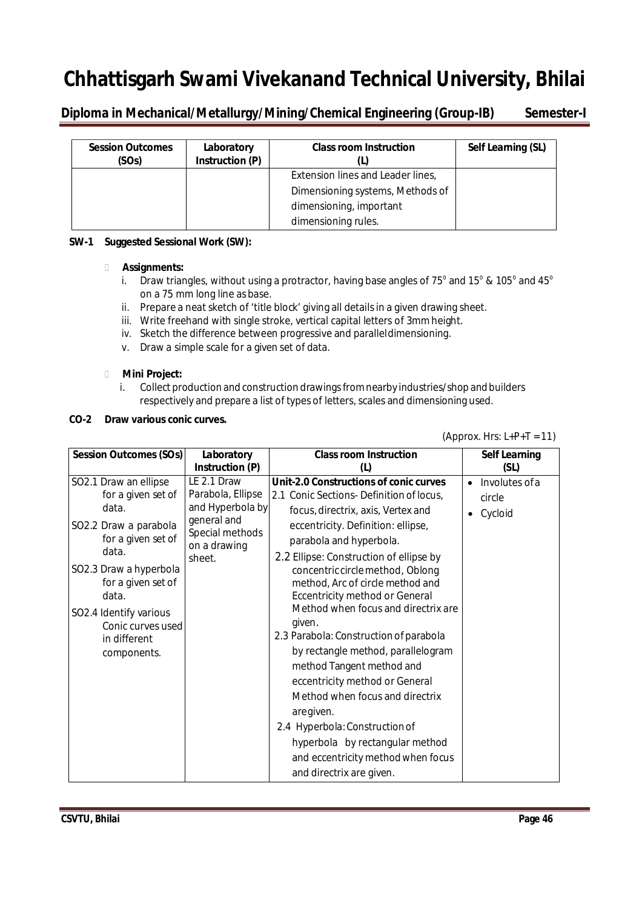**Diploma in Mechanical/Metallurgy/Mining/Chemical Engineering (Group-IB) Semester-I**

| <b>Session Outcomes</b><br>(SOs) | Laboratory<br>Instruction (P) | <b>Class room Instruction</b>     | Self Learning (SL) |
|----------------------------------|-------------------------------|-----------------------------------|--------------------|
|                                  |                               | Extension lines and Leader lines, |                    |
|                                  |                               | Dimensioning systems, Methods of  |                    |
|                                  |                               | dimensioning, important           |                    |
|                                  |                               | dimensioning rules.               |                    |

## **SW-1 Suggested Sessional Work (SW):**

## **Assignments:**

- i. Draw triangles, without using a protractor, having base angles of 75 $^{\rm o}$  and 15 $^{\rm o}$  & 105 $^{\rm o}$  and 45 $^{\rm o}$ on a 75 mm long line as base.
- ii. Prepare a neat sketch of 'title block' giving all details in a given drawing sheet.
- iii. Write freehand with single stroke, vertical capital letters of 3mmheight.
- iv. Sketch the difference between progressive and paralleldimensioning.
- v. Draw a simple scale for a given set of data.

## **Mini Project:**

i. Collect production and construction drawingsfromnearby industries/shop andbuilders respectively and prepare a list of types of letters, scales and dimensioning used.

## **CO-2 Draw various conic curves.**

## (Approx. Hrs:  $L+P+T = 11$ )

| <b>Session Outcomes (SOs)</b> | Laboratory                      | <b>Class room Instruction</b>           | <b>Self Learning</b>        |
|-------------------------------|---------------------------------|-----------------------------------------|-----------------------------|
|                               | Instruction (P)                 | (L)                                     | (SL)                        |
| SO2.1 Draw an ellipse         | LE 2.1 Draw                     | Unit-2.0 Constructions of conic curves  | Involutes of a<br>$\bullet$ |
| for a given set of            | Parabola, Ellipse               | 2.1 Conic Sections-Definition of locus, | circle                      |
| data.                         | and Hyperbola by                | focus, directrix, axis, Vertex and      | Cycloid<br>$\bullet$        |
| SO2.2 Draw a parabola         | general and                     | eccentricity. Definition: ellipse,      |                             |
| for a given set of            | Special methods<br>on a drawing | parabola and hyperbola.                 |                             |
| data.                         | sheet.                          | 2.2 Ellipse: Construction of ellipse by |                             |
| SO2.3 Draw a hyperbola        |                                 | concentric circle method, Oblong        |                             |
| for a given set of            |                                 | method, Arc of circle method and        |                             |
| data.                         |                                 | <b>Eccentricity method or General</b>   |                             |
| SO2.4 Identify various        |                                 | Method when focus and directrix are.    |                             |
| Conic curves used             |                                 | given.                                  |                             |
| in different                  |                                 | 2.3 Parabola: Construction of parabola  |                             |
| components.                   |                                 | by rectangle method, parallelogram      |                             |
|                               |                                 | method Tangent method and               |                             |
|                               |                                 | eccentricity method or General          |                             |
|                               |                                 | Method when focus and directrix         |                             |
|                               |                                 | aregiven.                               |                             |
|                               |                                 | 2.4 Hyperbola: Construction of          |                             |
|                               |                                 | hyperbola by rectangular method         |                             |
|                               |                                 | and eccentricity method when focus      |                             |
|                               |                                 | and directrix are given.                |                             |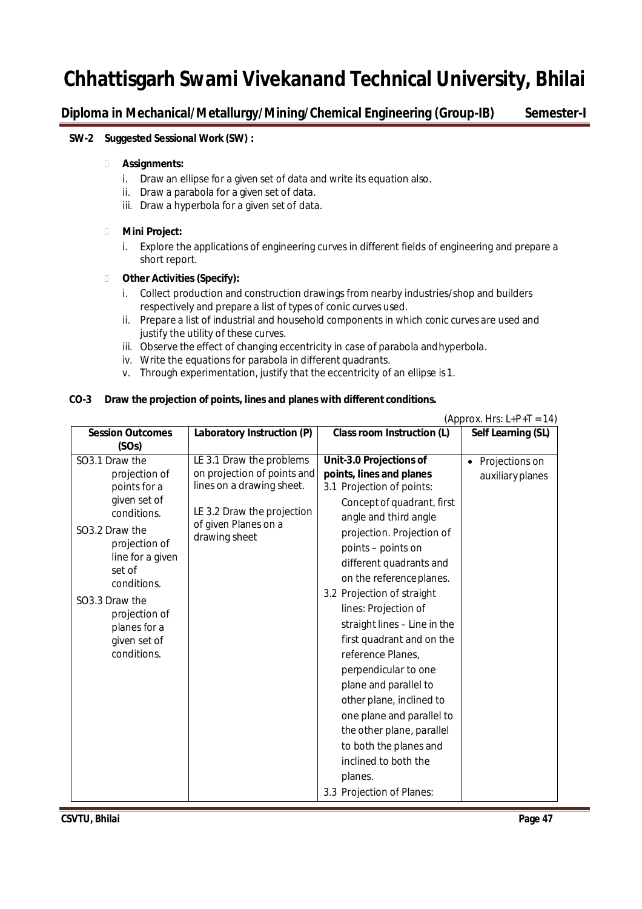**Diploma in Mechanical/Metallurgy/Mining/Chemical Engineering (Group-IB) Semester-I**

### **SW-2 Suggested Sessional Work (SW) :**

### **Assignments:**

- i. Draw an ellipse for a given set of data and write its equation also.
- ii. Draw a parabola for a given set of data.
- iii. Draw a hyperbola for a given set of data.

### **Mini Project:**

i. Explore the applications of engineering curves in different fields of engineering and prepare a short report.

### **Other Activities (Specify):**

- i. Collect production and construction drawings from nearby industries/shop and builders respectively and prepare a list of types of conic curves used.
- ii. Prepare a list of industrial and household components in which conic curves are used and justify the utility of these curves.
- iii. Observe the effect of changing eccentricity in case of parabola and hyperbola.
- iv. Write the equations for parabola in different quadrants.
- v. Through experimentation, justify that the eccentricity of an ellipse is1.

### **CO-3 Draw the projection of points, lines and planes with different conditions.**

|                            |                                                    |                                   | (Approx. Hrs: $L+P+T = 14$ ) |
|----------------------------|----------------------------------------------------|-----------------------------------|------------------------------|
| <b>Session Outcomes</b>    | Laboratory Instruction (P)                         | <b>Class room Instruction (L)</b> | Self Learning (SL)           |
| (SOs)                      |                                                    |                                   |                              |
| SO3.1 Draw the             | LE 3.1 Draw the problems                           | Unit-3.0 Projections of           | • Projections on             |
| projection of              | on projection of points and                        | points, lines and planes          | auxiliary planes             |
| points for a               | lines on a drawing sheet.                          | 3.1 Projection of points:         |                              |
| given set of               |                                                    | Concept of quadrant, first        |                              |
| conditions.                | LE 3.2 Draw the projection<br>of given Planes on a | angle and third angle             |                              |
| SO3.2 Draw the             | drawing sheet                                      | projection. Projection of         |                              |
| projection of              |                                                    | points - points on                |                              |
| line for a given<br>set of |                                                    | different quadrants and           |                              |
| conditions.                |                                                    | on the reference planes.          |                              |
| SO3.3 Draw the             |                                                    | 3.2 Projection of straight        |                              |
| projection of              |                                                    | lines: Projection of              |                              |
| planes for a               |                                                    | straight lines - Line in the      |                              |
| given set of               |                                                    | first quadrant and on the         |                              |
| conditions.                |                                                    | reference Planes,                 |                              |
|                            |                                                    | perpendicular to one              |                              |
|                            |                                                    | plane and parallel to             |                              |
|                            |                                                    | other plane, inclined to          |                              |
|                            |                                                    | one plane and parallel to         |                              |
|                            |                                                    | the other plane, parallel         |                              |
|                            |                                                    | to both the planes and            |                              |
|                            |                                                    | inclined to both the              |                              |
|                            |                                                    | planes.                           |                              |
|                            |                                                    | 3.3 Projection of Planes:         |                              |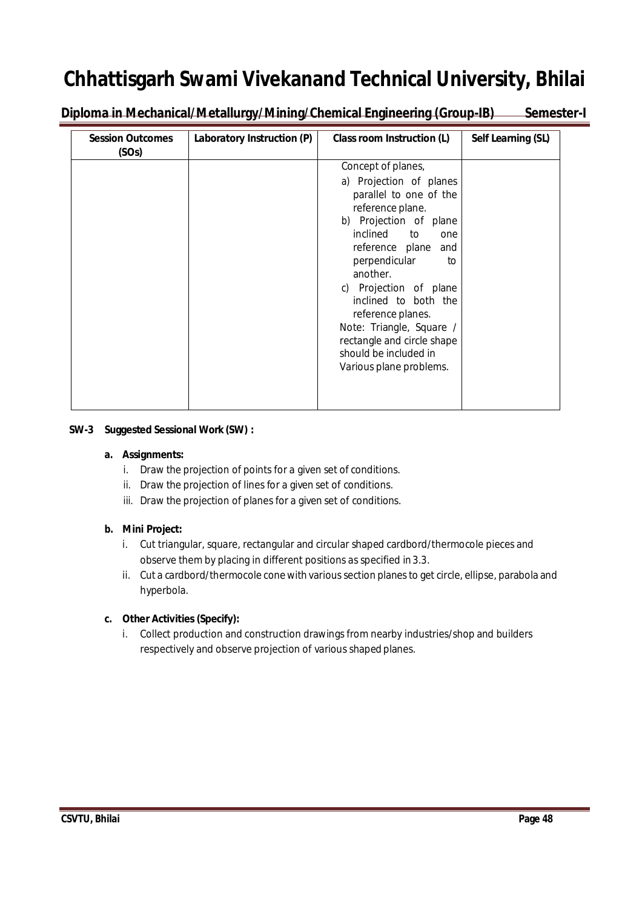Diploma in Mechanical/Metallurgy/Mining/Chemical Engineering (Group-IB) Semester-I

| Laboratory Instruction (P)<br><b>Session Outcomes</b><br>(SOs) | Class room Instruction (L)                                                                                                                                                                                                                                                                                                                                                                 | Self Learning (SL) |
|----------------------------------------------------------------|--------------------------------------------------------------------------------------------------------------------------------------------------------------------------------------------------------------------------------------------------------------------------------------------------------------------------------------------------------------------------------------------|--------------------|
|                                                                | Concept of planes,<br>a) Projection of planes<br>parallel to one of the<br>reference plane.<br>b) Projection of plane<br>inclined to<br>one<br>reference plane and<br>perpendicular<br>to<br>another.<br>c) Projection of plane<br>inclined to both the<br>reference planes.<br>Note: Triangle, Square /<br>rectangle and circle shape<br>should be included in<br>Various plane problems. |                    |

## **SW-3 Suggested Sessional Work (SW) :**

## **a. Assignments:**

- i. Draw the projection of points for a given set of conditions.
- ii. Draw the projection of lines for a given set of conditions.
- iii. Draw the projection of planes for a given set of conditions.

## **b. Mini Project:**

- i. Cut triangular, square, rectangular and circular shaped cardbord/thermocole pieces and observe them by placing in different positions as specified in3.3.
- ii. Cut a cardbord/thermocole cone with various section planes to get circle, ellipse, parabola and hyperbola.

## **c. Other Activities (Specify):**

i. Collect production and construction drawings from nearby industries/shop and builders respectively and observe projection of various shaped planes.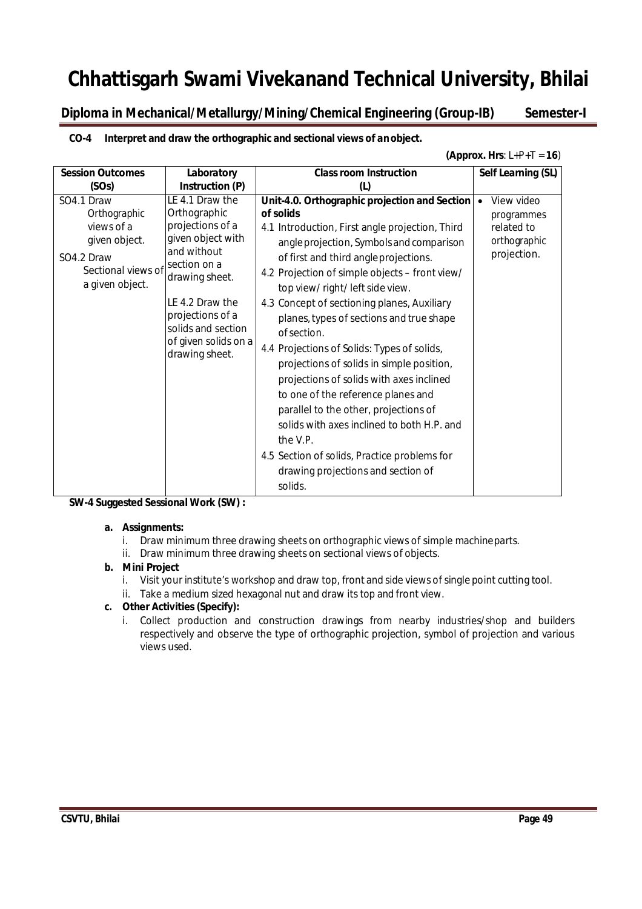**Diploma in Mechanical/Metallurgy/Mining/Chemical Engineering (Group-IB) Semester-I**

## **CO-4 Interpret and draw the orthographic and sectional views of anobject.**

### **(Approx. Hrs**: L+P+T = **16**)

| <b>Session Outcomes</b>                                                                                          | Laboratory                                                                                                                                                                                                                       | <b>Class room Instruction</b>                                                                                                                                                                                                                                                                                                                                                                                                                                                                                                                                                                                                                                                                                                                                                            | Self Learning (SL)                                                    |
|------------------------------------------------------------------------------------------------------------------|----------------------------------------------------------------------------------------------------------------------------------------------------------------------------------------------------------------------------------|------------------------------------------------------------------------------------------------------------------------------------------------------------------------------------------------------------------------------------------------------------------------------------------------------------------------------------------------------------------------------------------------------------------------------------------------------------------------------------------------------------------------------------------------------------------------------------------------------------------------------------------------------------------------------------------------------------------------------------------------------------------------------------------|-----------------------------------------------------------------------|
| (SOs)                                                                                                            | Instruction (P)                                                                                                                                                                                                                  | (L)                                                                                                                                                                                                                                                                                                                                                                                                                                                                                                                                                                                                                                                                                                                                                                                      |                                                                       |
| SO4.1 Draw<br>Orthographic<br>views of a<br>given object.<br>SO4.2 Draw<br>Sectional views of<br>a given object. | LE 4.1 Draw the<br>Orthographic<br>projections of a<br>given object with<br>and without<br>section on a<br>drawing sheet.<br>LE 4.2 Draw the<br>projections of a<br>solids and section<br>of given solids on a<br>drawing sheet. | Unit-4.0. Orthographic projection and Section   •<br>of solids<br>4.1 Introduction, First angle projection, Third<br>angle projection, Symbols and comparison<br>of first and third angle projections.<br>4.2 Projection of simple objects – front view/<br>top view/ right/ left side view.<br>4.3 Concept of sectioning planes, Auxiliary<br>planes, types of sections and true shape<br>of section.<br>4.4 Projections of Solids: Types of solids,<br>projections of solids in simple position,<br>projections of solids with axes inclined<br>to one of the reference planes and<br>parallel to the other, projections of<br>solids with axes inclined to both H.P. and<br>the V.P.<br>4.5 Section of solids, Practice problems for<br>drawing projections and section of<br>solids. | View video<br>programmes<br>related to<br>orthographic<br>projection. |

## **SW-4 Suggested Sessional Work (SW) :**

## **a. Assignments:**

- i. Draw minimum three drawing sheets on orthographic views of simple machineparts.
- ii. Draw minimum three drawing sheets on sectional views of objects.

## **b. Mini Project**

- i. Visit your institute's workshop and draw top, front and side views of single point cutting tool.
- ii. Take a medium sized hexagonal nut and draw its top and front view.

## **c. Other Activities (Specify):**

i. Collect production and construction drawings from nearby industries/shop and builders respectively and observe the type of orthographic projection, symbol of projection and various views used.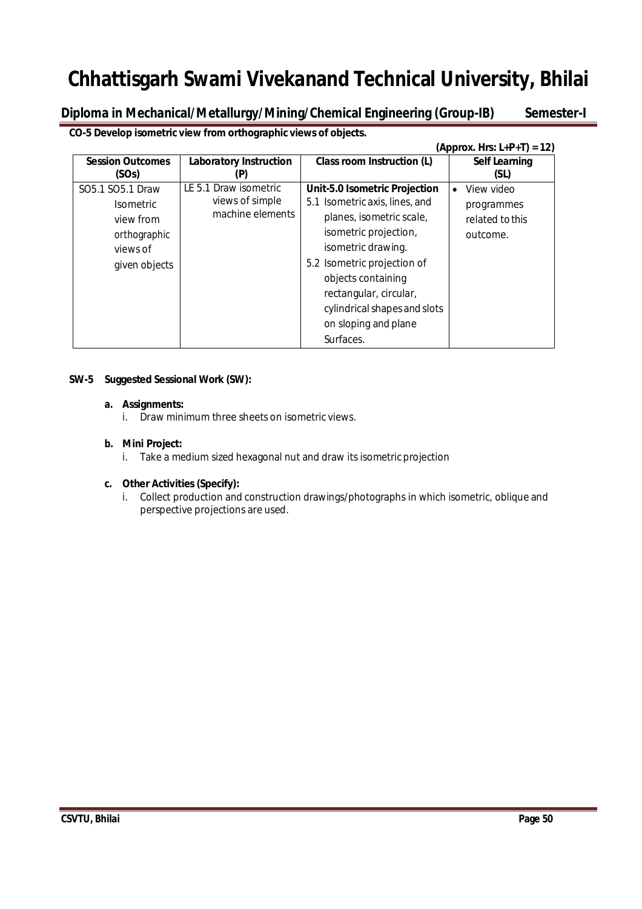**Diploma in Mechanical/Metallurgy/Mining/Chemical Engineering (Group-IB) Semester-I**

**CO-5 Develop isometric view from orthographic views of objects.**

|                                                                                                |                                                              |                                                                                                                                                                           | (Approx. Hrs: L+P+T) = 12)                              |
|------------------------------------------------------------------------------------------------|--------------------------------------------------------------|---------------------------------------------------------------------------------------------------------------------------------------------------------------------------|---------------------------------------------------------|
| <b>Session Outcomes</b><br>(SOs)                                                               | <b>Laboratory Instruction</b><br>P                           | Class room Instruction (L)                                                                                                                                                | <b>Self Learning</b><br>(SL)                            |
| SO5.1 SO5.1 Draw<br><b>Isometric</b><br>view from<br>orthographic<br>views of<br>given objects | LE 5.1 Draw isometric<br>views of simple<br>machine elements | Unit-5.0 Isometric Projection<br>5.1 Isometric axis, lines, and<br>planes, isometric scale,<br>isometric projection,<br>isometric drawing.<br>5.2 Isometric projection of | View video<br>programmes<br>related to this<br>outcome. |
|                                                                                                |                                                              | objects containing<br>rectangular, circular,<br>cylindrical shapes and slots<br>on sloping and plane<br>Surfaces.                                                         |                                                         |

## **SW-5 Suggested Sessional Work (SW):**

### **a. Assignments:**

i. Draw minimum three sheets on isometric views.

## **b. Mini Project:**

i. Take a medium sized hexagonal nut and draw its isometric projection

## **c. Other Activities (Specify):**

i. Collect production and construction drawings/photographs in which isometric, oblique and perspective projections are used.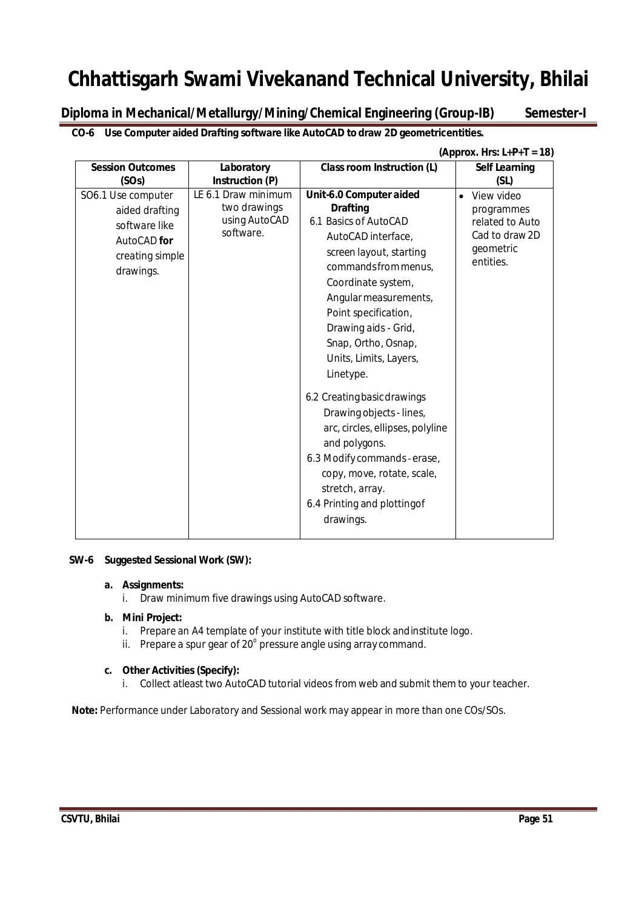**Diploma in Mechanical/Metallurgy/Mining/Chemical Engineering (Group-IB) Semester-I**

**CO-6 Use Computer aided Drafting software like AutoCAD to draw 2D geometricentities.**

|                                                                                                      |                                                                   |                                                                                                                                                                                                                                                                                                                                                                                                                                                                                                                                                        | (Approx. Hrs: $L+P+T = 18$ )                                                                         |
|------------------------------------------------------------------------------------------------------|-------------------------------------------------------------------|--------------------------------------------------------------------------------------------------------------------------------------------------------------------------------------------------------------------------------------------------------------------------------------------------------------------------------------------------------------------------------------------------------------------------------------------------------------------------------------------------------------------------------------------------------|------------------------------------------------------------------------------------------------------|
| <b>Session Outcomes</b>                                                                              | Laboratory                                                        | <b>Class room Instruction (L)</b>                                                                                                                                                                                                                                                                                                                                                                                                                                                                                                                      | <b>Self Learning</b>                                                                                 |
| (SOs)                                                                                                | Instruction (P)                                                   |                                                                                                                                                                                                                                                                                                                                                                                                                                                                                                                                                        | (SL)                                                                                                 |
| SO6.1 Use computer<br>aided drafting<br>software like<br>AutoCAD for<br>creating simple<br>drawings. | LE 6.1 Draw minimum<br>two drawings<br>using AutoCAD<br>software. | Unit-6.0 Computer aided<br><b>Drafting</b><br>6.1 Basics of AutoCAD<br>AutoCAD interface,<br>screen layout, starting<br>commands from menus,<br>Coordinate system,<br>Angular measurements,<br>Point specification,<br>Drawing aids - Grid,<br>Snap, Ortho, Osnap,<br>Units, Limits, Layers,<br>Linetype.<br>6.2 Creating basic drawings<br>Drawing objects - lines,<br>arc, circles, ellipses, polyline<br>and polygons.<br>6.3 Modify commands - erase,<br>copy, move, rotate, scale,<br>stretch, array.<br>6.4 Printing and plottingof<br>drawings. | View video<br>$\bullet$<br>programmes<br>related to Auto<br>Cad to draw 2D<br>geometric<br>entities. |

## **SW-6 Suggested Sessional Work (SW):**

## **a. Assignments:**

i. Draw minimum five drawings using AutoCAD software.

## **b. Mini Project:**

- i. Prepare an A4 template of your institute with title block andinstitute logo.
- ii. Prepare a spur gear of 20 $^{\circ}$  pressure angle using array command.

## **c. Other Activities (Specify):**

i. Collect atleast two AutoCAD tutorial videos from web and submit them to your teacher.

**Note:** Performance under Laboratory and Sessional work may appear in more than one COs/SOs.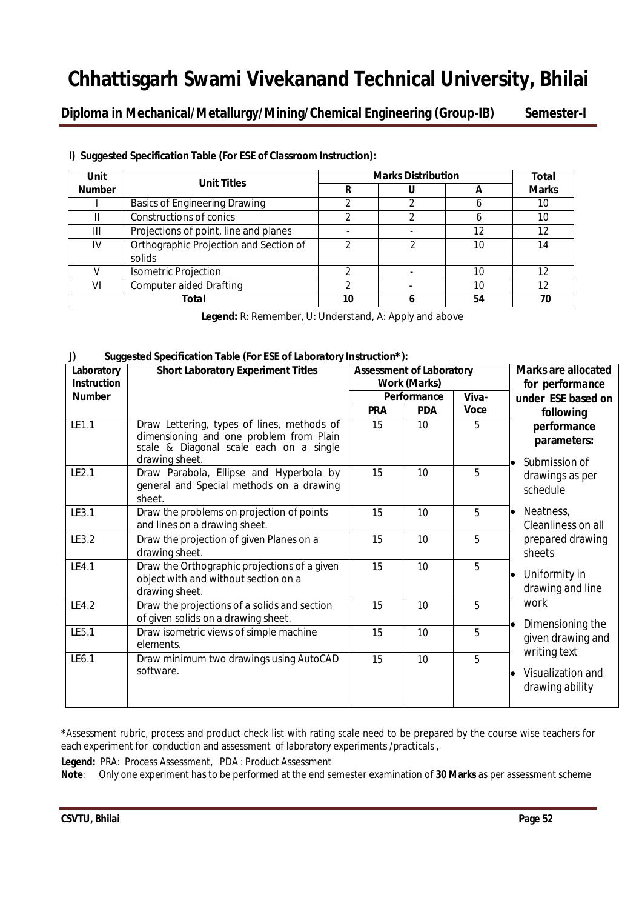**Diploma in Mechanical/Metallurgy/Mining/Chemical Engineering (Group-IB) Semester-I**

| Unit          | <b>Unit Titles</b>                               | <b>Marks Distribution</b> | Total |              |
|---------------|--------------------------------------------------|---------------------------|-------|--------------|
| <b>Number</b> |                                                  | R                         |       | <b>Marks</b> |
|               | <b>Basics of Engineering Drawing</b>             |                           |       | 10           |
|               | Constructions of conics                          |                           |       | 10           |
| Ш             | Projections of point, line and planes            |                           | 12    | 12           |
| IV.           | Orthographic Projection and Section of<br>solids |                           | 10    | 14           |
|               | <b>Isometric Projection</b>                      |                           | 10    | 12           |
| VI            | <b>Computer aided Drafting</b>                   |                           | 10    | 12           |
|               | Total                                            | 10                        | 54    |              |

## **I) Suggested Specification Table (For ESE of Classroom Instruction):**

**Legend:** R: Remember, U: Understand, A: Apply and above

## **J) Suggested Specification Table (For ESE of Laboratory Instruction\*):**

| Laboratory<br><b>Instruction</b> | <b>Short Laboratory Experiment Titles</b>                                                                                                          | <b>Assessment of Laboratory</b><br><b>Work (Marks)</b> |            |             | <b>Marks are allocated</b><br>for performance        |
|----------------------------------|----------------------------------------------------------------------------------------------------------------------------------------------------|--------------------------------------------------------|------------|-------------|------------------------------------------------------|
| <b>Number</b>                    |                                                                                                                                                    | Performance                                            |            | Viva-       | under ESE based on                                   |
|                                  |                                                                                                                                                    | <b>PRA</b>                                             | <b>PDA</b> | <b>Voce</b> | following                                            |
| LE1.1                            | Draw Lettering, types of lines, methods of<br>dimensioning and one problem from Plain<br>scale & Diagonal scale each on a single<br>drawing sheet. | 15                                                     | 10         | 5           | performance<br>parameters:<br>Submission of          |
| LE2.1                            | Draw Parabola, Ellipse and Hyperbola by<br>general and Special methods on a drawing<br>sheet.                                                      | 15                                                     | 10         | 5           | drawings as per<br>schedule                          |
| LE3.1                            | Draw the problems on projection of points<br>and lines on a drawing sheet.                                                                         | 15                                                     | 10         | 5           | Neatness,<br>Cleanliness on all                      |
| LE3.2                            | Draw the projection of given Planes on a<br>drawing sheet.                                                                                         | 15                                                     | 10         | 5           | prepared drawing<br>sheets                           |
| LE4.1                            | Draw the Orthographic projections of a given<br>object with and without section on a<br>drawing sheet.                                             | 15                                                     | 10         | 5           | Uniformity in<br>drawing and line                    |
| LE4.2                            | Draw the projections of a solids and section<br>of given solids on a drawing sheet.                                                                | 15                                                     | 10         | 5           | work<br>Dimensioning the                             |
| LE5.1                            | Draw isometric views of simple machine<br>elements.                                                                                                | 15                                                     | 10         | 5           | given drawing and                                    |
| LE6.1                            | Draw minimum two drawings using AutoCAD<br>software.                                                                                               | 15                                                     | 10         | 5           | writing text<br>Visualization and<br>drawing ability |

\*Assessment rubric, process and product check list with rating scale need to be prepared by the course wise teachers for each experiment for conduction and assessment of laboratory experiments /practicals ,

**Legend:** PRA: Process Assessment, PDA : Product Assessment

**Note**: Only one experiment has to be performed at the end semester examination of **30 Marks** as per assessment scheme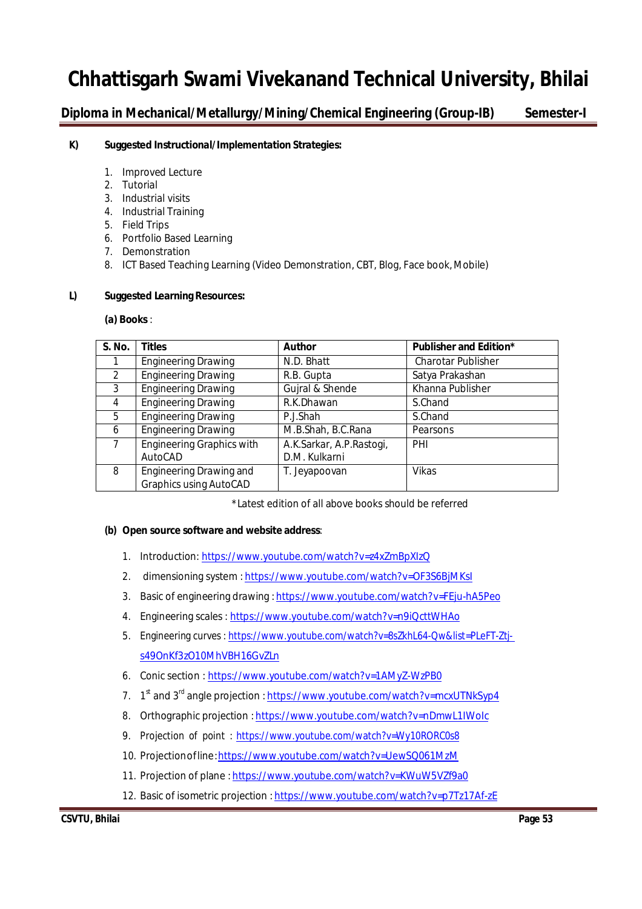**Diploma in Mechanical/Metallurgy/Mining/Chemical Engineering (Group-IB) Semester-I**

## **K) Suggested Instructional/Implementation Strategies:**

- 1. Improved Lecture
- 2. Tutorial
- 3. Industrial visits
- 4. Industrial Training
- 5. Field Trips
- 6. Portfolio Based Learning
- 7. Demonstration
- 8. ICT Based Teaching Learning (Video Demonstration, CBT, Blog, Face book, Mobile)

## **L) Suggested Learning Resources:**

### **(a) Books** :

| S. No.        | <b>Titles</b>                    | <b>Author</b>            | <b>Publisher and Edition*</b> |
|---------------|----------------------------------|--------------------------|-------------------------------|
|               | <b>Engineering Drawing</b>       | N.D. Bhatt               | <b>Charotar Publisher</b>     |
| $\mathcal{P}$ | <b>Engineering Drawing</b>       | R.B. Gupta               | Satya Prakashan               |
| 3             | <b>Engineering Drawing</b>       | Gujral & Shende          | Khanna Publisher              |
| 4             | <b>Engineering Drawing</b>       | R.K.Dhawan               | S.Chand                       |
| 5             | <b>Engineering Drawing</b>       | P.J.Shah                 | S.Chand                       |
| 6             | <b>Engineering Drawing</b>       | M.B.Shah, B.C.Rana       | Pearsons                      |
|               | <b>Engineering Graphics with</b> | A.K.Sarkar, A.P.Rastogi, | PHI                           |
|               | AutoCAD                          | D.M. Kulkarni            |                               |
| 8             | Engineering Drawing and          | T. Jeyapoovan            | <b>Vikas</b>                  |
|               | <b>Graphics using AutoCAD</b>    |                          |                               |

\*Latest edition of all above books should be referred

## **(b) Open source software and website address**:

- 1. Introduction: https://www.youtube.com/watch?v=z4xZmBpXIzQ
- 2. dimensioning system : https://www.youtube.com/watch?v=OF3S6BjMKsI
- 3. Basic of engineering drawing : https://www.youtube.com/watch?v=FEju-hA5Peo
- 4. Engineering scales : https://www.youtube.com/watch?v=n9iQcttWHAo
- 5. Engineering curves : https://www.youtube.com/watch?v=8sZkhL64-Qw&list=PLeFT-Ztjs49OnKf3zO10MhVBH16GvZLn
- 6. Conic section : https://www.youtube.com/watch?v=1AMyZ-WzPB0
- 7. 1<sup>st</sup> and 3<sup>rd</sup> angle projection : <u>https://www.youtube.com/watch?v=mcxUTNkSyp4</u>
- 8. Orthographic projection : https://www.youtube.com/watch?v=nDmwL1IWoIc
- 9. Projection of point : https://www.youtube.com/watch?v=Wy10RORC0s8
- 10. Projectionofline:https://www.youtube.com/watch?v=UewSQ061MzM
- 11. Projection of plane :https://www.youtube.com/watch?v=KWuW5VZf9a0
- 12. Basic of isometric projection : https://www.youtube.com/watch?v=p7Tz17Af-zE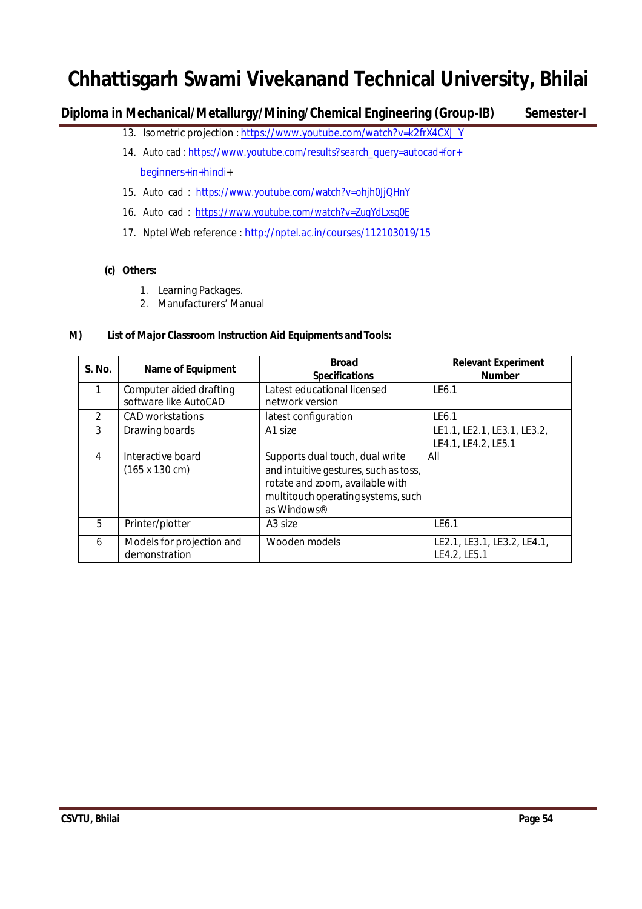**Diploma in Mechanical/Metallurgy/Mining/Chemical Engineering (Group-IB) Semester-I**

- 13. Isometric projection : https://www.youtube.com/watch?v=k2frX4CXJ\_Y
- 14. Auto cad : https://www.youtube.com/results?search\_query=autocad+for+ beginners+in+hindi+
- 15. Auto cad : https://www.youtube.com/watch?v=ohjh0JjQHnY
- 16. Auto cad : https://www.youtube.com/watch?v=ZugYdLxsg0E
- 17. Nptel Web reference : http://nptel.ac.in/courses/112103019/15

## **(c) Others:**

- 1. Learning Packages.
- 2. Manufacturers' Manual

## **M) List of Major Classroom Instruction Aid Equipments and Tools:**

| S. No.         | <b>Name of Equipment</b>                           | <b>Broad</b><br><b>Specifications</b>                                                                                                                            | <b>Relevant Experiment</b><br><b>Number</b>        |
|----------------|----------------------------------------------------|------------------------------------------------------------------------------------------------------------------------------------------------------------------|----------------------------------------------------|
|                | Computer aided drafting<br>software like AutoCAD   | Latest educational licensed<br>network version                                                                                                                   | LE6.1                                              |
| $\mathfrak{D}$ | CAD workstations                                   | latest configuration                                                                                                                                             | LE6.1                                              |
| 3              | Drawing boards                                     | A1 size                                                                                                                                                          | LE1.1, LE2.1, LE3.1, LE3.2,<br>LE4.1, LE4.2, LE5.1 |
| 4              | Interactive board<br>$(165 \times 130 \text{ cm})$ | Supports dual touch, dual write<br>and intuitive gestures, such as toss,<br>rotate and zoom, available with<br>multitouch operating systems, such<br>as Windows® | All                                                |
| 5              | Printer/plotter                                    | A <sub>3</sub> size                                                                                                                                              | LE6.1                                              |
| 6              | Models for projection and<br>demonstration         | Wooden models                                                                                                                                                    | LE2.1, LE3.1, LE3.2, LE4.1,<br>LE4.2, LE5.1        |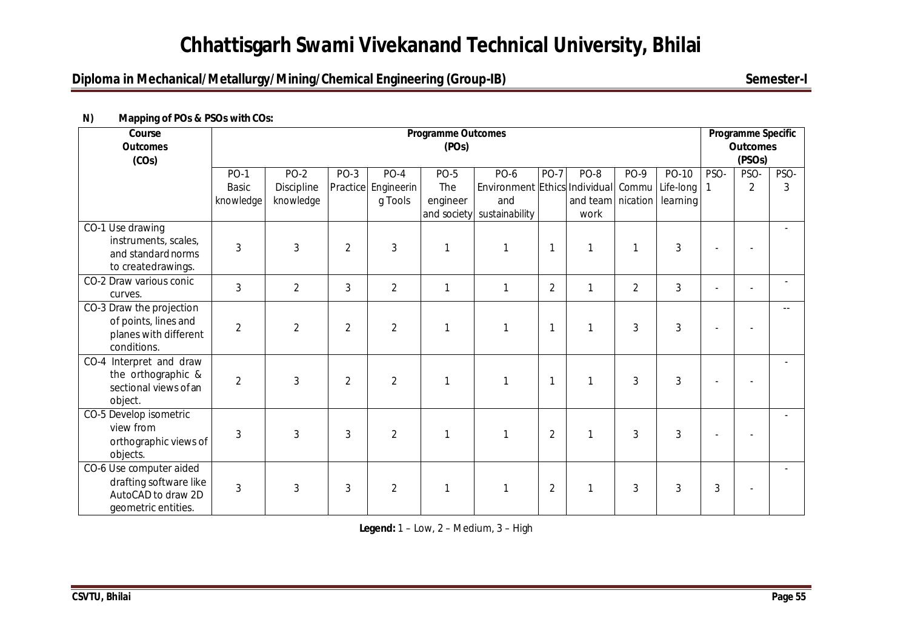## **Diploma in Mechanical/Metallurgy/Mining/Chemical Engineering (Group-IB)** Semester-I

| Course<br><b>Outcomes</b><br>(COs)                                                             | <b>Programme Outcomes</b><br>(POs)       |                                   |                |                                          |                                |                                                                                  |                |                                     |                | Programme Specific<br><b>Outcomes</b><br>(PSO <sub>s</sub> ) |                |                        |           |
|------------------------------------------------------------------------------------------------|------------------------------------------|-----------------------------------|----------------|------------------------------------------|--------------------------------|----------------------------------------------------------------------------------|----------------|-------------------------------------|----------------|--------------------------------------------------------------|----------------|------------------------|-----------|
|                                                                                                | <b>PO-1</b><br><b>Basic</b><br>knowledge | $PO-2$<br>Discipline<br>knowledge | $PO-3$         | $PO-4$<br>Practice Engineerin<br>g Tools | <b>PO-5</b><br>The<br>engineer | PO-6<br>Environment Ethics Individual Commu<br>and<br>and society sustainability | <b>PO-7</b>    | PO-8<br>and team   nication<br>work | PO-9           | PO-10<br>Life-long   1<br>learning                           | PSO-           | PSO-<br>$\overline{2}$ | PSO-<br>3 |
| CO-1 Use drawing<br>instruments, scales,<br>and standard norms<br>to createdrawings.           | 3                                        | 3                                 | $\overline{2}$ | $\mathfrak{Z}$                           | $\mathbf{1}$                   | $\mathbf{1}$                                                                     | $\mathbf{1}$   | 1                                   | 1              | $\mathbf{3}$                                                 |                |                        |           |
| CO-2 Draw various conic<br>curves.                                                             | 3                                        | $\overline{2}$                    | 3              | $\overline{2}$                           | $\mathbf{1}$                   | 1                                                                                | $\overline{2}$ | 1                                   | $\overline{2}$ | $\mathbf{3}$                                                 | $\overline{a}$ | $\overline{a}$         |           |
| CO-3 Draw the projection<br>of points, lines and<br>planes with different<br>conditions.       | $\overline{2}$                           | $\overline{2}$                    | $\overline{2}$ | $\overline{2}$                           |                                |                                                                                  | 1              | 1                                   | 3              | 3                                                            |                |                        |           |
| CO-4 Interpret and draw<br>the orthographic &<br>sectional views of an<br>object.              | $\overline{2}$                           | 3                                 | $\overline{2}$ | $\overline{2}$                           |                                |                                                                                  | 1              |                                     | 3              | 3                                                            |                |                        |           |
| CO-5 Develop isometric<br>view from<br>orthographic views of<br>objects.                       | 3                                        | 3                                 | 3              | $\overline{2}$                           | 1                              |                                                                                  | $\overline{2}$ | 1                                   | 3              | 3                                                            |                |                        |           |
| CO-6 Use computer aided<br>drafting software like<br>AutoCAD to draw 2D<br>geometric entities. | 3                                        | 3                                 | 3              | $\overline{2}$                           | $\mathbf{1}$                   |                                                                                  | $\overline{2}$ | 1                                   | 3              | 3                                                            | 3              |                        |           |

## **N) Mapping of POs & PSOs with COs:**

**Legend:** 1 – Low, 2 – Medium, 3 – High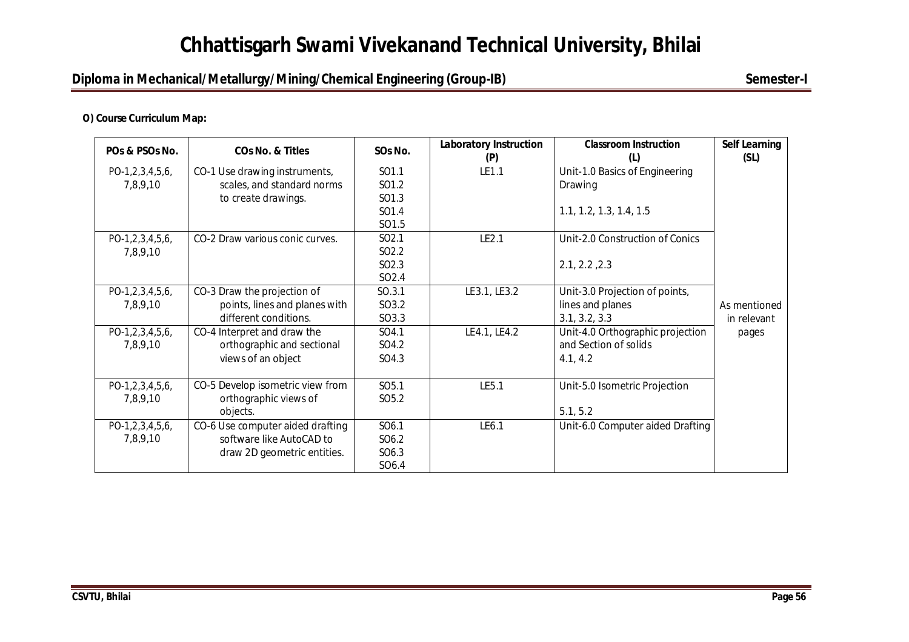## **Diploma in Mechanical/Metallurgy/Mining/Chemical Engineering (Group-IB)** Semester-I

## **O) Course Curriculum Map:**

| POs & PSOs No.         | <b>COs No. &amp; Titles</b>      | SOs No.           | <b>Laboratory Instruction</b><br>(P) | <b>Classroom Instruction</b><br>(L) | <b>Self Learning</b><br>(SL) |
|------------------------|----------------------------------|-------------------|--------------------------------------|-------------------------------------|------------------------------|
| PO-1,2,3,4,5,6,        | CO-1 Use drawing instruments,    | SO1.1             | LE1.1                                | Unit-1.0 Basics of Engineering      |                              |
| 7,8,9,10               | scales, and standard norms       | SO1.2             |                                      | Drawing                             |                              |
|                        | to create drawings.              | SO1.3             |                                      |                                     |                              |
|                        |                                  | SO1.4             |                                      | 1.1, 1.2, 1.3, 1.4, 1.5             |                              |
|                        |                                  | SO1.5             |                                      |                                     |                              |
| PO-1,2,3,4,5,6,        | CO-2 Draw various conic curves.  | SO <sub>2.1</sub> | LE2.1                                | Unit-2.0 Construction of Conics     |                              |
| 7,8,9,10               |                                  | SO <sub>2.2</sub> |                                      |                                     |                              |
|                        |                                  | SO <sub>2.3</sub> |                                      | 2.1, 2.2, 2.3                       |                              |
|                        |                                  | SO <sub>2.4</sub> |                                      |                                     |                              |
| PO-1,2,3,4,5,6,        | CO-3 Draw the projection of      | SO.3.1            | LE3.1, LE3.2                         | Unit-3.0 Projection of points,      |                              |
| 7,8,9,10               | points, lines and planes with    | SO3.2             |                                      | lines and planes                    | As mentioned                 |
|                        | different conditions.            | SO3.3             |                                      | 3.1, 3.2, 3.3                       | in relevant                  |
| PO-1,2,3,4,5,6,        | CO-4 Interpret and draw the      | SO4.1             | LE4.1, LE4.2                         | Unit-4.0 Orthographic projection    | pages                        |
| 7,8,9,10               | orthographic and sectional       | SO4.2             |                                      | and Section of solids               |                              |
|                        | views of an object               | SO4.3             |                                      | 4.1, 4.2                            |                              |
| $PO-1, 2, 3, 4, 5, 6,$ | CO-5 Develop isometric view from | SO <sub>5.1</sub> | LE5.1                                | Unit-5.0 Isometric Projection       |                              |
| 7,8,9,10               | orthographic views of            | SO <sub>5.2</sub> |                                      |                                     |                              |
|                        | objects.                         |                   |                                      | 5.1, 5.2                            |                              |
| PO-1,2,3,4,5,6,        | CO-6 Use computer aided drafting | SO6.1             | LE6.1                                | Unit-6.0 Computer aided Drafting    |                              |
| 7,8,9,10               | software like AutoCAD to         | SO <sub>6.2</sub> |                                      |                                     |                              |
|                        | draw 2D geometric entities.      | SO <sub>6.3</sub> |                                      |                                     |                              |
|                        |                                  | SO6.4             |                                      |                                     |                              |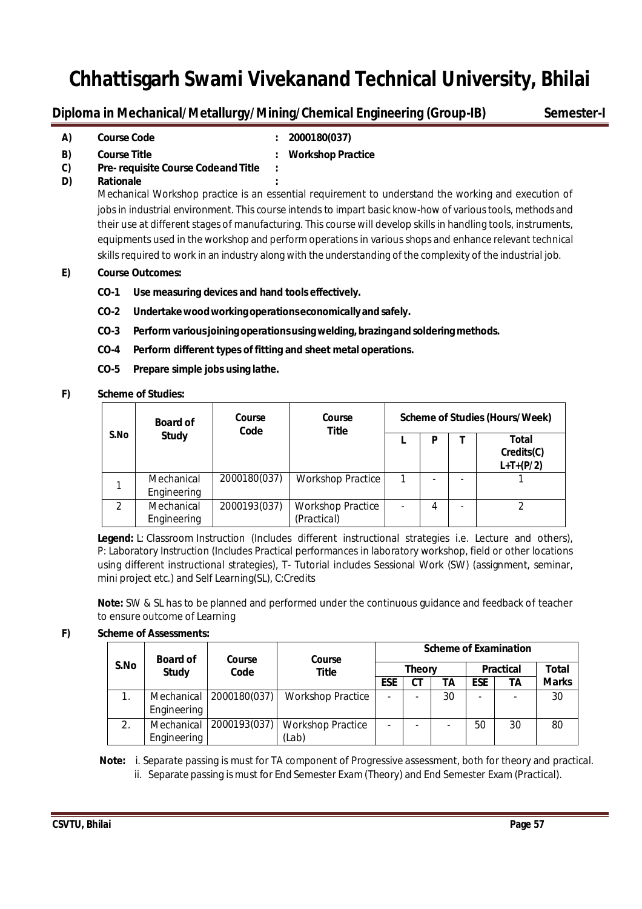## **Diploma in Mechanical/Metallurgy/Mining/Chemical Engineering (Group-IB) Semester-I**

**A) Course Code : 2000180(037)**

- **B) Course Title : Workshop Practice**
- **C) Pre- requisite Course Codeand Title :**
- **D) Rationale :**

Mechanical Workshop practice is an essential requirement to understand the working and execution of jobs in industrial environment. This course intends to impart basic know-how of various tools, methods and their use at different stages of manufacturing. This course will develop skills in handling tools, instruments, equipments used in the workshop and perform operationsin variousshops and enhance relevant technical skills required to work in an industry along with the understanding of the complexity of the industrial job.

## **E) Course Outcomes:**

- **CO-1 Use measuring devices and hand tools effectively.**
- **CO-2 Undertakewoodworking operationseconomicallyand safely.**
- **CO-3 Performvariousjoining operationsusingwelding,brazingand soldering methods.**
- **CO-4 Perform different types of fitting and sheet metal operations.**
- **CO-5 Prepare simple jobs using lathe.**
- **F) Scheme of Studies:**

|               | <b>Board of</b>           | Course<br>Course<br>Code<br><b>Title</b> |                                         | Scheme of Studies (Hours/Week) |   |  |                                    |  |  |
|---------------|---------------------------|------------------------------------------|-----------------------------------------|--------------------------------|---|--|------------------------------------|--|--|
| S.No          | <b>Study</b>              |                                          |                                         |                                | D |  | Total<br>Credits(C)<br>$L+T+(P/2)$ |  |  |
|               | Mechanical<br>Engineering | 2000180(037)                             | <b>Workshop Practice</b>                |                                |   |  |                                    |  |  |
| $\mathcal{P}$ | Mechanical<br>Engineering | 2000193(037)                             | <b>Workshop Practice</b><br>(Practical) |                                | 4 |  |                                    |  |  |

**Legend:** L: Classroom Instruction (Includes different instructional strategies i.e. Lecture and others), P: Laboratory Instruction (Includes Practical performances in laboratory workshop, field or other locations using different instructional strategies), T- Tutorial includes Sessional Work (SW) (assignment, seminar, mini project etc.) and Self Learning(SL), C:Credits

**Note:** SW & SL has to be planned and performed under the continuous guidance and feedback of teacher to ensure outcome of Learning

## **F) Scheme of Assessments:**

|      | <b>Board of</b>                  | Course       | Course                            | <b>Scheme of Examination</b> |               |    |                          |    |              |  |
|------|----------------------------------|--------------|-----------------------------------|------------------------------|---------------|----|--------------------------|----|--------------|--|
| S.No | <b>Study</b>                     | Code         | Title                             |                              | <b>Theory</b> |    | <b>Practical</b>         |    | Total        |  |
|      |                                  |              |                                   | ESE                          | CТ            | TА | <b>ESE</b>               | ΤA | <b>Marks</b> |  |
|      | <b>Mechanical</b><br>Engineering | 2000180(037) | <b>Workshop Practice</b>          |                              |               | 30 | $\overline{\phantom{0}}$ |    | 30           |  |
| 2.   | Mechanical<br>Engineering        | 2000193(037) | <b>Workshop Practice</b><br>(Lab) |                              |               |    | 50                       | 30 | 80           |  |

 **Note:** i. Separate passing is must for TA component of Progressive assessment, both for theory and practical. ii. Separate passing is must for End Semester Exam(Theory) and End Semester Exam (Practical).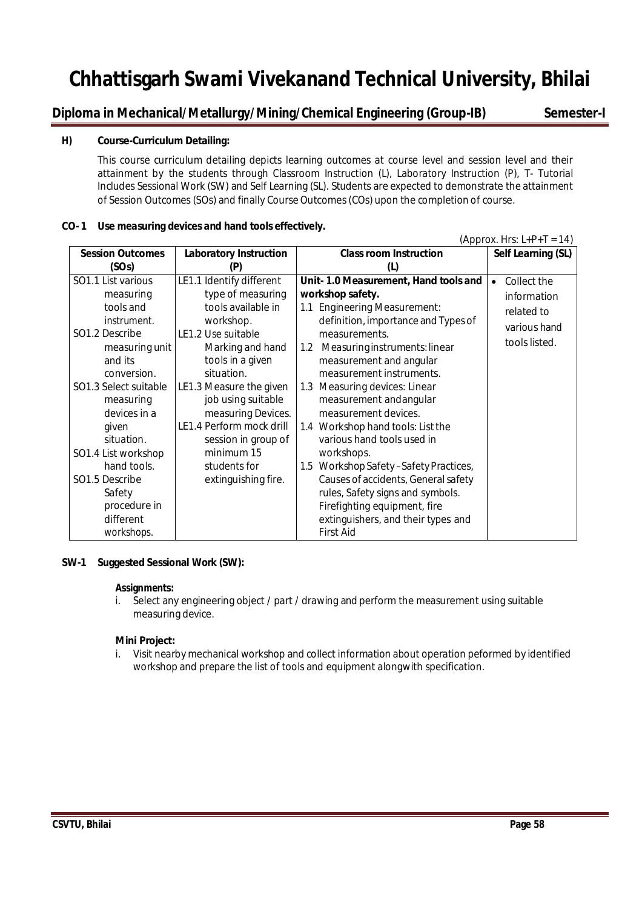## **Diploma in Mechanical/Metallurgy/Mining/Chemical Engineering (Group-IB) Semester-I**

## **H) Course-Curriculum Detailing:**

This course curriculum detailing depicts learning outcomes at course level and session level and their attainment by the students through Classroom Instruction (L), Laboratory Instruction (P), T- Tutorial Includes Sessional Work (SW) and Self Learning (SL). Students are expected to demonstrate the attainment of Session Outcomes (SOs) and finally Course Outcomes(COs) upon the completion of course.

## **CO- 1 Use measuring devices and hand tools effectively.**

 $(Approx. Hrs: L+P+T = 14)$ 

| <b>Session Outcomes</b>                                                                                                          | <b>Laboratory Instruction</b>                                                                                                                   | <b>Class room Instruction</b>                                                                                                                                                                                                                                                               | Self Learning (SL)       |
|----------------------------------------------------------------------------------------------------------------------------------|-------------------------------------------------------------------------------------------------------------------------------------------------|---------------------------------------------------------------------------------------------------------------------------------------------------------------------------------------------------------------------------------------------------------------------------------------------|--------------------------|
| (SOs)                                                                                                                            | (P)                                                                                                                                             | (L)                                                                                                                                                                                                                                                                                         |                          |
| SO1.1 List various                                                                                                               | LE1.1 Identify different                                                                                                                        | Unit-1.0 Measurement, Hand tools and                                                                                                                                                                                                                                                        | Collect the<br>$\bullet$ |
| measuring                                                                                                                        | type of measuring                                                                                                                               | workshop safety.                                                                                                                                                                                                                                                                            | information              |
| tools and                                                                                                                        | tools available in                                                                                                                              | <b>Engineering Measurement:</b><br>1.1                                                                                                                                                                                                                                                      | related to               |
| instrument.                                                                                                                      | workshop.                                                                                                                                       | definition, importance and Types of                                                                                                                                                                                                                                                         | various hand             |
| SO1.2 Describe<br>measuring unit<br>and its<br>conversion.<br>SO1.3 Select suitable<br>measuring<br>devices in a                 | LE1.2 Use suitable<br>Marking and hand<br>tools in a given<br>situation.<br>LE1.3 Measure the given<br>job using suitable<br>measuring Devices. | measurements.<br>Measuring instruments: linear<br>$1.2\,$<br>measurement and angular<br>measurement instruments.<br>Measuring devices: Linear<br>1.3<br>measurement and angular<br>measurement devices.                                                                                     | tools listed.            |
| given<br>situation.<br>SO1.4 List workshop<br>hand tools.<br>SO1.5 Describe<br>Safety<br>procedure in<br>different<br>workshops. | LE1.4 Perform mock drill<br>session in group of<br>minimum 15<br>students for<br>extinguishing fire.                                            | 1.4 Workshop hand tools: List the<br>various hand tools used in<br>workshops.<br>1.5 Workshop Safety-Safety Practices,<br>Causes of accidents, General safety<br>rules, Safety signs and symbols.<br>Firefighting equipment, fire<br>extinguishers, and their types and<br><b>First Aid</b> |                          |

## **SW-1 Suggested Sessional Work (SW):**

#### **Assignments:**

i. Select any engineering object / part / drawing and perform the measurement using suitable measuring device.

## **Mini Project:**

i. Visit nearby mechanical workshop and collect information about operation peformed by identified workshop and prepare the list of tools and equipment alongwith specification.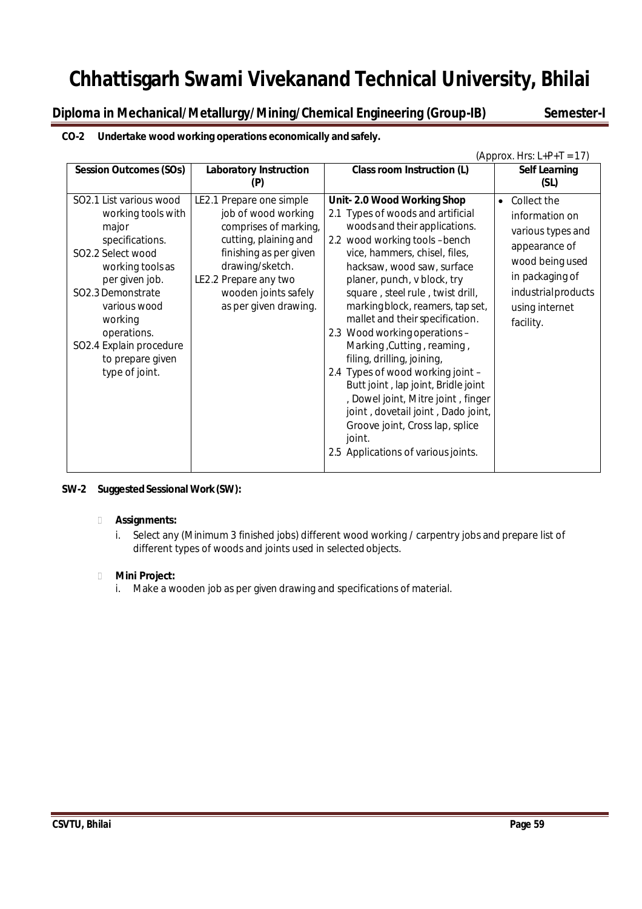**Diploma in Mechanical/Metallurgy/Mining/Chemical Engineering (Group-IB) Semester-I**

## **CO-2 Undertake wood working operations economically and safely.**

|                                                                                                                                                                                                                                                                      |                                                                                                                                                                                                                          |                                                                                                                                                                                                                                                                                                                                                                                                                                                                                                                                                                                                                                                                                     | (Approx. Hrs: $L+P+T = 17$ )                                                                                                                                                |
|----------------------------------------------------------------------------------------------------------------------------------------------------------------------------------------------------------------------------------------------------------------------|--------------------------------------------------------------------------------------------------------------------------------------------------------------------------------------------------------------------------|-------------------------------------------------------------------------------------------------------------------------------------------------------------------------------------------------------------------------------------------------------------------------------------------------------------------------------------------------------------------------------------------------------------------------------------------------------------------------------------------------------------------------------------------------------------------------------------------------------------------------------------------------------------------------------------|-----------------------------------------------------------------------------------------------------------------------------------------------------------------------------|
| <b>Session Outcomes (SOs)</b>                                                                                                                                                                                                                                        | <b>Laboratory Instruction</b>                                                                                                                                                                                            | Class room Instruction (L)                                                                                                                                                                                                                                                                                                                                                                                                                                                                                                                                                                                                                                                          | <b>Self Learning</b><br>(SL)                                                                                                                                                |
| SO2.1 List various wood<br>working tools with<br>major<br>specifications.<br>SO2.2 Select wood<br>working tools as<br>per given job.<br>SO2.3 Demonstrate<br>various wood<br>working<br>operations.<br>SO2.4 Explain procedure<br>to prepare given<br>type of joint. | LE2.1 Prepare one simple<br>job of wood working<br>comprises of marking,<br>cutting, plaining and<br>finishing as per given<br>drawing/sketch.<br>LE2.2 Prepare any two<br>wooden joints safely<br>as per given drawing. | Unit-2.0 Wood Working Shop<br>2.1 Types of woods and artificial<br>woods and their applications.<br>2.2 wood working tools -bench<br>vice, hammers, chisel, files,<br>hacksaw, wood saw, surface<br>planer, punch, v block, try<br>square, steel rule, twist drill,<br>marking block, reamers, tap set,<br>mallet and their specification.<br>2.3 Wood working operations -<br>Marking, Cutting, reaming,<br>filing, drilling, joining,<br>2.4 Types of wood working joint -<br>Butt joint, lap joint, Bridle joint<br>, Dowel joint, Mitre joint, finger<br>joint, dovetail joint, Dado joint,<br>Groove joint, Cross lap, splice<br>joint.<br>2.5 Applications of various joints. | Collect the<br>$\bullet$<br>information on<br>various types and<br>appearance of<br>wood being used<br>in packaging of<br>industrialproducts<br>using internet<br>facility. |

## **SW-2** Suggested Sessional Work (SW):

## **Assignments:**

i. Select any (Minimum 3 finished jobs) different wood working / carpentry jobs and prepare list of different types of woods and joints used in selected objects.

## **Mini Project:**

i. Make a wooden job as per given drawing and specifications of material.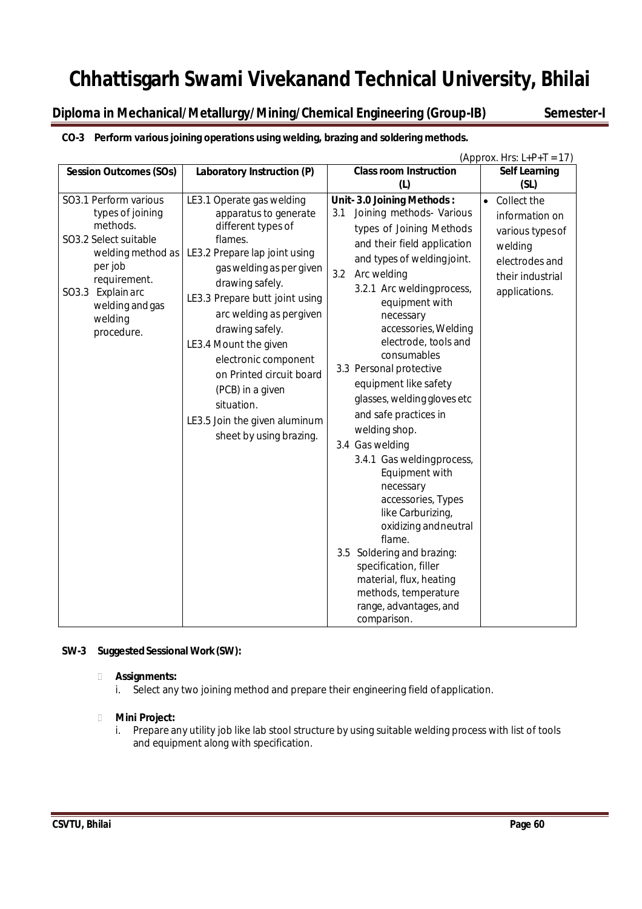**Diploma in Mechanical/Metallurgy/Mining/Chemical Engineering (Group-IB) Semester-I**

## **CO-3 Perform various joining operations using welding, brazing and soldering methods.**

| (Approx. Hrs: $L+P+T = 17$ )                                                                                                                                                                              |                                                                                                                                                                                                                                                                                                                                                                                                                                |                                                                                                                                                                                                                                                                                                                                                                                                                                                                                                                                                                                                                                                                                                                                                       |                                                                                                                                  |  |  |  |  |  |  |
|-----------------------------------------------------------------------------------------------------------------------------------------------------------------------------------------------------------|--------------------------------------------------------------------------------------------------------------------------------------------------------------------------------------------------------------------------------------------------------------------------------------------------------------------------------------------------------------------------------------------------------------------------------|-------------------------------------------------------------------------------------------------------------------------------------------------------------------------------------------------------------------------------------------------------------------------------------------------------------------------------------------------------------------------------------------------------------------------------------------------------------------------------------------------------------------------------------------------------------------------------------------------------------------------------------------------------------------------------------------------------------------------------------------------------|----------------------------------------------------------------------------------------------------------------------------------|--|--|--|--|--|--|
| <b>Session Outcomes (SOs)</b>                                                                                                                                                                             | Laboratory Instruction (P)                                                                                                                                                                                                                                                                                                                                                                                                     | <b>Class room Instruction</b>                                                                                                                                                                                                                                                                                                                                                                                                                                                                                                                                                                                                                                                                                                                         | <b>Self Learning</b>                                                                                                             |  |  |  |  |  |  |
|                                                                                                                                                                                                           |                                                                                                                                                                                                                                                                                                                                                                                                                                | (L)                                                                                                                                                                                                                                                                                                                                                                                                                                                                                                                                                                                                                                                                                                                                                   | (SL)                                                                                                                             |  |  |  |  |  |  |
| SO3.1 Perform various<br>types of joining<br>methods.<br>SO3.2 Select suitable<br>welding method as<br>per job<br>requirement.<br>SO3.3<br><b>Explain arc</b><br>welding and gas<br>welding<br>procedure. | LE3.1 Operate gas welding<br>apparatus to generate<br>different types of<br>flames.<br>LE3.2 Prepare lap joint using<br>gas welding as per given<br>drawing safely.<br>LE3.3 Prepare butt joint using<br>arc welding as pergiven<br>drawing safely.<br>LE3.4 Mount the given<br>electronic component<br>on Printed circuit board<br>(PCB) in a given<br>situation.<br>LE3.5 Join the given aluminum<br>sheet by using brazing. | Unit-3.0 Joining Methods:<br>Joining methods- Various<br>3.1<br>types of Joining Methods<br>and their field application<br>and types of welding joint.<br>Arc welding<br>3.2<br>3.2.1 Arc weldingprocess,<br>equipment with<br>necessary<br>accessories, Welding<br>electrode, tools and<br>consumables<br>3.3 Personal protective<br>equipment like safety<br>glasses, welding gloves etc<br>and safe practices in<br>welding shop.<br>3.4 Gas welding<br>3.4.1 Gas welding process,<br>Equipment with<br>necessary<br>accessories, Types<br>like Carburizing,<br>oxidizing and neutral<br>flame.<br>3.5 Soldering and brazing:<br>specification, filler<br>material, flux, heating<br>methods, temperature<br>range, advantages, and<br>comparison. | Collect the<br>$\bullet$<br>information on<br>various types of<br>welding<br>electrodes and<br>their industrial<br>applications. |  |  |  |  |  |  |

## **SW-3 SuggestedSessional Work(SW):**

## **Assignments:**

i. Select any two joining method and prepare their engineering field ofapplication.

## **Mini Project:**

i. Prepare any utility job like lab stool structure by using suitable welding process with list of tools and equipment along with specification.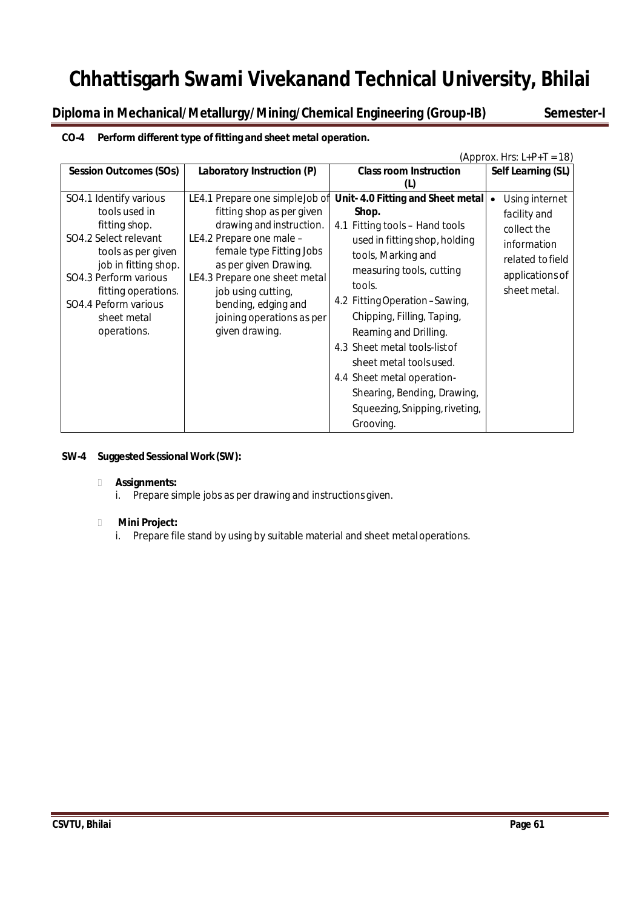**Diploma in Mechanical/Metallurgy/Mining/Chemical Engineering (Group-IB) Semester-I**

## **CO-4 Perform different type of fitting and sheet metal operation.**

|                                                                                                                                                                                                                                       |                                                                                                                                                                                                                                                                                                        |                                                                                                                                                                                                                                                                                                                                                                                                                                            | (Approx. Hrs: $L+P+T = 18$ )                                                                                        |
|---------------------------------------------------------------------------------------------------------------------------------------------------------------------------------------------------------------------------------------|--------------------------------------------------------------------------------------------------------------------------------------------------------------------------------------------------------------------------------------------------------------------------------------------------------|--------------------------------------------------------------------------------------------------------------------------------------------------------------------------------------------------------------------------------------------------------------------------------------------------------------------------------------------------------------------------------------------------------------------------------------------|---------------------------------------------------------------------------------------------------------------------|
| <b>Session Outcomes (SOs)</b>                                                                                                                                                                                                         | Laboratory Instruction (P)                                                                                                                                                                                                                                                                             | <b>Class room Instruction</b>                                                                                                                                                                                                                                                                                                                                                                                                              | Self Learning (SL)                                                                                                  |
|                                                                                                                                                                                                                                       |                                                                                                                                                                                                                                                                                                        | (L)                                                                                                                                                                                                                                                                                                                                                                                                                                        |                                                                                                                     |
| SO4.1 Identify various<br>tools used in<br>fitting shop.<br>SO4.2 Select relevant<br>tools as per given<br>job in fitting shop.<br>SO4.3 Perform various<br>fitting operations.<br>SO4.4 Peform various<br>sheet metal<br>operations. | LE4.1 Prepare one simple Job of<br>fitting shop as per given<br>drawing and instruction.<br>LE4.2 Prepare one male -<br>female type Fitting Jobs<br>as per given Drawing.<br>LE4.3 Prepare one sheet metal<br>job using cutting,<br>bending, edging and<br>joining operations as per<br>given drawing. | Unit-4.0 Fitting and Sheet metal<br>Shop.<br>4.1 Fitting tools - Hand tools<br>used in fitting shop, holding<br>tools, Marking and<br>measuring tools, cutting<br>tools.<br>4.2 Fitting Operation - Sawing,<br>Chipping, Filling, Taping,<br>Reaming and Drilling.<br>4.3 Sheet metal tools-list of<br>sheet metal tools used.<br>4.4 Sheet metal operation-<br>Shearing, Bending, Drawing,<br>Squeezing, Snipping, riveting,<br>Grooving. | Using internet<br>facility and<br>collect the<br>information<br>related to field<br>applications of<br>sheet metal. |

## **SW-4 Suggested Sessional Work (SW):**

## **Assignments:**

i. Prepare simple jobs as per drawing and instructions given.

## **Mini Project:**

i. Prepare file stand by using by suitable material and sheet metaloperations.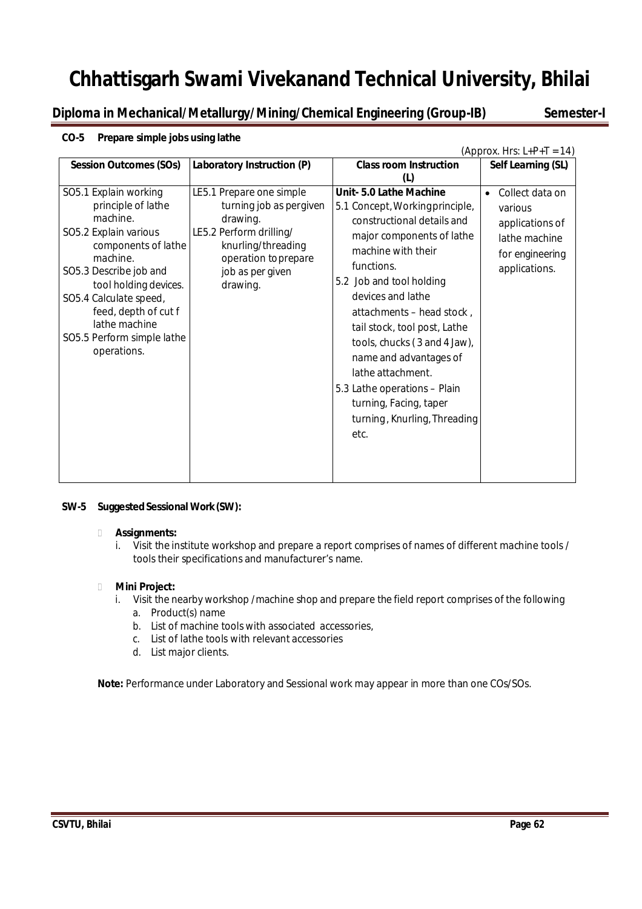**Diploma in Mechanical/Metallurgy/Mining/Chemical Engineering (Group-IB) Semester-I**

#### (Approx. Hrs:  $L+P+T = 14$ ) **Session Outcomes (SOs) Laboratory Instruction (P) Class room Instruction (L) Self Learning (SL)** SO5.1 Explain working principle of lathe machine. SO5.2 Explain various components of lathe machine. SO5.3 Describe job and tool holding devices. SO5.4 Calculate speed, feed, depth of cut f lathe machine SO5.5 Perform simple lathe operations. LE5.1 Prepare one simple turning job as pergiven drawing. LE5.2 Perform drilling/ knurling/threading operation toprepare job as per given drawing. **Unit- 5.0 Lathe Machine** 5.1 Concept,Workingprinciple, constructional details and major components of lathe machine with their functions. 5.2 Job and tool holding devices and lathe attachments – head stock , tail stock, tool post, Lathe tools, chucks( 3 and 4 Jaw), name and advantages of lathe attachment. 5.3 Lathe operations – Plain turning, Facing, taper turning, Knurling, Threading etc. Collect data on various applications of lathe machine for engineering applications.

## **CO-5 Prepare simple jobs using lathe**

## **SW-5** Suggested Sessional Work (SW):

#### **Assignments:**

i. Visit the institute workshop and prepare a report comprises of names of different machine tools / tools their specifications and manufacturer's name.

## **Mini Project:**

- i. Visit the nearby workshop /machine shop and prepare the field report comprises of the following
	- a. Product(s) name
	- b. List of machine tools with associated accessories,
	- c. List of lathe tools with relevant accessories
	- d. List major clients.

**Note:** Performance under Laboratory and Sessional work may appear in more than one COs/SOs.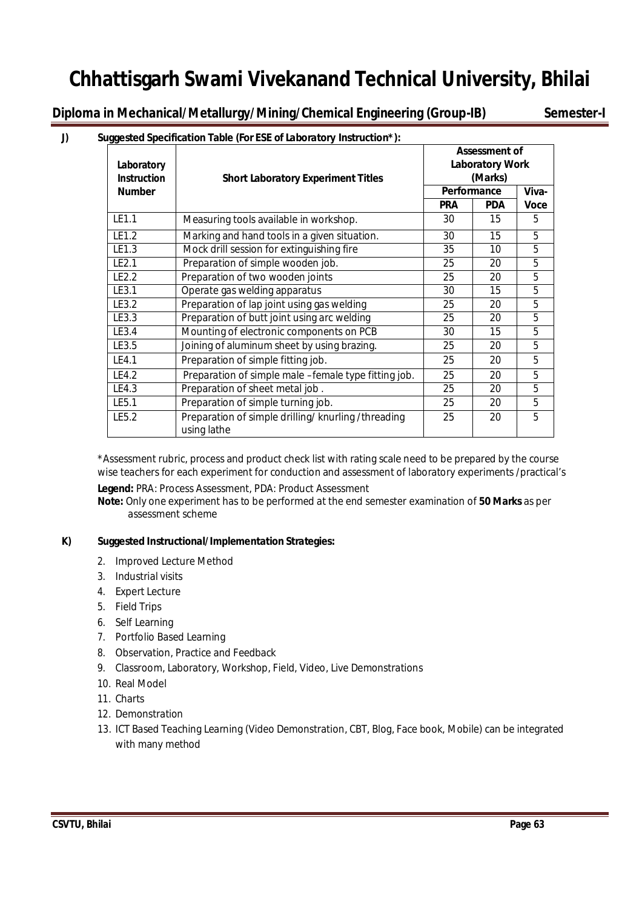**Diploma in Mechanical/Metallurgy/Mining/Chemical Engineering (Group-IB) Semester-I**

## **J) Suggested Specification Table (For ESE of Laboratory Instruction\*):**

| Laboratory<br><b>Instruction</b> | <b>Short Laboratory Experiment Titles</b>                        | <b>Assessment of</b><br><b>Laboratory Work</b><br>(Marks) |            |             |  |
|----------------------------------|------------------------------------------------------------------|-----------------------------------------------------------|------------|-------------|--|
| <b>Number</b>                    |                                                                  | Performance                                               |            | Viva-       |  |
|                                  |                                                                  | <b>PRA</b>                                                | <b>PDA</b> | <b>Voce</b> |  |
| LE1.1                            | Measuring tools available in workshop.                           | 30                                                        | 15         | 5           |  |
| LE1.2                            | Marking and hand tools in a given situation.                     | 30                                                        | 15         | 5           |  |
| LE1.3                            | Mock drill session for extinguishing fire                        | 35                                                        | 10         | 5           |  |
| LE2.1                            | Preparation of simple wooden job.                                | 25                                                        | 20         | 5           |  |
| LE2.2                            | Preparation of two wooden joints                                 | 25                                                        | 20         | 5           |  |
| LE3.1                            | Operate gas welding apparatus                                    | 30                                                        | 15         | 5           |  |
| LE3.2                            | Preparation of lap joint using gas welding                       | 25                                                        | 20         | 5           |  |
| LE3.3                            | Preparation of butt joint using arc welding                      | 25                                                        | 20         | 5           |  |
| LE3.4                            | Mounting of electronic components on PCB                         | 30                                                        | 15         | 5           |  |
| LE3.5                            | Joining of aluminum sheet by using brazing.                      | 25                                                        | 20         | 5           |  |
| LE4.1                            | Preparation of simple fitting job.                               | 25                                                        | 20         | 5           |  |
| LE4.2                            | Preparation of simple male -female type fitting job.             | 25                                                        | 20         | 5           |  |
| LE4.3                            | Preparation of sheet metal job.                                  | 25                                                        | 20         | 5           |  |
| LE5.1                            | Preparation of simple turning job.                               | 25                                                        | 20         | 5           |  |
| LE5.2                            | Preparation of simple drilling/knurling/threading<br>using lathe | 25                                                        | 20         | 5           |  |

\*Assessment rubric, process and product check list with rating scale need to be prepared by the course wise teachers for each experiment for conduction and assessment of laboratory experiments /practical's

**Legend:** PRA: Process Assessment, PDA: Product Assessment

**Note:** Only one experiment has to be performed at the end semester examination of **50 Marks** as per assessment scheme

## **K) Suggested Instructional/Implementation Strategies:**

- 2. Improved Lecture Method
- 3. Industrial visits
- 4. Expert Lecture
- 5. Field Trips
- 6. Self Learning
- 7. Portfolio Based Learning
- 8. Observation, Practice and Feedback
- 9. Classroom, Laboratory, Workshop, Field, Video, Live Demonstrations
- 10. Real Model
- 11. Charts
- 12. Demonstration
- 13. ICT Based Teaching Learning (Video Demonstration, CBT, Blog, Face book, Mobile) can be integrated with many method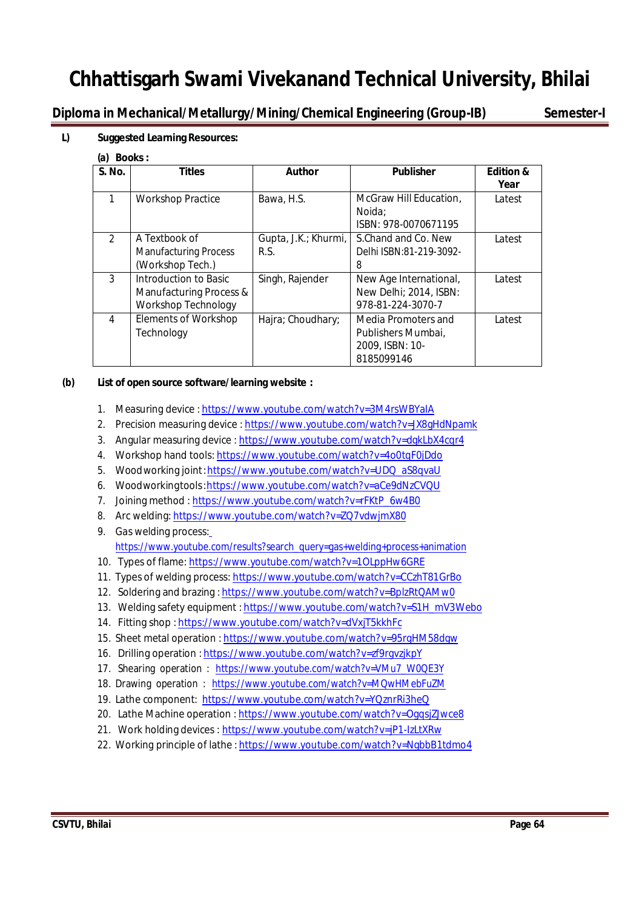**Diploma in Mechanical/Metallurgy/Mining/Chemical Engineering (Group-IB) Semester-I**

## **L) Suggested Learning Resources:**

**(a) Books :**

| S. No.         | <b>Titles</b>                                                                  | <b>Author</b>                | <b>Publisher</b>                                                           | <b>Edition &amp;</b><br>Year |
|----------------|--------------------------------------------------------------------------------|------------------------------|----------------------------------------------------------------------------|------------------------------|
| 1              | <b>Workshop Practice</b>                                                       | Bawa, H.S.                   | McGraw Hill Education,<br>Noida:<br>ISBN: 978-0070671195                   | Latest                       |
| $\mathfrak{D}$ | A Textbook of<br><b>Manufacturing Process</b><br>(Workshop Tech.)              | Gupta, J.K.; Khurmi,<br>R.S. | S.Chand and Co. New<br>Delhi ISBN:81-219-3092-<br>8                        | Latest                       |
| 3              | Introduction to Basic<br>Manufacturing Process &<br><b>Workshop Technology</b> | Singh, Rajender              | New Age International,<br>New Delhi; 2014, ISBN:<br>978-81-224-3070-7      | Latest                       |
| 4              | <b>Elements of Workshop</b><br>Technology                                      | Hajra; Choudhary;            | Media Promoters and<br>Publishers Mumbai,<br>2009, ISBN: 10-<br>8185099146 | Latest                       |

## **(b) List of open source software/learning website :**

- 1. Measuring device : https://www.youtube.com/watch?v=3M4rsWBYaIA
- 2. Precision measuring device : https://www.youtube.com/watch?v=JX8gHdNpamk
- 3. Angular measuring device : https://www.youtube.com/watch?v=dgkLbX4cqr4
- 4. Workshop hand tools: https://www.youtube.com/watch?v=4o0tqF0jDdo
- 5. Woodworking joint:https://www.youtube.com/watch?v=UDQ\_aS8qvaU
- 6. Woodworkingtools:https://www.youtube.com/watch?v=aCe9dNzCVQU
- 7. Joining method : https://www.youtube.com/watch?v=rFKtP\_6w4B0
- 8. Arc welding: https://www.youtube.com/watch?v=ZQ7vdwjmX80
- 9. Gas welding process: https://www.youtube.com/results?search\_query=gas+welding+process+animation
- 10. Types of flame: https://www.youtube.com/watch?v=1OLppHw6GRE
- 11. Types of welding process: https://www.youtube.com/watch?v=CCzhT81GrBo
- 12. Soldering and brazing : https://www.youtube.com/watch?v=BplzRtQAMw0
- 13. Welding safety equipment : https://www.youtube.com/watch?v=S1H\_mV3Webo
- 14. Fitting shop : https://www.youtube.com/watch?v=dVxjT5kkhFc
- 15. Sheet metal operation : https://www.youtube.com/watch?v=95rgHM58dgw
- 16. Drilling operation: https://www.youtube.com/watch?v=zf9rqvzjkpY
- 17. Shearing operation : https://www.youtube.com/watch?v=VMu7\_W0QE3Y
- 18. Drawing operation : https://www.youtube.com/watch?v=MQwHMebFuZM
- 19. Lathe component: https://www.youtube.com/watch?v=YQznrRi3heQ
- 20. Lathe Machine operation : https://www.youtube.com/watch?v=OgqsjZJwce8
- 21. Work holding devices : https://www.youtube.com/watch?v=jP1-IzLtXRw
- 22. Working principle of lathe : https://www.youtube.com/watch?v=NgbbB1tdmo4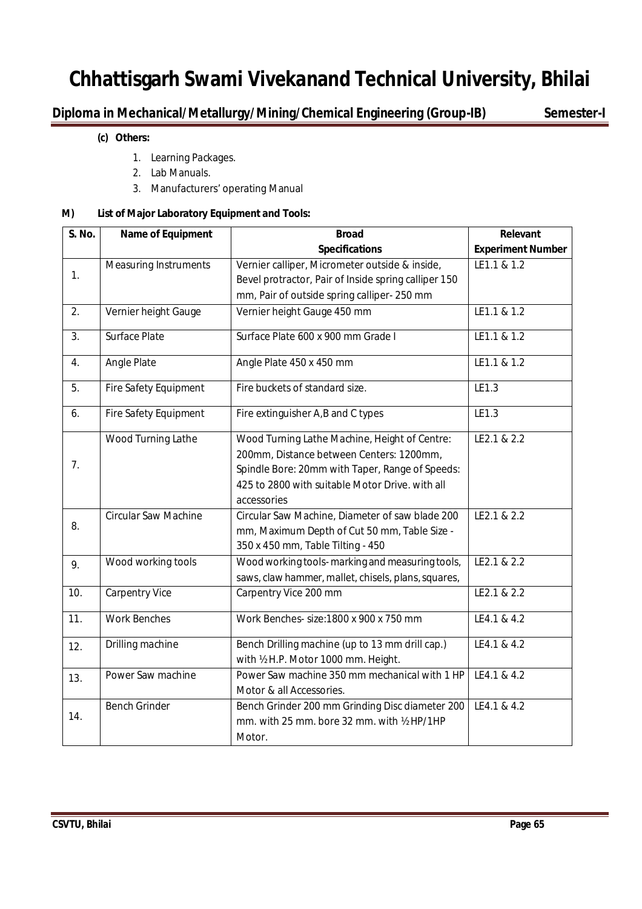## **Diploma in Mechanical/Metallurgy/Mining/Chemical Engineering (Group-IB) Semester-I**

## **(c) Others:**

- 1. Learning Packages.
- 2. Lab Manuals.
- 3. Manufacturers' operating Manual

## **M) List of Major Laboratory Equipment and Tools:**

| <b>S. No.</b>  | Name of Equipment            | <b>Broad</b>                                         | Relevant                 |
|----------------|------------------------------|------------------------------------------------------|--------------------------|
|                |                              | <b>Specifications</b>                                | <b>Experiment Number</b> |
|                | <b>Measuring Instruments</b> | Vernier calliper, Micrometer outside & inside,       | LE1.1 & 1.2              |
| 1.             |                              | Bevel protractor, Pair of Inside spring calliper 150 |                          |
|                |                              | mm, Pair of outside spring calliper-250 mm           |                          |
| 2.             | Vernier height Gauge         | Vernier height Gauge 450 mm                          | LE1.1 & 1.2              |
| 3 <sub>1</sub> | Surface Plate                | Surface Plate 600 x 900 mm Grade I                   | LE1.1 & 1.2              |
| 4.             | Angle Plate                  | Angle Plate 450 x 450 mm                             | LE1.1 & 1.2              |
| 5.             | Fire Safety Equipment        | Fire buckets of standard size.                       | LE1.3                    |
| 6.             | Fire Safety Equipment        | Fire extinguisher A,B and C types                    | LE1.3                    |
|                | Wood Turning Lathe           | Wood Turning Lathe Machine, Height of Centre:        | LE2.1 & 2.2              |
|                |                              | 200mm, Distance between Centers: 1200mm,             |                          |
| 7.             |                              | Spindle Bore: 20mm with Taper, Range of Speeds:      |                          |
|                |                              | 425 to 2800 with suitable Motor Drive. with all      |                          |
|                |                              | accessories                                          |                          |
|                | <b>Circular Saw Machine</b>  | Circular Saw Machine, Diameter of saw blade 200      | LE2.1 & 2.2              |
| 8.             |                              | mm, Maximum Depth of Cut 50 mm, Table Size -         |                          |
|                |                              | 350 x 450 mm, Table Tilting - 450                    |                          |
| 9.             | Wood working tools           | Wood working tools-marking and measuring tools,      | LE2.1 & 2.2              |
|                |                              | saws, claw hammer, mallet, chisels, plans, squares,  |                          |
| 10.            | <b>Carpentry Vice</b>        | Carpentry Vice 200 mm                                | LE2.1 & 2.2              |
| 11.            | <b>Work Benches</b>          | Work Benches- size: 1800 x 900 x 750 mm              | LE4.1 & 4.2              |
| 12.            | Drilling machine             | Bench Drilling machine (up to 13 mm drill cap.)      | LE4.1 & 4.2              |
|                |                              | with 1/2 H.P. Motor 1000 mm. Height.                 |                          |
| 13.            | Power Saw machine            | Power Saw machine 350 mm mechanical with 1 HP        | LE4.1 & 4.2              |
|                |                              | Motor & all Accessories.                             |                          |
|                | <b>Bench Grinder</b>         | Bench Grinder 200 mm Grinding Disc diameter 200      | LE4.1 & 4.2              |
| 14.            |                              | mm. with 25 mm. bore 32 mm. with 1/2 HP/1HP          |                          |
|                |                              | Motor.                                               |                          |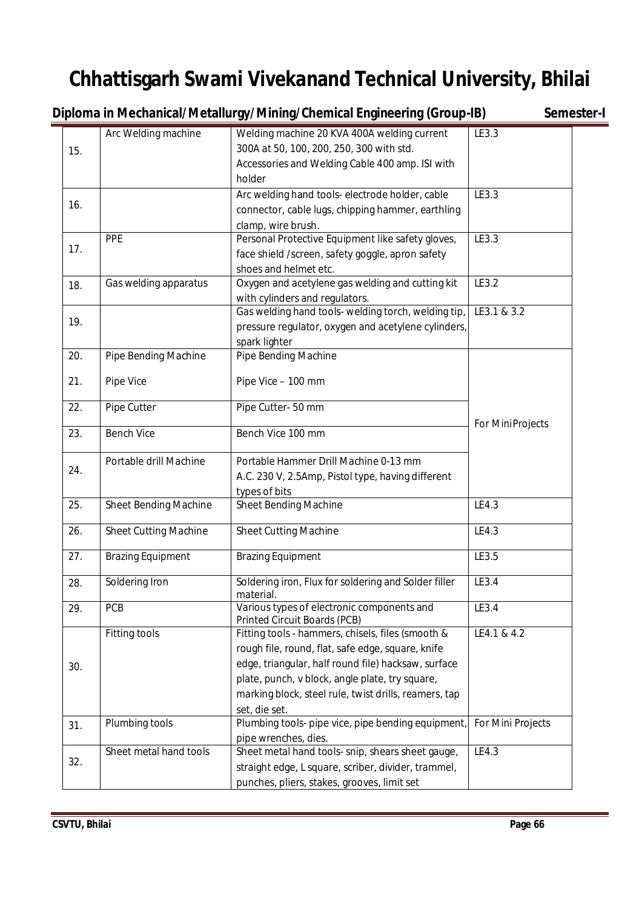**Diploma in Mechanical/Metallurgy/Mining/Chemical Engineering (Group-IB)** Semester-I

|     | Arc Welding machine          | Welding machine 20 KVA 400A welding current                       | LE3.3             |
|-----|------------------------------|-------------------------------------------------------------------|-------------------|
| 15. |                              | 300A at 50, 100, 200, 250, 300 with std.                          |                   |
|     |                              | Accessories and Welding Cable 400 amp. ISI with                   |                   |
|     |                              | holder                                                            |                   |
|     |                              | Arc welding hand tools- electrode holder, cable                   | LE3.3             |
| 16. |                              | connector, cable lugs, chipping hammer, earthling                 |                   |
|     |                              | clamp, wire brush.                                                |                   |
|     | PPE                          | Personal Protective Equipment like safety gloves,                 | LE3.3             |
| 17. |                              | face shield /screen, safety goggle, apron safety                  |                   |
|     |                              | shoes and helmet etc.                                             |                   |
| 18. | Gas welding apparatus        | Oxygen and acetylene gas welding and cutting kit                  | LE3.2             |
|     |                              | with cylinders and regulators.                                    |                   |
|     |                              | Gas welding hand tools- welding torch, welding tip,               | LE3.1 & 3.2       |
| 19. |                              | pressure regulator, oxygen and acetylene cylinders,               |                   |
|     |                              | spark lighter                                                     |                   |
| 20. | Pipe Bending Machine         | Pipe Bending Machine                                              |                   |
|     |                              |                                                                   |                   |
| 21. | Pipe Vice                    | Pipe Vice - 100 mm                                                |                   |
| 22. | Pipe Cutter                  | Pipe Cutter-50 mm                                                 |                   |
|     |                              |                                                                   | For MiniProjects  |
| 23. | <b>Bench Vice</b>            | Bench Vice 100 mm                                                 |                   |
|     |                              |                                                                   |                   |
| 24. | Portable drill Machine       | Portable Hammer Drill Machine 0-13 mm                             |                   |
|     |                              | A.C. 230 V, 2.5Amp, Pistol type, having different                 |                   |
|     |                              | types of bits                                                     |                   |
| 25. | <b>Sheet Bending Machine</b> | Sheet Bending Machine                                             | LE4.3             |
| 26. | <b>Sheet Cutting Machine</b> | <b>Sheet Cutting Machine</b>                                      | LE4.3             |
|     |                              |                                                                   |                   |
| 27. | <b>Brazing Equipment</b>     | <b>Brazing Equipment</b>                                          | LE3.5             |
|     |                              |                                                                   |                   |
| 28. | Soldering Iron               | Soldering iron, Flux for soldering and Solder filler<br>material. | LE3.4             |
| 29. | PCB                          | Various types of electronic components and                        | LE3.4             |
|     |                              | Printed Circuit Boards (PCB)                                      |                   |
|     | Fitting tools                | Fitting tools - hammers, chisels, files (smooth &                 | LE4.1 & 4.2       |
|     |                              | rough file, round, flat, safe edge, square, knife                 |                   |
| 30. |                              | edge, triangular, half round file) hacksaw, surface               |                   |
|     |                              | plate, punch, v block, angle plate, try square,                   |                   |
|     |                              | marking block, steel rule, twist drills, reamers, tap             |                   |
|     |                              | set, die set.                                                     |                   |
| 31. | Plumbing tools               | Plumbing tools- pipe vice, pipe bending equipment,                | For Mini Projects |
|     |                              | pipe wrenches, dies.                                              |                   |
|     | Sheet metal hand tools       | Sheet metal hand tools- snip, shears sheet gauge,                 | LE4.3             |
| 32. |                              | straight edge, L square, scriber, divider, trammel,               |                   |
|     |                              | punches, pliers, stakes, grooves, limit set                       |                   |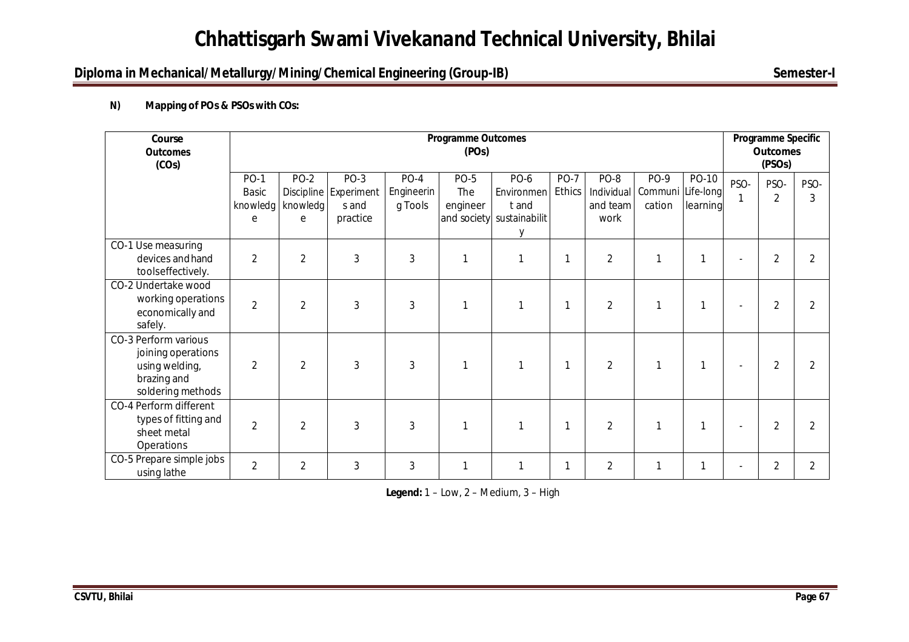## **Diploma in Mechanical/Metallurgy/Mining/Chemical Engineering (Group-IB)** Semester-I

## **N) Mapping of POs & PSOs with COs:**

| Course<br><b>Outcomes</b><br>(COs)                                                               |                                              | <b>Programme Outcomes</b><br>(POs) |                                                      |                                 |                                |                                                               |                              |                                        |                                            | Programme Specific<br><b>Outcomes</b><br>(PSO <sub>s</sub> ) |      |                        |                |
|--------------------------------------------------------------------------------------------------|----------------------------------------------|------------------------------------|------------------------------------------------------|---------------------------------|--------------------------------|---------------------------------------------------------------|------------------------------|----------------------------------------|--------------------------------------------|--------------------------------------------------------------|------|------------------------|----------------|
|                                                                                                  | <b>PO-1</b><br><b>Basic</b><br>knowledg<br>e | <b>PO-2</b><br>knowledg<br>e       | $PO-3$<br>Discipline Experiment<br>s and<br>practice | $PO-4$<br>Engineerin<br>g Tools | <b>PO-5</b><br>The<br>engineer | PO-6<br>Environmen<br>t and<br>and society sustainabilit<br>v | <b>PO-7</b><br><b>Ethics</b> | PO-8<br>Individual<br>and team<br>work | <b>PO-9</b><br>Communi Life-long<br>cation | PO-10<br>learning                                            | PSO- | PSO-<br>$\overline{2}$ | PSO-<br>3      |
| CO-1 Use measuring<br>devices and hand<br>toolseffectively.                                      | $\overline{2}$                               | $\overline{2}$                     | 3                                                    | $\mathfrak{Z}$                  | $\mathbf{1}$                   |                                                               | 1                            | $\overline{2}$                         | $\mathbf{1}$                               |                                                              |      | 2                      |                |
| CO-2 Undertake wood<br>working operations<br>economically and<br>safely.                         | $\overline{2}$                               | $\overline{2}$                     | 3                                                    | $\mathbf{3}$                    | 1                              |                                                               | 1                            | $\overline{2}$                         |                                            |                                                              |      | 2                      | 2              |
| CO-3 Perform various<br>joining operations<br>using welding,<br>brazing and<br>soldering methods | $\overline{2}$                               | $\overline{2}$                     | 3                                                    | 3                               | 1                              |                                                               | $\mathbf{1}$                 | $\overline{2}$                         |                                            |                                                              |      | 2                      | $\mathfrak{D}$ |
| CO-4 Perform different<br>types of fitting and<br>sheet metal<br>Operations                      | $\overline{2}$                               | $\overline{2}$                     | 3                                                    | 3                               | 1                              |                                                               | 1                            | $\overline{2}$                         | 1                                          |                                                              |      | 2                      |                |
| CO-5 Prepare simple jobs<br>using lathe                                                          | $\overline{2}$                               | $\overline{2}$                     | 3                                                    | 3                               | 1                              |                                                               | 1                            | $\overline{2}$                         | 1                                          |                                                              |      | $\overline{2}$         | $\overline{2}$ |

**Legend:** 1 – Low, 2 – Medium, 3 – High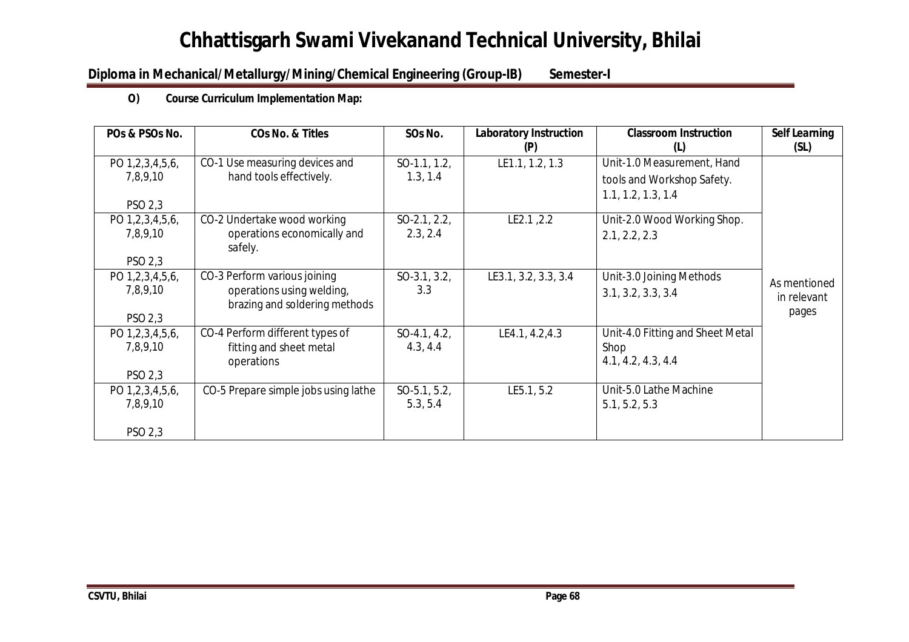## **Diploma in Mechanical/Metallurgy/Mining/Chemical Engineering (Group-IB) Semester-I**

## **O) Course Curriculum Implementation Map:**

| POs & PSOs No.              | <b>COs No. &amp; Titles</b>                                | SOs No.                    | <b>Laboratory Instruction</b><br>(P) | <b>Classroom Instruction</b><br>(L)                                            | <b>Self Learning</b><br>(SL) |
|-----------------------------|------------------------------------------------------------|----------------------------|--------------------------------------|--------------------------------------------------------------------------------|------------------------------|
| PO 1,2,3,4,5,6,<br>7,8,9,10 | CO-1 Use measuring devices and<br>hand tools effectively.  | $SO-1.1, 1.2,$<br>1.3, 1.4 | LE1.1, 1.2, 1.3                      | Unit-1.0 Measurement, Hand<br>tools and Workshop Safety.<br>1.1, 1.2, 1.3, 1.4 |                              |
| PSO 2,3                     |                                                            |                            |                                      |                                                                                |                              |
| PO 1,2,3,4,5,6,             | CO-2 Undertake wood working                                | $SO-2.1, 2.2,$             | LE2.1, 2.2                           | Unit-2.0 Wood Working Shop.                                                    |                              |
| 7,8,9,10                    | operations economically and<br>safely.                     | 2.3, 2.4                   |                                      | 2.1, 2.2, 2.3                                                                  |                              |
| PSO 2,3                     |                                                            |                            |                                      |                                                                                |                              |
| PO 1,2,3,4,5,6,             | CO-3 Perform various joining                               | $SO-3.1, 3.2,$             | LE3.1, 3.2, 3.3, 3.4                 | Unit-3.0 Joining Methods                                                       | As mentioned                 |
| 7,8,9,10                    | operations using welding,<br>brazing and soldering methods | 3.3                        |                                      | 3.1, 3.2, 3.3, 3.4                                                             | in relevant                  |
| PSO 2,3                     |                                                            |                            |                                      |                                                                                | pages                        |
| PO 1,2,3,4,5,6,             | CO-4 Perform different types of                            | $SO-4.1, 4.2,$             | LE4.1, 4.2, 4.3                      | Unit-4.0 Fitting and Sheet Metal                                               |                              |
| 7,8,9,10                    | fitting and sheet metal<br>operations                      | 4.3, 4.4                   |                                      | Shop<br>4.1, 4.2, 4.3, 4.4                                                     |                              |
| PSO 2,3                     |                                                            |                            |                                      |                                                                                |                              |
| PO 1,2,3,4,5,6,<br>7,8,9,10 | CO-5 Prepare simple jobs using lathe                       | $SO-5.1, 5.2,$<br>5.3, 5.4 | LE5.1, 5.2                           | Unit-5.0 Lathe Machine<br>5.1, 5.2, 5.3                                        |                              |
| PSO 2,3                     |                                                            |                            |                                      |                                                                                |                              |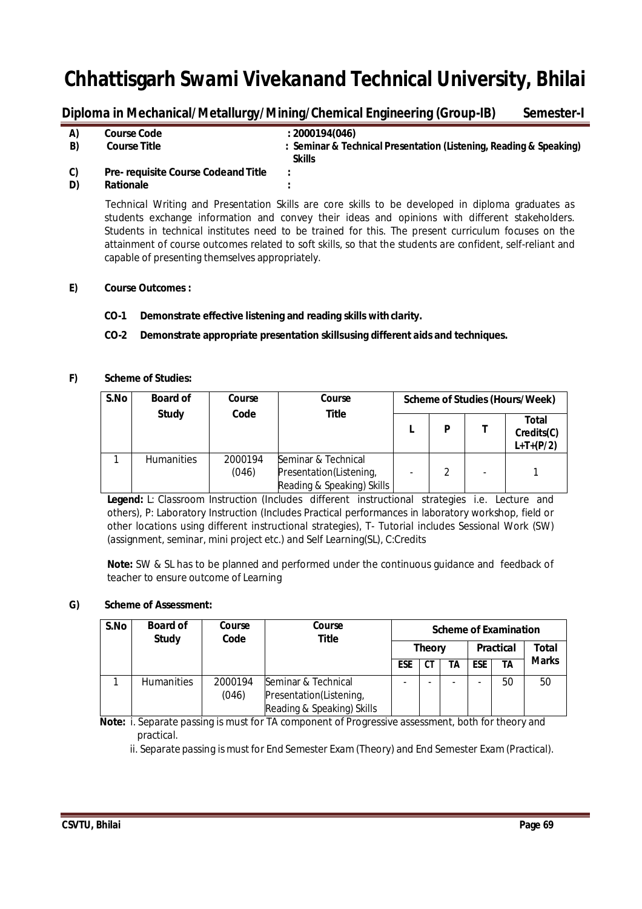## Diploma in Mechanical/Metallurgy/Mining/Chemical Engineering (Group-IB) Semester-I

| A) | <b>Course Code</b>                         | : 2000194(046)                                                     |
|----|--------------------------------------------|--------------------------------------------------------------------|
| B) | <b>Course Title</b>                        | : Seminar & Technical Presentation (Listening, Reading & Speaking) |
|    |                                            | Skills                                                             |
| C) | <b>Pre- requisite Course Codeand Title</b> |                                                                    |

### **D) Rationale :**

Technical Writing and Presentation Skills are core skills to be developed in diploma graduates as students exchange information and convey their ideas and opinions with different stakeholders. Students in technical institutes need to be trained for this. The present curriculum focuses on the attainment of course outcomes related to soft skills, so that the students are confident, self-reliant and capable of presenting themselves appropriately.

### **E) Course Outcomes :**

## **CO-1 Demonstrate effective listening and reading skills withclarity.**

## **CO-2 Demonstrate appropriate presentation skillsusing different aids and techniques.**

### **F) Scheme of Studies:**

| S.No | <b>Board of</b>   | Course           | Course                                                                       | Scheme of Studies (Hours/Week) |   |                          |                                    |
|------|-------------------|------------------|------------------------------------------------------------------------------|--------------------------------|---|--------------------------|------------------------------------|
|      | <b>Study</b>      | Code             | <b>Title</b>                                                                 |                                | D |                          | Total<br>Credits(C)<br>$L+T+(P/2)$ |
|      | <b>Humanities</b> | 2000194<br>(046) | Seminar & Technical<br>Presentation(Listening,<br>Reading & Speaking) Skills |                                |   | $\overline{\phantom{0}}$ |                                    |

**Legend:** L: Classroom Instruction (Includes different instructional strategies i.e. Lecture and others), P: Laboratory Instruction (Includes Practical performances in laboratory workshop, field or other locations using different instructional strategies), T- Tutorial includes Sessional Work (SW) (assignment, seminar, mini project etc.) and Self Learning(SL), C:Credits

**Note:** SW & SL has to be planned and performed under the continuous guidance and feedback of teacher to ensure outcome of Learning

## **G) Scheme of Assessment:**

| S.No | <b>Board of</b><br><b>Study</b> | Course<br>Code | Course<br><b>Title</b>     |               | <b>Scheme of Examination</b> |    |                  |    |              |
|------|---------------------------------|----------------|----------------------------|---------------|------------------------------|----|------------------|----|--------------|
|      |                                 |                |                            | <b>Theory</b> |                              |    | <b>Practical</b> |    | <b>Total</b> |
|      |                                 |                |                            | ESE           | СT                           | TΑ | <b>ESE</b>       | ΤA | <b>Marks</b> |
|      | <b>Humanities</b>               | 2000194        | Seminar & Technical        |               |                              | ۰  |                  | 50 | 50           |
|      |                                 | (046)          | Presentation(Listening,    |               |                              |    |                  |    |              |
|      |                                 |                | Reading & Speaking) Skills |               |                              |    |                  |    |              |

**Note:** i. Separate passing is must for TA component of Progressive assessment, both for theory and practical.

ii. Separate passing is must for End Semester Exam(Theory) and End Semester Exam(Practical).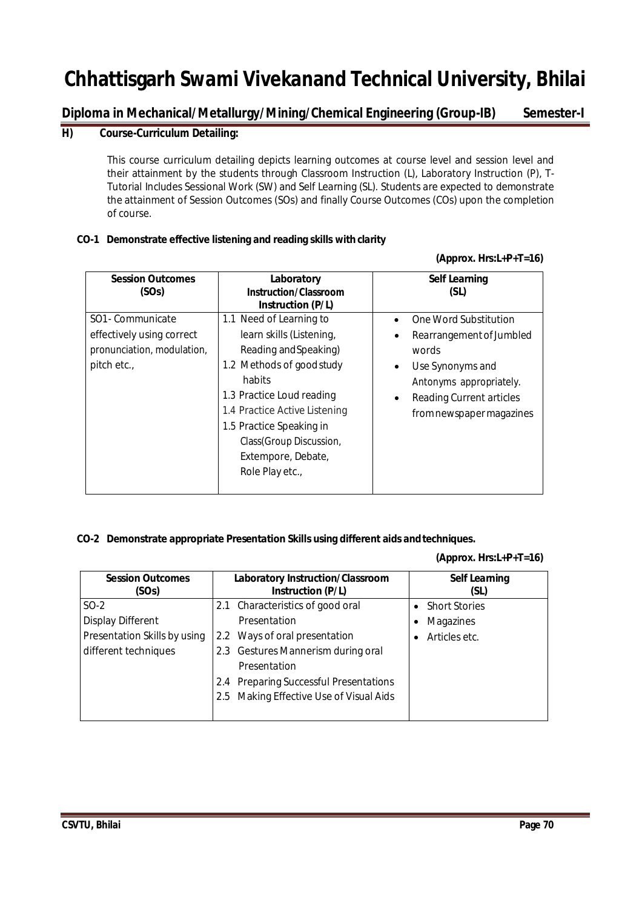**Diploma in Mechanical/Metallurgy/Mining/Chemical Engineering (Group-IB) Semester-I**

## **H) Course-Curriculum Detailing:**

This course curriculum detailing depicts learning outcomes at course level and session level and their attainment by the students through Classroom Instruction (L), Laboratory Instruction (P), T-Tutorial Includes Sessional Work (SW) and Self Learning (SL). Students are expected to demonstrate the attainment of Session Outcomes (SOs) and finally Course Outcomes (COs) upon the completion of course.

## **CO-1 Demonstrate effective listening and reading skills with clarity**

### **(Approx. Hrs:L+P+T=16)**

| <b>Session Outcomes</b><br>(SOs) | Laboratory<br><b>Instruction/Classroom</b><br><b>Instruction (P/L)</b> | Self Learning<br>(SL)                        |
|----------------------------------|------------------------------------------------------------------------|----------------------------------------------|
| SO1 - Communicate                | 1.1 Need of Learning to                                                | One Word Substitution                        |
| effectively using correct        | learn skills (Listening,                                               | Rearrangement of Jumbled<br>٠                |
| pronunciation, modulation,       | Reading and Speaking)                                                  | words                                        |
| pitch etc.,                      | 1.2 Methods of good study                                              | Use Synonyms and<br>$\bullet$                |
|                                  | habits                                                                 | Antonyms appropriately.                      |
|                                  | 1.3 Practice Loud reading                                              | <b>Reading Current articles</b><br>$\bullet$ |
|                                  | 1.4 Practice Active Listening                                          | from newspaper magazines                     |
|                                  | 1.5 Practice Speaking in                                               |                                              |
|                                  | Class(Group Discussion,                                                |                                              |
|                                  | Extempore, Debate,                                                     |                                              |
|                                  | Role Play etc.,                                                        |                                              |
|                                  |                                                                        |                                              |

## **CO-2 Demonstrate appropriate Presentation Skills using different aids andtechniques.**

## **(Approx. Hrs:L+P+T=16)**

| <b>Session Outcomes</b><br>(SOs) | Laboratory Instruction/Classroom<br><b>Instruction (P/L)</b> | <b>Self Learning</b><br>(SL)      |
|----------------------------------|--------------------------------------------------------------|-----------------------------------|
| $SO-2$                           | 2.1 Characteristics of good oral                             | <b>Short Stories</b><br>$\bullet$ |
| <b>Display Different</b>         | Presentation                                                 | Magazines<br>٠                    |
| Presentation Skills by using     | 2.2 Ways of oral presentation                                | Articles etc.<br>٠                |
| different techniques             | 2.3 Gestures Mannerism during oral                           |                                   |
|                                  | Presentation                                                 |                                   |
|                                  | <b>Preparing Successful Presentations</b><br>2.4             |                                   |
|                                  | 2.5 Making Effective Use of Visual Aids                      |                                   |
|                                  |                                                              |                                   |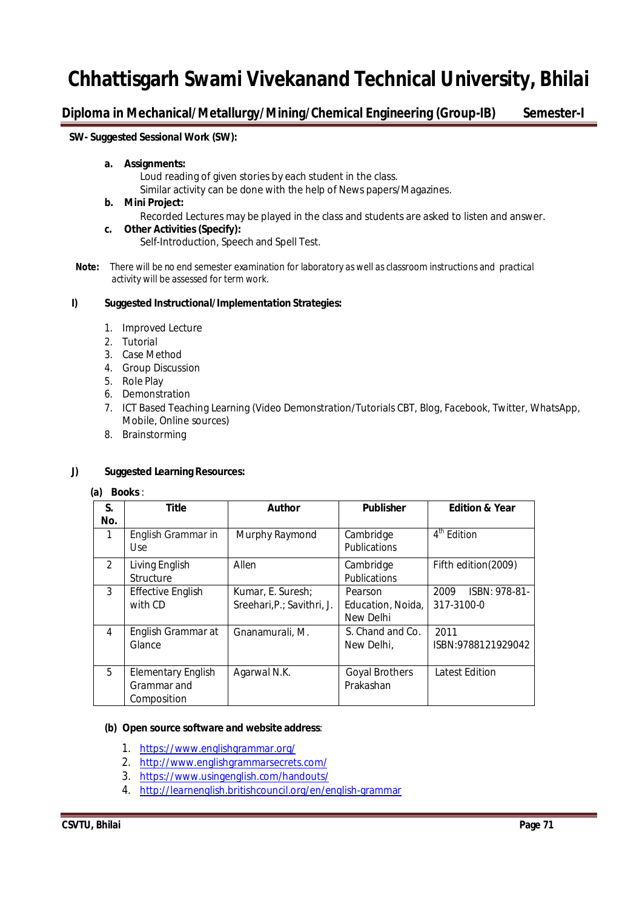**Diploma in Mechanical/Metallurgy/Mining/Chemical Engineering (Group-IB) Semester-I**

## **SW- Suggested Sessional Work (SW):**

#### **a. Assignments:**

Loud reading of given stories by each student in the class.

Similar activity can be done with the help of News papers/Magazines.

#### **b. Mini Project:**

Recorded Lectures may be played in the class and students are asked to listen and answer.

**c. Other Activities(Specify):**

Self-Introduction, Speech and Spell Test.

 **Note:** There will be no end semester examination for laboratory as well as classroom instructions and practical activity will be assessed for term work.

### **I) Suggested Instructional/Implementation Strategies:**

- 1. Improved Lecture
- 2. Tutorial
- 3. Case Method
- 4. Group Discussion
- 5. Role Play
- 6. Demonstration
- 7. ICT Based Teaching Learning (Video Demonstration/Tutorials CBT, Blog, Facebook, Twitter, WhatsApp, Mobile, Online sources)
- 8. Brainstorming

## **J) Suggested Learning Resources:**

#### **(a) Books**:

| S.            | <b>Title</b>                                            | <b>Author</b>                                   | <b>Publisher</b>                          | <b>Edition &amp; Year</b>           |
|---------------|---------------------------------------------------------|-------------------------------------------------|-------------------------------------------|-------------------------------------|
| No.           |                                                         |                                                 |                                           |                                     |
| 1             | English Grammar in<br><b>Use</b>                        | Murphy Raymond                                  | Cambridge<br><b>Publications</b>          | 4 <sup>th</sup> Edition             |
| $\mathcal{P}$ | Living English<br>Structure                             | Allen                                           | Cambridge<br><b>Publications</b>          | Fifth edition(2009)                 |
| 3             | <b>Effective English</b><br>with CD                     | Kumar, E. Suresh;<br>Sreehari, P.; Savithri, J. | Pearson<br>Education, Noida,<br>New Delhi | ISBN: 978-81-<br>2009<br>317-3100-0 |
| 4             | English Grammar at<br>Glance                            | Gnanamurali, M.                                 | S. Chand and Co.<br>New Delhi,            | 2011<br>ISBN:9788121929042          |
| 5             | <b>Elementary English</b><br>Grammar and<br>Composition | Agarwal N.K.                                    | <b>Goyal Brothers</b><br>Prakashan        | <b>Latest Edition</b>               |

#### **(b) Open source software and website address**:

- 1. https://www.englishgrammar.org/
- 2. http://www.englishgrammarsecrets.com/
- 3. https://www.usingenglish.com/handouts/
- 4. http://learnenglish.britishcouncil.org/en/english-grammar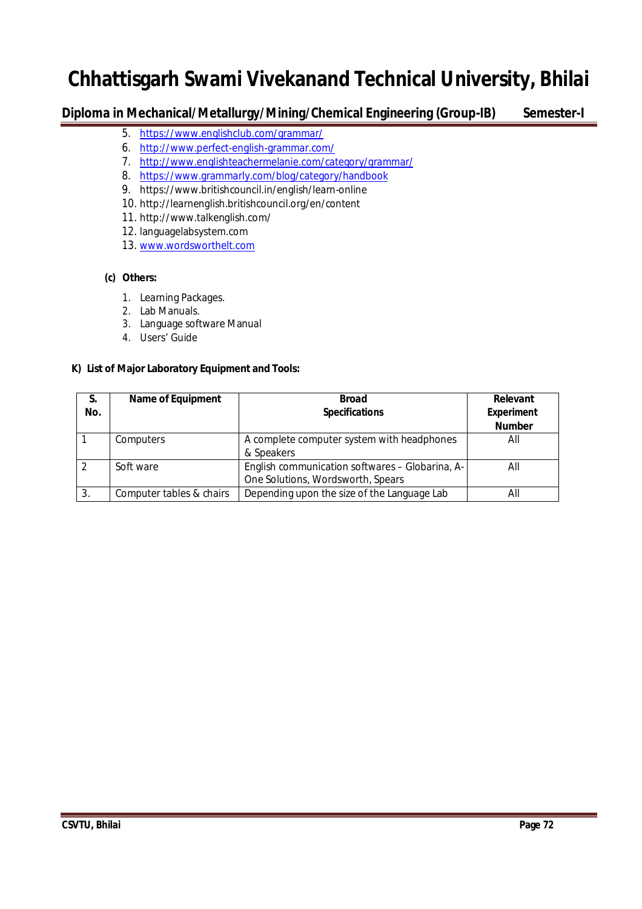## **Diploma in Mechanical/Metallurgy/Mining/Chemical Engineering (Group-IB) Semester-I**

- 5. https://www.englishclub.com/grammar/
- 6. http://www.perfect-english-grammar.com/
- 7. http://www.englishteachermelanie.com/category/grammar/
- 8. https://www.grammarly.com/blog/category/handbook
- 9. https://www.britishcouncil.in/english/learn-online
- 10. http://learnenglish.britishcouncil.org/en/content
- 11. http://www.talkenglish.com/
- 12. languagelabsystem.com
- 13. www.wordsworthelt.com

## **(c) Others:**

- 1. Learning Packages.
- 2. Lab Manuals.
- 3. Language software Manual
- 4. Users' Guide

## **K) List of Major Laboratory Equipment and Tools:**

| S.<br>No. | <b>Name of Equipment</b> | <b>Broad</b><br><b>Specifications</b>                                                | Relevant<br><b>Experiment</b><br><b>Number</b> |
|-----------|--------------------------|--------------------------------------------------------------------------------------|------------------------------------------------|
|           | Computers                | A complete computer system with headphones<br>& Speakers                             | All                                            |
|           | Soft ware                | English communication softwares - Globarina, A-<br>One Solutions, Wordsworth, Spears | All                                            |
| 3.        | Computer tables & chairs | Depending upon the size of the Language Lab                                          | Αll                                            |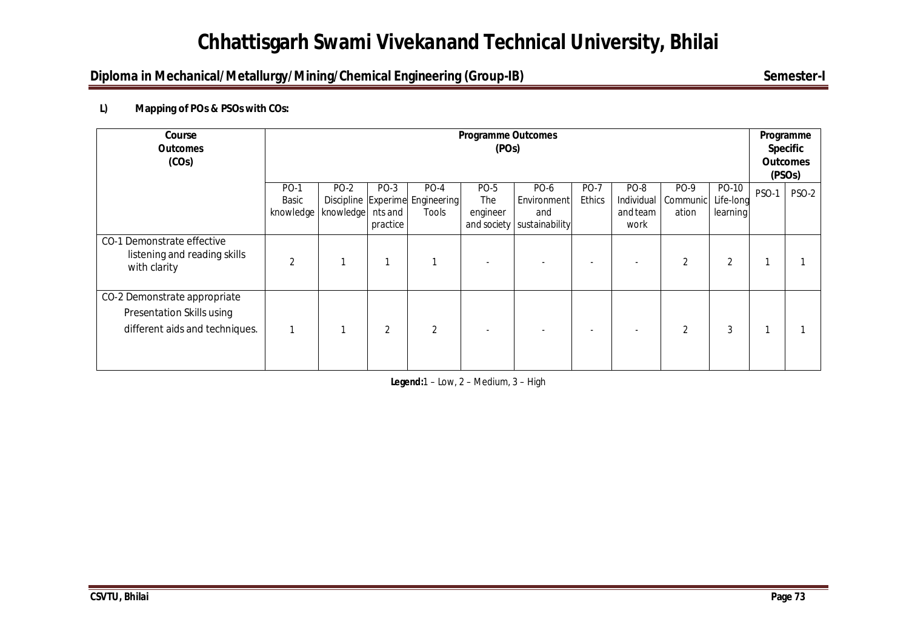# **Chhattisgarh Swami Vivekanand Technical University, Bhilai**

### **Diploma in Mechanical/Metallurgy/Mining/Chemical Engineering (Group-IB)** Semester-I

#### **L) Mapping of POs & PSOs with COs:**

| Course<br><b>Outcomes</b><br>(COs)                                                          | <b>Programme Outcomes</b><br>(POs) |                          |                             |                                                    |                         |                                                            |                              |                                        |                           | Programme<br><b>Specific</b><br><b>Outcomes</b><br>(PSO <sub>s</sub> ) |       |              |
|---------------------------------------------------------------------------------------------|------------------------------------|--------------------------|-----------------------------|----------------------------------------------------|-------------------------|------------------------------------------------------------|------------------------------|----------------------------------------|---------------------------|------------------------------------------------------------------------|-------|--------------|
|                                                                                             | <b>PO-1</b><br>Basic<br>knowledge  | <b>PO-2</b><br>knowledge | PO-3<br>nts and<br>practice | $PO-4$<br>Discipline Experime Engineering<br>Tools | PO-5<br>The<br>engineer | PO-6<br>Environment<br>and<br>and society   sustainability | <b>PO-7</b><br><b>Ethics</b> | PO-8<br>Individual<br>and team<br>work | PO-9<br>Communic<br>ation | PO-10<br>Life-long<br>learning                                         | PSO-1 | <b>PSO-2</b> |
| CO-1 Demonstrate effective<br>listening and reading skills<br>with clarity                  | $\overline{2}$                     |                          |                             |                                                    |                         |                                                            |                              |                                        | $\overline{2}$            | $\overline{2}$                                                         |       |              |
| CO-2 Demonstrate appropriate<br>Presentation Skills using<br>different aids and techniques. | 1                                  |                          | $\overline{2}$              | $\overline{2}$                                     |                         |                                                            |                              |                                        | $\overline{2}$            | 3                                                                      |       |              |

**Legend:**1 – Low, 2 – Medium, 3 – High